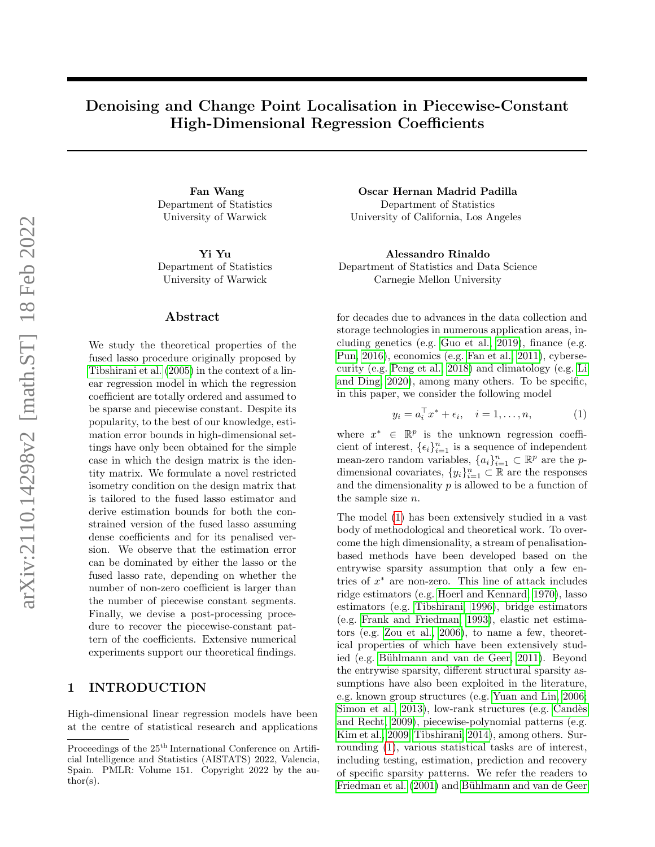# Denoising and Change Point Localisation in Piecewise-Constant High-Dimensional Regression Coefficients

Department of Statistics University of Warwick

Department of Statistics University of Warwick

## Abstract

We study the theoretical properties of the fused lasso procedure originally proposed by [Tibshirani et al. \(2005\)](#page-9-0) in the context of a linear regression model in which the regression coefficient are totally ordered and assumed to be sparse and piecewise constant. Despite its popularity, to the best of our knowledge, estimation error bounds in high-dimensional settings have only been obtained for the simple case in which the design matrix is the identity matrix. We formulate a novel restricted isometry condition on the design matrix that is tailored to the fused lasso estimator and derive estimation bounds for both the constrained version of the fused lasso assuming dense coefficients and for its penalised version. We observe that the estimation error can be dominated by either the lasso or the fused lasso rate, depending on whether the number of non-zero coefficient is larger than the number of piecewise constant segments. Finally, we devise a post-processing procedure to recover the piecewise-constant pattern of the coefficients. Extensive numerical experiments support our theoretical findings.

# 1 INTRODUCTION

High-dimensional linear regression models have been at the centre of statistical research and applications

Fan Wang Oscar Hernan Madrid Padilla Department of Statistics University of California, Los Angeles

Yi Yu Alessandro Rinaldo Department of Statistics and Data Science Carnegie Mellon University

> for decades due to advances in the data collection and storage technologies in numerous application areas, including genetics (e.g. [Guo et al., 2019\)](#page-9-1), finance (e.g. [Pun, 2016\)](#page-9-2), economics (e.g. [Fan et al., 2011\)](#page-9-3), cybersecurity (e.g. [Peng et al., 2018\)](#page-9-4) and climatology (e.g. [Li](#page-9-5) [and Ding, 2020\)](#page-9-5), among many others. To be specific, in this paper, we consider the following model

<span id="page-0-0"></span>
$$
y_i = a_i^{\top} x^* + \epsilon_i, \quad i = 1, \dots, n,
$$
 (1)

where  $x^* \in \mathbb{R}^p$  is the unknown regression coefficient of interest,  $\{\epsilon_i\}_{i=1}^n$  is a sequence of independent mean-zero random variables,  ${a_i}_{i=1}^n \subset \mathbb{R}^p$  are the pdimensional covariates,  $\{y_i\}_{i=1}^n \subset \mathbb{R}$  are the responses and the dimensionality  $p$  is allowed to be a function of the sample size n.

The model [\(1\)](#page-0-0) has been extensively studied in a vast body of methodological and theoretical work. To overcome the high dimensionality, a stream of penalisationbased methods have been developed based on the entrywise sparsity assumption that only a few entries of  $x^*$  are non-zero. This line of attack includes ridge estimators (e.g. [Hoerl and Kennard, 1970\)](#page-9-6), lasso estimators (e.g. [Tibshirani, 1996\)](#page-9-7), bridge estimators (e.g. [Frank and Friedman, 1993\)](#page-9-8), elastic net estimators (e.g. [Zou et al., 2006\)](#page-10-0), to name a few, theoretical properties of which have been extensively studied (e.g. Bühlmann and van de Geer, 2011). Beyond the entrywise sparsity, different structural sparsity assumptions have also been exploited in the literature, e.g. known group structures (e.g. [Yuan and Lin, 2006;](#page-10-1) [Simon et al., 2013\)](#page-9-10), low-rank structures (e.g. Candès [and Recht, 2009\)](#page-9-11), piecewise-polynomial patterns (e.g. [Kim et al., 2009;](#page-9-12) [Tibshirani, 2014\)](#page-10-2), among others. Surrounding [\(1\)](#page-0-0), various statistical tasks are of interest, including testing, estimation, prediction and recovery of specific sparsity patterns. We refer the readers to [Friedman et al. \(2001\)](#page-9-13) and Bühlmann and van de Geer

Proceedings of the  $25<sup>th</sup>$  International Conference on Artificial Intelligence and Statistics (AISTATS) 2022, Valencia, Spain. PMLR: Volume 151. Copyright 2022 by the au- $\text{thor}(s)$ .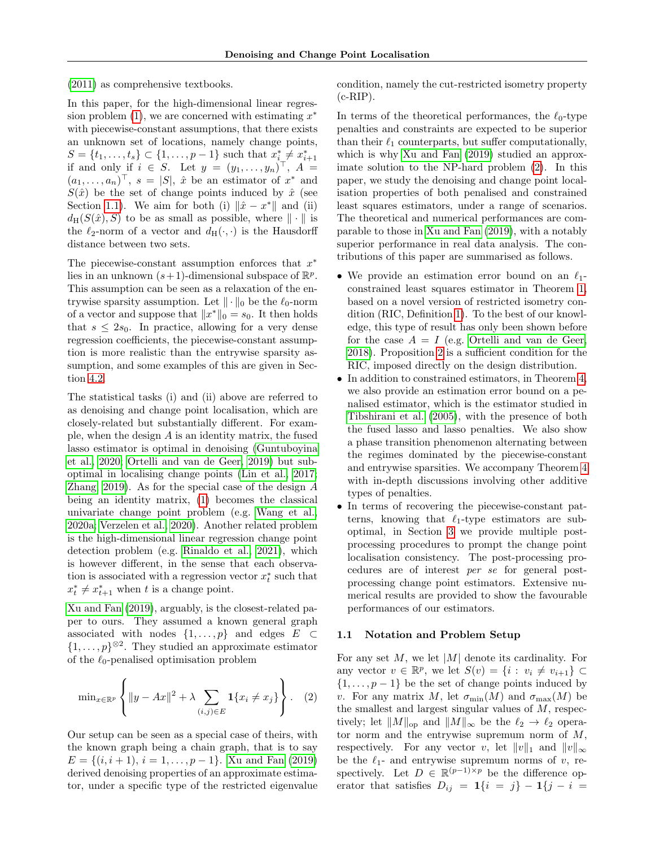[\(2011\)](#page-9-9) as comprehensive textbooks.

In this paper, for the high-dimensional linear regression problem  $(1)$ , we are concerned with estimating  $x^*$ with piecewise-constant assumptions, that there exists an unknown set of locations, namely change points,  $S = \{t_1, \ldots, t_s\} \subset \{1, \ldots, p-1\}$  such that  $x_i^* \neq x_{i+1}^*$ if and only if  $i \in S$ . Let  $y = (y_1, \ldots, y_n)^\top$ ,  $A =$  $(a_1, \ldots, a_n)^\top$ ,  $s = |S|$ ,  $\hat{x}$  be an estimator of  $x^*$  and  $S(\hat{x})$  be the set of change points induced by  $\hat{x}$  (see Section [1.1\)](#page-1-0). We aim for both (i)  $\|\hat{x} - x^*\|$  and (ii)  $d_H(S(\hat{x}), S)$  to be as small as possible, where  $\|\cdot\|$  is the  $\ell_2$ -norm of a vector and  $d_H(\cdot, \cdot)$  is the Hausdorff distance between two sets.

The piecewise-constant assumption enforces that  $x^*$ lies in an unknown  $(s+1)$ -dimensional subspace of  $\mathbb{R}^p$ . This assumption can be seen as a relaxation of the entrywise sparsity assumption. Let  $\|\cdot\|_0$  be the  $\ell_0$ -norm of a vector and suppose that  $||x^*||_0 = s_0$ . It then holds that  $s \leq 2s_0$ . In practice, allowing for a very dense regression coefficients, the piecewise-constant assumption is more realistic than the entrywise sparsity assumption, and some examples of this are given in Section [4.2.](#page-6-0)

The statistical tasks (i) and (ii) above are referred to as denoising and change point localisation, which are closely-related but substantially different. For example, when the design A is an identity matrix, the fused lasso estimator is optimal in denoising [\(Guntuboyina](#page-9-14) [et al., 2020;](#page-9-14) [Ortelli and van de Geer, 2019\)](#page-9-15) but suboptimal in localising change points [\(Lin et al., 2017;](#page-9-16) Zhang,  $2019$ ). As for the special case of the design  $A$ being an identity matrix, [\(1\)](#page-0-0) becomes the classical univariate change point problem (e.g. [Wang et al.,](#page-10-4) [2020a;](#page-10-4) [Verzelen et al., 2020\)](#page-10-5). Another related problem is the high-dimensional linear regression change point detection problem (e.g. [Rinaldo et al., 2021\)](#page-9-17), which is however different, in the sense that each observation is associated with a regression vector  $x_t^*$  such that  $x_t^* \neq x_{t+1}^*$  when t is a change point.

[Xu and Fan \(2019\)](#page-10-6), arguably, is the closest-related paper to ours. They assumed a known general graph associated with nodes  $\{1, \ldots, p\}$  and edges  $E \subset$  $\{1,\ldots,p\}^{\otimes 2}$ . They studied an approximate estimator of the  $\ell_0$ -penalised optimisation problem

<span id="page-1-1"></span>
$$
\min_{x \in \mathbb{R}^p} \left\{ \|y - Ax\|^2 + \lambda \sum_{(i,j) \in E} \mathbf{1} \{x_i \neq x_j\} \right\}.
$$
 (2)

Our setup can be seen as a special case of theirs, with the known graph being a chain graph, that is to say  $E = \{(i, i + 1), i = 1, \ldots, p - 1\}$ . [Xu and Fan \(2019\)](#page-10-6) derived denoising properties of an approximate estimator, under a specific type of the restricted eigenvalue condition, namely the cut-restricted isometry property  $(c-RIP).$ 

In terms of the theoretical performances, the  $\ell_0$ -type penalties and constraints are expected to be superior than their  $\ell_1$  counterparts, but suffer computationally, which is why Xu and Fan  $(2019)$  studied an approximate solution to the NP-hard problem [\(2\)](#page-1-1). In this paper, we study the denoising and change point localisation properties of both penalised and constrained least squares estimators, under a range of scenarios. The theoretical and numerical performances are comparable to those in [Xu and Fan \(2019\)](#page-10-6), with a notably superior performance in real data analysis. The contributions of this paper are summarised as follows.

- We provide an estimation error bound on an  $\ell_1$ constrained least squares estimator in Theorem [1,](#page-2-0) based on a novel version of restricted isometry condition (RIC, Definition [1\)](#page-2-1). To the best of our knowledge, this type of result has only been shown before for the case  $A = I$  (e.g. [Ortelli and van de Geer,](#page-9-18) [2018\)](#page-9-18). Proposition [2](#page-3-0) is a sufficient condition for the RIC, imposed directly on the design distribution.
- In addition to constrained estimators, in Theorem [4,](#page-4-0) we also provide an estimation error bound on a penalised estimator, which is the estimator studied in [Tibshirani et al. \(2005\)](#page-9-0), with the presence of both the fused lasso and lasso penalties. We also show a phase transition phenomenon alternating between the regimes dominated by the piecewise-constant and entrywise sparsities. We accompany Theorem [4](#page-4-0) with in-depth discussions involving other additive types of penalties.
- In terms of recovering the piecewise-constant patterns, knowing that  $\ell_1$ -type estimators are suboptimal, in Section [3](#page-4-1) we provide multiple postprocessing procedures to prompt the change point localisation consistency. The post-processing procedures are of interest per se for general postprocessing change point estimators. Extensive numerical results are provided to show the favourable performances of our estimators.

#### <span id="page-1-0"></span>1.1 Notation and Problem Setup

For any set  $M$ , we let  $|M|$  denote its cardinality. For any vector  $v \in \mathbb{R}^p$ , we let  $S(v) = \{i : v_i \neq v_{i+1}\} \subset$  $\{1, \ldots, p-1\}$  be the set of change points induced by v. For any matrix M, let  $\sigma_{\min}(M)$  and  $\sigma_{\max}(M)$  be the smallest and largest singular values of M, respectively; let  $||M||_{op}$  and  $||M||_{\infty}$  be the  $\ell_2 \to \ell_2$  operator norm and the entrywise supremum norm of  $M$ , respectively. For any vector v, let  $||v||_1$  and  $||v||_{\infty}$ be the  $\ell_1$ - and entrywise supremum norms of v, respectively. Let  $D \in \mathbb{R}^{(p-1)\times p}$  be the difference operator that satisfies  $D_{ij} = 1\{i = j\} - 1\{j - i =$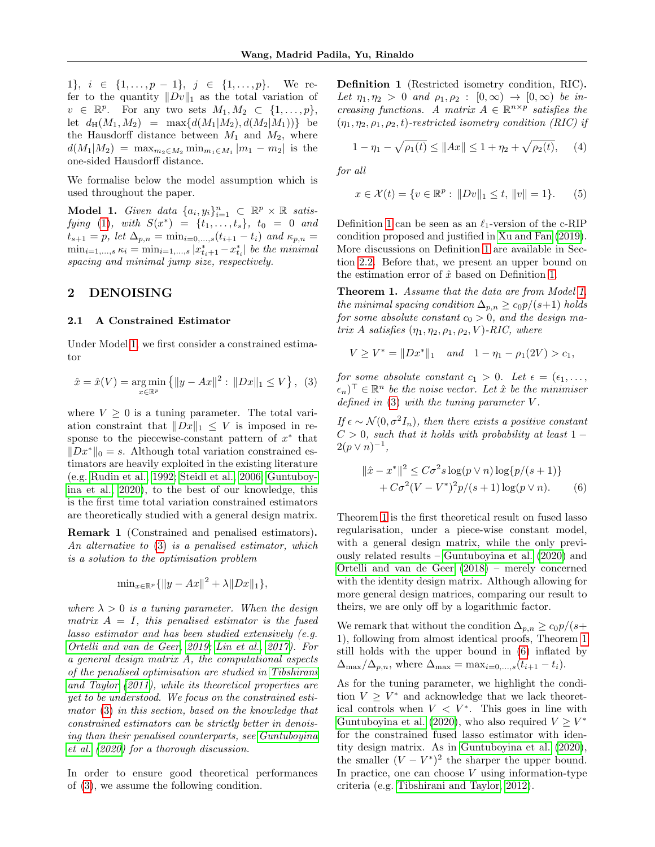1},  $i \in \{1, \ldots, p-1\}$ ,  $j \in \{1, \ldots, p\}$ . We refer to the quantity  $||Dv||_1$  as the total variation of  $v \in \mathbb{R}^p$ . For any two sets  $M_1, M_2 \subset \{1, \ldots, p\},\$ let  $d_H(M_1, M_2) = \max\{d(M_1|M_2), d(M_2|M_1))\}$  be the Hausdorff distance between  $M_1$  and  $M_2$ , where  $d(M_1|M_2) = \max_{m_2 \in M_2} \min_{m_1 \in M_1} |m_1 - m_2|$  is the one-sided Hausdorff distance.

We formalise below the model assumption which is used throughout the paper.

<span id="page-2-2"></span>Model 1. Given data  $\{a_i, y_i\}_{i=1}^n \subset \mathbb{R}^p \times \mathbb{R}$  satis-fying [\(1\)](#page-0-0), with  $S(x^*) = \{t_1, \ldots, t_s\}, t_0 = 0$  and  $t_{s+1} = p$ , let  $\Delta_{p,n} = \min_{i=0,...,s} (t_{i+1} - t_i)$  and  $\kappa_{p,n} =$  $\min_{i=1,...,s} \kappa_i = \min_{i=1,...,s} |x^*_{t_i+1} - x^*_{t_i}|$  be the minimal spacing and minimal jump size, respectively.

# <span id="page-2-8"></span>2 DENOISING

#### <span id="page-2-7"></span>2.1 A Constrained Estimator

Under Model [1,](#page-2-2) we first consider a constrained estimator

<span id="page-2-3"></span>
$$
\hat{x} = \hat{x}(V) = \underset{x \in \mathbb{R}^p}{\arg \min} \left\{ \|y - Ax\|^2 : \|Dx\|_1 \le V \right\}, \tag{3}
$$

where  $V \geq 0$  is a tuning parameter. The total variation constraint that  $||Dx||_1 \leq V$  is imposed in response to the piecewise-constant pattern of  $x^*$  that  $||Dx^*||_0 = s$ . Although total variation constrained estimators are heavily exploited in the existing literature (e.g. [Rudin et al., 1992;](#page-9-19) [Steidl et al., 2006;](#page-9-20) [Guntuboy](#page-9-14)[ina et al., 2020\)](#page-9-14), to the best of our knowledge, this is the first time total variation constrained estimators are theoretically studied with a general design matrix.

Remark 1 (Constrained and penalised estimators). An alternative to [\(3\)](#page-2-3) is a penalised estimator, which is a solution to the optimisation problem

$$
\min_{x \in \mathbb{R}^p} \{ \|y - Ax\|^2 + \lambda \|Dx\|_1 \},\
$$

where  $\lambda > 0$  is a tuning parameter. When the design matrix  $A = I$ , this penalised estimator is the fused lasso estimator and has been studied extensively (e.g. [Ortelli and van de Geer, 2019;](#page-9-15) [Lin et al., 2017\)](#page-9-16). For a general design matrix A, the computational aspects of the penalised optimisation are studied in [Tibshirani](#page-10-7) [and Taylor](#page-10-7) [\(2011\)](#page-10-7), while its theoretical properties are yet to be understood. We focus on the constrained estimator [\(3\)](#page-2-3) in this section, based on the knowledge that constrained estimators can be strictly better in denoising than their penalised counterparts, see [Guntuboyina](#page-9-14) [et al.](#page-9-14) [\(2020\)](#page-9-14) for a thorough discussion.

<span id="page-2-1"></span>In order to ensure good theoretical performances of [\(3\)](#page-2-3), we assume the following condition.

Definition 1 (Restricted isometry condition, RIC). Let  $\eta_1, \eta_2 > 0$  and  $\rho_1, \rho_2 : [0, \infty) \rightarrow [0, \infty)$  be increasing functions. A matrix  $A \in \mathbb{R}^{n \times p}$  satisfies the  $(\eta_1, \eta_2, \rho_1, \rho_2, t)$ -restricted isometry condition (RIC) if

<span id="page-2-6"></span>
$$
1 - \eta_1 - \sqrt{\rho_1(t)} \le ||Ax|| \le 1 + \eta_2 + \sqrt{\rho_2(t)}, \quad (4)
$$

for all

<span id="page-2-5"></span>
$$
x \in \mathcal{X}(t) = \{ v \in \mathbb{R}^p : ||Dv||_1 \le t, ||v|| = 1 \}. \tag{5}
$$

Definition [1](#page-2-1) can be seen as an  $\ell_1$ -version of the c-RIP condition proposed and justified in [Xu and Fan \(2019\)](#page-10-6). More discussions on Definition [1](#page-2-1) are available in Section [2.2.](#page-3-1) Before that, we present an upper bound on the estimation error of  $\hat{x}$  based on Definition [1.](#page-2-1)

<span id="page-2-0"></span>Theorem 1. Assume that the data are from Model [1,](#page-2-2) the minimal spacing condition  $\Delta_{p,n} \geq c_0 p/(s+1)$  holds for some absolute constant  $c_0 > 0$ , and the design matrix A satisfies  $(\eta_1, \eta_2, \rho_1, \rho_2, V)$ -RIC, where

$$
V \ge V^* = ||Dx^*||_1 \quad and \quad 1 - \eta_1 - \rho_1(2V) > c_1,
$$

for some absolute constant  $c_1 > 0$ . Let  $\epsilon = (\epsilon_1, \ldots, \epsilon_n)$  $(\epsilon_n)^{\top} \in \mathbb{R}^n$  be the noise vector. Let  $\hat{x}$  be the minimiser defined in  $(3)$  with the tuning parameter V.

If  $\epsilon \sim \mathcal{N}(0, \sigma^2 I_n)$ , then there exists a positive constant  $C > 0$ , such that it holds with probability at least 1 −  $2(p \vee n)^{-1},$ 

<span id="page-2-4"></span>
$$
\|\hat{x} - x^*\|^2 \le C\sigma^2 s \log(p \vee n) \log\{p/(s+1)\} + C\sigma^2 (V - V^*)^2 p/(s+1) \log(p \vee n).
$$
 (6)

Theorem [1](#page-2-0) is the first theoretical result on fused lasso regularisation, under a piece-wise constant model, with a general design matrix, while the only previously related results – [Guntuboyina et al. \(2020\)](#page-9-14) and [Ortelli and van de Geer \(2018\)](#page-9-18) – merely concerned with the identity design matrix. Although allowing for more general design matrices, comparing our result to theirs, we are only off by a logarithmic factor.

We remark that without the condition  $\Delta_{p,n} \geq c_0 p/(s+1)$ 1), following from almost identical proofs, Theorem [1](#page-2-0) still holds with the upper bound in [\(6\)](#page-2-4) inflated by  $\Delta_{\max}/\Delta_{p,n}$ , where  $\Delta_{\max} = \max_{i=0,\dots,s} (t_{i+1} - t_i).$ 

As for the tuning parameter, we highlight the condition  $V \geq V^*$  and acknowledge that we lack theoretical controls when  $V < V^*$ . This goes in line with [Guntuboyina et al. \(2020\)](#page-9-14), who also required  $V \geq V^*$ for the constrained fused lasso estimator with identity design matrix. As in [Guntuboyina et al. \(2020\)](#page-9-14), the smaller  $(V - V^*)^2$  the sharper the upper bound. In practice, one can choose  $V$  using information-type criteria (e.g. [Tibshirani and Taylor, 2012\)](#page-10-8).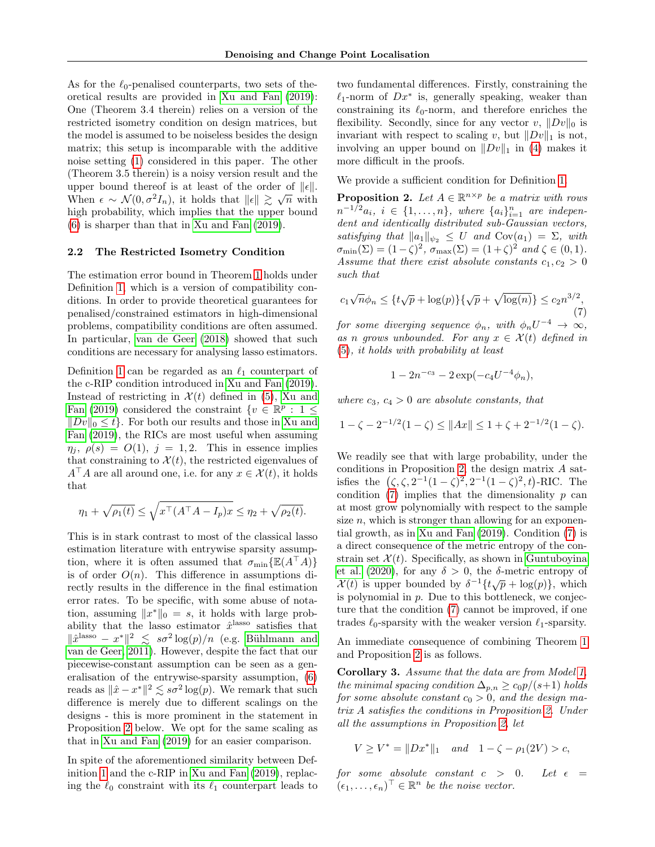As for the  $\ell_0$ -penalised counterparts, two sets of theoretical results are provided in [Xu and Fan \(2019\)](#page-10-6): One (Theorem 3.4 therein) relies on a version of the restricted isometry condition on design matrices, but the model is assumed to be noiseless besides the design matrix; this setup is incomparable with the additive noise setting [\(1\)](#page-0-0) considered in this paper. The other (Theorem 3.5 therein) is a noisy version result and the upper bound thereof is at least of the order of  $||\epsilon||$ . When  $\epsilon \sim \mathcal{N}(0, \sigma^2 I_n)$ , it holds that  $\|\epsilon\| \gtrsim \sqrt{n}$  with high probability, which implies that the upper bound [\(6\)](#page-2-4) is sharper than that in [Xu and Fan \(2019\)](#page-10-6).

## <span id="page-3-1"></span>2.2 The Restricted Isometry Condition

The estimation error bound in Theorem [1](#page-2-0) holds under Definition [1,](#page-2-1) which is a version of compatibility conditions. In order to provide theoretical guarantees for penalised/constrained estimators in high-dimensional problems, compatibility conditions are often assumed. In particular, [van de Geer \(2018\)](#page-10-9) showed that such conditions are necessary for analysing lasso estimators.

Definition [1](#page-2-1) can be regarded as an  $\ell_1$  counterpart of the c-RIP condition introduced in [Xu and Fan \(2019\)](#page-10-6). Instead of restricting in  $\mathcal{X}(t)$  defined in [\(5\)](#page-2-5), [Xu and](#page-10-6) [Fan \(2019\)](#page-10-6) considered the constraint  $\{v \in \mathbb{R}^p : 1 \leq$  $||Dv||_0 \leq t$ . For both our results and those in [Xu and](#page-10-6) [Fan \(2019\)](#page-10-6), the RICs are most useful when assuming  $\eta_i$ ,  $\rho(s) = O(1)$ ,  $j = 1, 2$ . This in essence implies that constraining to  $\mathcal{X}(t)$ , the restricted eigenvalues of  $A^{\dagger} A$  are all around one, i.e. for any  $x \in \mathcal{X}(t)$ , it holds that

$$
\eta_1 + \sqrt{\rho_1(t)} \le \sqrt{x^{\top} (A^{\top} A - I_p)x} \le \eta_2 + \sqrt{\rho_2(t)}.
$$

This is in stark contrast to most of the classical lasso estimation literature with entrywise sparsity assumption, where it is often assumed that  $\sigma_{\min}\{\mathbb{E}(A^{\top}A)\}\$ is of order  $O(n)$ . This difference in assumptions directly results in the difference in the final estimation error rates. To be specific, with some abuse of notation, assuming  $||x^*||_0 = s$ , it holds with large probability that the lasso estimator  $\hat{x}^{\text{lasso}}$  satisfies that  $\|\hat{x}^{\text{lasso}} - x^*\|^2 \leq s\sigma^2 \log(p)/n$  (e.g. Bühlmann and [van de Geer, 2011\)](#page-9-9). However, despite the fact that our piecewise-constant assumption can be seen as a generalisation of the entrywise-sparsity assumption, [\(6\)](#page-2-4) reads as  $\|\hat{x} - x^*\|^2 \leq s\sigma^2 \log(p)$ . We remark that such difference is merely due to different scalings on the designs - this is more prominent in the statement in Proposition [2](#page-3-0) below. We opt for the same scaling as that in [Xu and Fan \(2019\)](#page-10-6) for an easier comparison.

In spite of the aforementioned similarity between Definition [1](#page-2-1) and the c-RIP in [Xu and Fan \(2019\)](#page-10-6), replacing the  $\ell_0$  constraint with its  $\ell_1$  counterpart leads to two fundamental differences. Firstly, constraining the  $\ell_1$ -norm of  $Dx^*$  is, generally speaking, weaker than constraining its  $\ell_0$ -norm, and therefore enriches the flexibility. Secondly, since for any vector v,  $||Dv||_0$  is invariant with respect to scaling v, but  $||Dv||_1$  is not, involving an upper bound on  $||Dv||_1$  in [\(4\)](#page-2-6) makes it more difficult in the proofs.

We provide a sufficient condition for Definition [1.](#page-2-1)

<span id="page-3-0"></span>**Proposition 2.** Let  $A \in \mathbb{R}^{n \times p}$  be a matrix with rows  $n^{-1/2}a_i, i \in \{1, ..., n\},\$  where  $\{a_i\}_{i=1}^n$  are independent and identically distributed sub-Gaussian vectors, satisfying that  $||a_1||_{\psi_2} \leq U$  and  $Cov(a_1) = \Sigma$ , with  $\sigma_{\min}(\Sigma) = (1-\zeta)^2$ ,  $\sigma_{\max}(\Sigma) = (1+\zeta)^2$  and  $\zeta \in (0,1)$ . Assume that there exist absolute constants  $c_1, c_2 > 0$ such that

<span id="page-3-2"></span>
$$
c_1\sqrt{n}\phi_n \le \{t\sqrt{p} + \log(p)\}\{\sqrt{p} + \sqrt{\log(n)}\} \le c_2 n^{3/2},\tag{7}
$$

for some diverging sequence  $\phi_n$ , with  $\phi_n U^{-4} \to \infty$ , as n grows unbounded. For any  $x \in \mathcal{X}(t)$  defined in [\(5\)](#page-2-5), it holds with probability at least

$$
1 - 2n^{-c_3} - 2\exp(-c_4U^{-4}\phi_n),
$$

where  $c_3, c_4 > 0$  are absolute constants, that

$$
1 - \zeta - 2^{-1/2}(1 - \zeta) \le ||Ax|| \le 1 + \zeta + 2^{-1/2}(1 - \zeta).
$$

We readily see that with large probability, under the conditions in Proposition [2,](#page-3-0) the design matrix A satisfies the  $(\zeta, \zeta, 2^{-1}(1-\zeta)^2, 2^{-1}(1-\zeta)^2, t)$ -RIC. The condition  $(7)$  implies that the dimensionality p can at most grow polynomially with respect to the sample size  $n$ , which is stronger than allowing for an exponential growth, as in [Xu and Fan \(2019\)](#page-10-6). Condition [\(7\)](#page-3-2) is a direct consequence of the metric entropy of the constrain set  $\mathcal{X}(t)$ . Specifically, as shown in [Guntuboyina](#page-9-14) [et al. \(2020\)](#page-9-14), for any  $\delta > 0$ , the  $\delta$ -metric entropy of  $\mathcal{X}(t)$  is upper bounded by  $\delta^{-1}\{t\sqrt{p} + \log(p)\}\,$ , which is polynomial in  $p$ . Due to this bottleneck, we conjecture that the condition [\(7\)](#page-3-2) cannot be improved, if one trades  $\ell_0$ -sparsity with the weaker version  $\ell_1$ -sparsity.

An immediate consequence of combining Theorem [1](#page-2-0) and Proposition [2](#page-3-0) is as follows.

<span id="page-3-3"></span>Corollary 3. Assume that the data are from Model [1,](#page-2-2) the minimal spacing condition  $\Delta_{p,n} \geq c_0 p/(s+1)$  holds for some absolute constant  $c_0 > 0$ , and the design matrix A satisfies the conditions in Proposition [2.](#page-3-0) Under all the assumptions in Proposition [2,](#page-3-0) let

$$
V \ge V^* = ||Dx^*||_1 \quad and \quad 1 - \zeta - \rho_1(2V) > c,
$$

for some absolute constant  $c > 0$ . Let  $\epsilon =$  $(\epsilon_1, \ldots, \epsilon_n)^\top \in \mathbb{R}^n$  be the noise vector.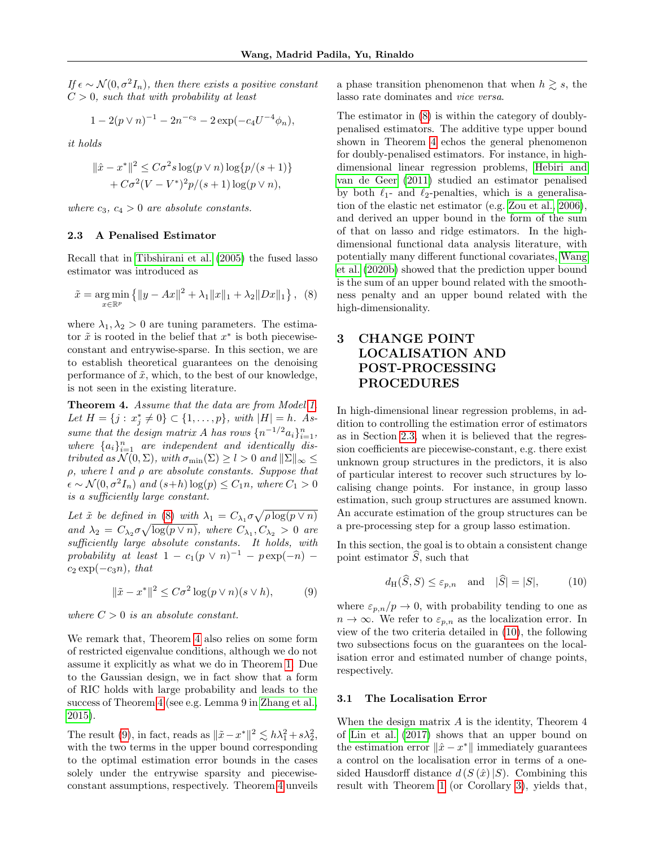If  $\epsilon \sim \mathcal{N}(0, \sigma^2 I_n)$ , then there exists a positive constant  $C > 0$ , such that with probability at least

$$
1 - 2(p \vee n)^{-1} - 2n^{-c_3} - 2\exp(-c_4U^{-4}\phi_n),
$$

it holds

$$
\|\hat{x} - x^*\|^2 \le C\sigma^2 s \log(p \vee n) \log\{p/(s+1)\} + C\sigma^2 (V - V^*)^2 p/(s+1) \log(p \vee n),
$$

where  $c_3, c_4 > 0$  are absolute constants.

## <span id="page-4-4"></span>2.3 A Penalised Estimator

Recall that in [Tibshirani et al. \(2005\)](#page-9-0) the fused lasso estimator was introduced as

<span id="page-4-2"></span>
$$
\tilde{x} = \underset{x \in \mathbb{R}^p}{\arg \min} \left\{ \|y - Ax\|^2 + \lambda_1 \|x\|_1 + \lambda_2 \|Dx\|_1 \right\}, \tag{8}
$$

where  $\lambda_1, \lambda_2 > 0$  are tuning parameters. The estimator  $\tilde{x}$  is rooted in the belief that  $x^*$  is both piecewiseconstant and entrywise-sparse. In this section, we are to establish theoretical guarantees on the denoising performance of  $\tilde{x}$ , which, to the best of our knowledge, is not seen in the existing literature.

<span id="page-4-0"></span>Theorem 4. Assume that the data are from Model [1.](#page-2-2) Let  $H = \{j : x_j^* \neq 0\} \subset \{1, ..., p\}$ , with  $|H| = h$ . Assume that the design matrix A has rows  $\{n^{-1/2}a_i\}_{i=1}^n$ , where  ${a_i}_{i=1}^n$  are independent and identically distributed as  $\mathcal{N}(0, \Sigma)$ , with  $\sigma_{\min}(\Sigma) \geq l > 0$  and  $\|\Sigma\|_{\infty} \leq$  $\rho$ , where l and  $\rho$  are absolute constants. Suppose that  $\epsilon \sim \mathcal{N}(0, \sigma^2 I_n)$  and  $(s+h) \log(p) \leq C_1 n$ , where  $C_1 > 0$ is a sufficiently large constant.

Let  $\tilde{x}$  be defined in [\(8\)](#page-4-2) with  $\lambda_1 = C_{\lambda_1} \sigma \sqrt{\rho \log(p \vee n)}$ and  $\lambda_2 = C_{\lambda_2} \sigma \sqrt{\log(p \vee n)}$ , where  $C_{\lambda_1}, C_{\lambda_2} > 0$  are sufficiently large absolute constants. It holds, with probability at least  $1 - c_1(p \vee n)^{-1} - p \exp(-n)$  $c_2 \exp(-c_3 n)$ , that

<span id="page-4-3"></span>
$$
\|\tilde{x} - x^*\|^2 \le C\sigma^2 \log(p \vee n)(s \vee h),\tag{9}
$$

where  $C > 0$  is an absolute constant.

We remark that, Theorem [4](#page-4-0) also relies on some form of restricted eigenvalue conditions, although we do not assume it explicitly as what we do in Theorem [1.](#page-2-0) Due to the Gaussian design, we in fact show that a form of RIC holds with large probability and leads to the success of Theorem [4](#page-4-0) (see e.g. Lemma 9 in [Zhang et al.,](#page-10-10) [2015\)](#page-10-10).

The result [\(9\)](#page-4-3), in fact, reads as  $\|\tilde{x} - x^*\|^2 \lesssim h\lambda_1^2 + s\lambda_2^2$ , with the two terms in the upper bound corresponding to the optimal estimation error bounds in the cases solely under the entrywise sparsity and piecewiseconstant assumptions, respectively. Theorem [4](#page-4-0) unveils a phase transition phenomenon that when  $h \geq s$ , the lasso rate dominates and vice versa.

The estimator in [\(8\)](#page-4-2) is within the category of doublypenalised estimators. The additive type upper bound shown in Theorem [4](#page-4-0) echos the general phenomenon for doubly-penalised estimators. For instance, in highdimensional linear regression problems, [Hebiri and](#page-9-21) [van de Geer \(2011\)](#page-9-21) studied an estimator penalised by both  $\ell_1$ - and  $\ell_2$ -penalties, which is a generalisation of the elastic net estimator (e.g. [Zou et al., 2006\)](#page-10-0), and derived an upper bound in the form of the sum of that on lasso and ridge estimators. In the highdimensional functional data analysis literature, with potentially many different functional covariates, [Wang](#page-10-11) [et al. \(2020b\)](#page-10-11) showed that the prediction upper bound is the sum of an upper bound related with the smoothness penalty and an upper bound related with the high-dimensionality.

# <span id="page-4-1"></span>3 CHANGE POINT LOCALISATION AND POST-PROCESSING PROCEDURES

In high-dimensional linear regression problems, in addition to controlling the estimation error of estimators as in Section [2.3,](#page-4-4) when it is believed that the regression coefficients are piecewise-constant, e.g. there exist unknown group structures in the predictors, it is also of particular interest to recover such structures by localising change points. For instance, in group lasso estimation, such group structures are assumed known. An accurate estimation of the group structures can be a pre-processing step for a group lasso estimation.

In this section, the goal is to obtain a consistent change point estimator  $\hat{S}$ , such that

<span id="page-4-5"></span>
$$
d_H(\widehat{S}, S) \le \varepsilon_{p,n}
$$
 and  $|\widehat{S}| = |S|,$  (10)

where  $\varepsilon_{p,n}/p \to 0$ , with probability tending to one as  $n \to \infty$ . We refer to  $\varepsilon_{p,n}$  as the localization error. In view of the two criteria detailed in [\(10\)](#page-4-5), the following two subsections focus on the guarantees on the localisation error and estimated number of change points, respectively.

## 3.1 The Localisation Error

When the design matrix A is the identity, Theorem 4 of [Lin et al. \(2017\)](#page-9-16) shows that an upper bound on the estimation error  $\|\hat{x} - x^*\|$  immediately guarantees a control on the localisation error in terms of a onesided Hausdorff distance  $d(S(\hat{x})|S)$ . Combining this result with Theorem [1](#page-2-0) (or Corollary [3\)](#page-3-3), yields that,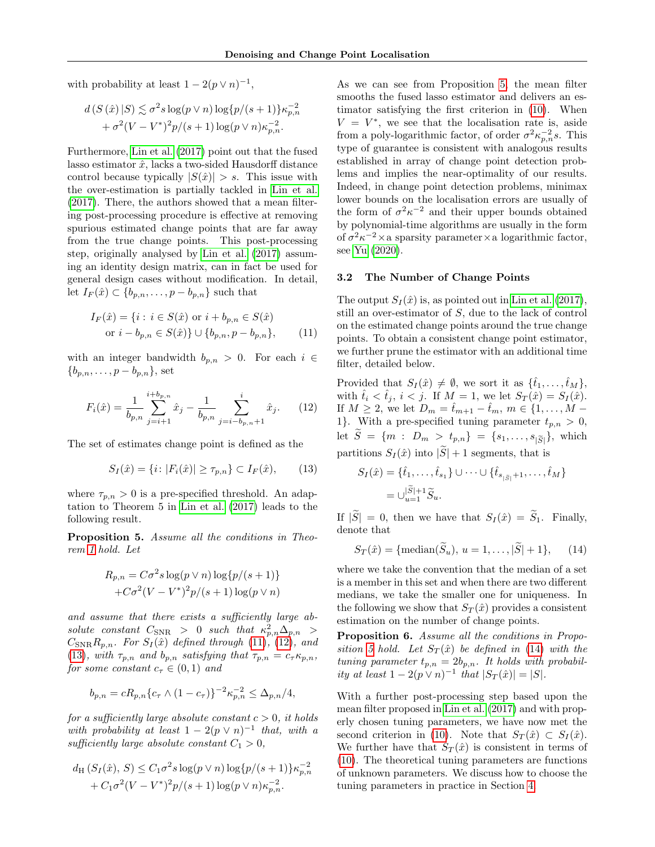with probability at least  $1 - 2(p \vee n)^{-1}$ ,

$$
d(S(\hat{x})|S) \lesssim \sigma^2 s \log(p \vee n) \log\{p/(s+1)\}\kappa_{p,n}^{-2} + \sigma^2 (V - V^*)^2 p/(s+1) \log(p \vee n)\kappa_{p,n}^{-2}.
$$

Furthermore, [Lin et al. \(2017\)](#page-9-16) point out that the fused lasso estimator  $\hat{x}$ , lacks a two-sided Hausdorff distance control because typically  $|S(\hat{x})| > s$ . This issue with the over-estimation is partially tackled in [Lin et al.](#page-9-16) [\(2017\)](#page-9-16). There, the authors showed that a mean filtering post-processing procedure is effective at removing spurious estimated change points that are far away from the true change points. This post-processing step, originally analysed by [Lin et al. \(2017\)](#page-9-16) assuming an identity design matrix, can in fact be used for general design cases without modification. In detail, let  $I_F(\hat{x}) \subset \{b_{p,n}, \ldots, p-b_{p,n}\}\$  such that

$$
I_F(\hat{x}) = \{ i : i \in S(\hat{x}) \text{ or } i + b_{p,n} \in S(\hat{x})
$$
  
or  $i - b_{p,n} \in S(\hat{x}) \} \cup \{ b_{p,n}, p - b_{p,n} \},$  (11)

with an integer bandwidth  $b_{p,n} > 0$ . For each  $i \in$  ${b_{p,n}, \ldots, p-b_{p,n}}$ , set

<span id="page-5-1"></span>
$$
F_i(\hat{x}) = \frac{1}{b_{p,n}} \sum_{j=i+1}^{i+b_{p,n}} \hat{x}_j - \frac{1}{b_{p,n}} \sum_{j=i-b_{p,n}+1}^{i} \hat{x}_j.
$$
 (12)

The set of estimates change point is defined as the

<span id="page-5-2"></span>
$$
S_I(\hat{x}) = \{ i : |F_i(\hat{x})| \ge \tau_{p,n} \} \subset I_F(\hat{x}), \qquad (13)
$$

where  $\tau_{p,n} > 0$  is a pre-specified threshold. An adaptation to Theorem 5 in [Lin et al. \(2017\)](#page-9-16) leads to the following result.

<span id="page-5-3"></span>Proposition 5. Assume all the conditions in Theorem [1](#page-2-0) hold. Let

$$
R_{p,n} = C\sigma^2 s \log(p \vee n) \log\{p/(s+1)\}
$$

$$
+ C\sigma^2 (V - V^*)^2 p/(s+1) \log(p \vee n)
$$

and assume that there exists a sufficiently large absolute constant  $C_{SNR} > 0$  such that  $\kappa_{p,n}^2 \Delta_{p,n} >$  $C_{SNR}R_{p,n}$ . For  $S_I(\hat{x})$  defined through [\(11\)](#page-5-0), [\(12\)](#page-5-1), and [\(13\)](#page-5-2), with  $\tau_{p,n}$  and  $b_{p,n}$  satisfying that  $\tau_{p,n} = c_{\tau} \kappa_{p,n}$ , for some constant  $c_{\tau} \in (0,1)$  and

$$
b_{p,n} = cR_{p,n} \{c_{\tau} \wedge (1 - c_{\tau})\}^{-2} \kappa_{p,n}^{-2} \leq \Delta_{p,n}/4,
$$

for a sufficiently large absolute constant  $c > 0$ , it holds with probability at least  $1 - 2(p \vee n)^{-1}$  that, with a sufficiently large absolute constant  $C_1 > 0$ ,

$$
d_{\rm H} (S_I(\hat{x}), S) \le C_1 \sigma^2 s \log(p \vee n) \log\{p/(s+1)\} \kappa_{p,n}^{-2} + C_1 \sigma^2 (V - V^*)^2 p/(s+1) \log(p \vee n) \kappa_{p,n}^{-2}.
$$

As we can see from Proposition [5,](#page-5-3) the mean filter smooths the fused lasso estimator and delivers an estimator satisfying the first criterion in [\(10\)](#page-4-5). When  $V = V^*$ , we see that the localisation rate is, aside from a poly-logarithmic factor, of order  $\sigma^2 \kappa_{p,n}^{-2} s$ . This type of guarantee is consistent with analogous results established in array of change point detection problems and implies the near-optimality of our results. Indeed, in change point detection problems, minimax lower bounds on the localisation errors are usually of the form of  $\sigma^2 \kappa^{-2}$  and their upper bounds obtained by polynomial-time algorithms are usually in the form of  $\sigma^2 \kappa^{-2} \times$  a sparsity parameter  $\times$  a logarithmic factor, see [Yu \(2020\)](#page-10-12).

## <span id="page-5-5"></span>3.2 The Number of Change Points

<span id="page-5-0"></span>The output  $S_I(\hat{x})$  is, as pointed out in [Lin et al. \(2017\)](#page-9-16), still an over-estimator of S, due to the lack of control on the estimated change points around the true change points. To obtain a consistent change point estimator, we further prune the estimator with an additional time filter, detailed below.

Provided that  $S_I(\hat{x}) \neq \emptyset$ , we sort it as  $\{\hat{t}_1, \ldots, \hat{t}_M\},\$ with  $\hat{t}_i < \hat{t}_j$ ,  $i < j$ . If  $M = 1$ , we let  $S_T(\hat{x}) = S_I(\hat{x})$ . If  $M \ge 2$ , we let  $D_m = \hat{t}_{m+1} - \hat{t}_m$ ,  $m \in \{1, ..., M - \}$ 1}. With a pre-specified tuning parameter  $t_{p,n} > 0$ , let  $S = \{m : D_m > t_{p,n}\} = \{s_1, \ldots, s_{|\widetilde{S}|}\},\$  which partitions  $S_I(\hat{x})$  into  $|\widetilde{S}|+1$  segments, that is

$$
S_I(\hat{x}) = \{\hat{t}_1, \dots, \hat{t}_{s_1}\} \cup \dots \cup \{\hat{t}_{s_{|\tilde{S}|}+1}, \dots, \hat{t}_M\}
$$
  
=  $\bigcup_{u=1}^{|\tilde{S}|+1} \tilde{S}_u$ .

If  $|\widetilde{S}| = 0$ , then we have that  $S_I(\hat{x}) = \widetilde{S}_1$ . Finally, denote that

<span id="page-5-4"></span>
$$
S_T(\hat{x}) = \{\text{median}(\widetilde{S}_u), u = 1, ..., |\widetilde{S}| + 1\},
$$
 (14)

where we take the convention that the median of a set is a member in this set and when there are two different medians, we take the smaller one for uniqueness. In the following we show that  $S_T(\hat{x})$  provides a consistent estimation on the number of change points.

<span id="page-5-6"></span>Proposition 6. Assume all the conditions in Propo-sition [5](#page-5-3) hold. Let  $S_T(\hat{x})$  be defined in [\(14\)](#page-5-4) with the tuning parameter  $t_{p,n} = 2b_{p,n}$ . It holds with probability at least  $1 - 2(p \vee n)^{-1}$  that  $|S_T(\hat{x})| = |S|$ .

With a further post-processing step based upon the mean filter proposed in [Lin et al. \(2017\)](#page-9-16) and with properly chosen tuning parameters, we have now met the second criterion in [\(10\)](#page-4-5). Note that  $S_T(\hat{x}) \subset S_I(\hat{x})$ . We further have that  $S_T(\hat{x})$  is consistent in terms of [\(10\)](#page-4-5). The theoretical tuning parameters are functions of unknown parameters. We discuss how to choose the tuning parameters in practice in Section [4.](#page-6-1)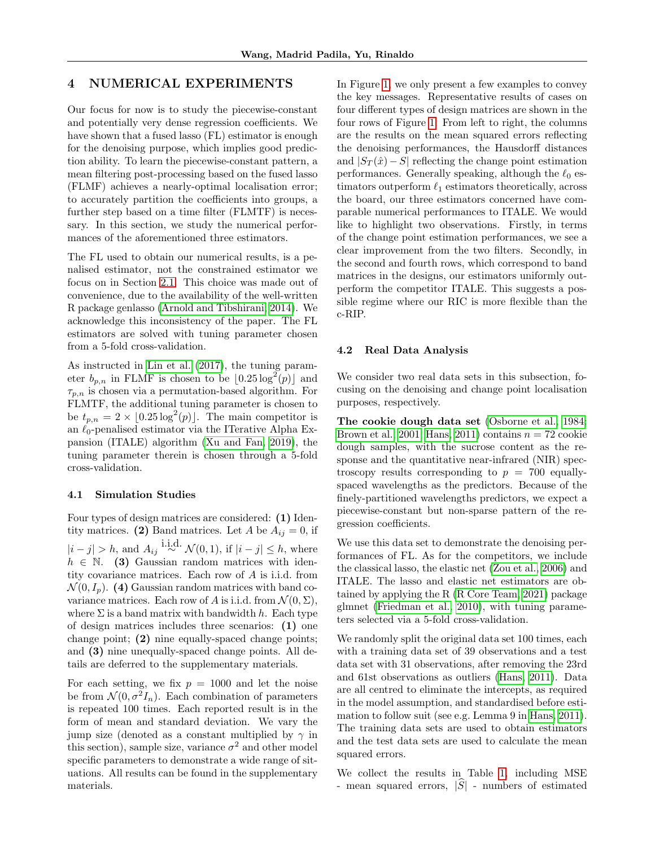# <span id="page-6-1"></span>4 NUMERICAL EXPERIMENTS

Our focus for now is to study the piecewise-constant and potentially very dense regression coefficients. We have shown that a fused lasso (FL) estimator is enough for the denoising purpose, which implies good prediction ability. To learn the piecewise-constant pattern, a mean filtering post-processing based on the fused lasso (FLMF) achieves a nearly-optimal localisation error; to accurately partition the coefficients into groups, a further step based on a time filter (FLMTF) is necessary. In this section, we study the numerical performances of the aforementioned three estimators.

The FL used to obtain our numerical results, is a penalised estimator, not the constrained estimator we focus on in Section [2.1.](#page-2-7) This choice was made out of convenience, due to the availability of the well-written R package genlasso [\(Arnold and Tibshirani, 2014\)](#page-9-22). We acknowledge this inconsistency of the paper. The FL estimators are solved with tuning parameter chosen from a 5-fold cross-validation.

As instructed in [Lin et al. \(2017\)](#page-9-16), the tuning parameter  $b_{p,n}$  in FLMF is chosen to be  $\lfloor 0.25 \log^2(p) \rfloor$  and  $\tau_{p,n}$  is chosen via a permutation-based algorithm. For FLMTF, the additional tuning parameter is chosen to be  $t_{p,n} = 2 \times [0.25 \log^2(p)]$ . The main competitor is an  $\ell_0$ -penalised estimator via the ITerative Alpha Expansion (ITALE) algorithm [\(Xu and Fan, 2019\)](#page-10-6), the tuning parameter therein is chosen through a 5-fold cross-validation.

#### 4.1 Simulation Studies

Four types of design matrices are considered: (1) Identity matrices. (2) Band matrices. Let A be  $A_{ij} = 0$ , if  $|i-j| > h$ , and  $A_{ij} \stackrel{\text{i.i.d.}}{\sim} \mathcal{N}(0,1)$ , if  $|i-j| \leq h$ , where  $h \in \mathbb{N}$ . (3) Gaussian random matrices with identity covariance matrices. Each row of A is i.i.d. from  $\mathcal{N}(0, I_p)$ . (4) Gaussian random matrices with band covariance matrices. Each row of A is i.i.d. from  $\mathcal{N}(0, \Sigma)$ , where  $\Sigma$  is a band matrix with bandwidth h. Each type of design matrices includes three scenarios: (1) one change point; (2) nine equally-spaced change points; and (3) nine unequally-spaced change points. All details are deferred to the supplementary materials.

For each setting, we fix  $p = 1000$  and let the noise be from  $\mathcal{N}(0, \sigma^2 I_n)$ . Each combination of parameters is repeated 100 times. Each reported result is in the form of mean and standard deviation. We vary the jump size (denoted as a constant multiplied by  $\gamma$  in this section), sample size, variance  $\sigma^2$  and other model specific parameters to demonstrate a wide range of situations. All results can be found in the supplementary materials.

In Figure [1,](#page-8-0) we only present a few examples to convey the key messages. Representative results of cases on four different types of design matrices are shown in the four rows of Figure [1.](#page-8-0) From left to right, the columns are the results on the mean squared errors reflecting the denoising performances, the Hausdorff distances and  $|S_T(\hat{x}) - S|$  reflecting the change point estimation performances. Generally speaking, although the  $\ell_0$  estimators outperform  $\ell_1$  estimators theoretically, across the board, our three estimators concerned have comparable numerical performances to ITALE. We would like to highlight two observations. Firstly, in terms of the change point estimation performances, we see a clear improvement from the two filters. Secondly, in the second and fourth rows, which correspond to band matrices in the designs, our estimators uniformly outperform the competitor ITALE. This suggests a possible regime where our RIC is more flexible than the c-RIP.

#### <span id="page-6-0"></span>4.2 Real Data Analysis

We consider two real data sets in this subsection, focusing on the denoising and change point localisation purposes, respectively.

The cookie dough data set [\(Osborne et al., 1984;](#page-9-23) [Brown et al., 2001;](#page-9-24) [Hans, 2011\)](#page-9-25) contains  $n = 72$  cookie dough samples, with the sucrose content as the response and the quantitative near-infrared (NIR) spectroscopy results corresponding to  $p = 700$  equallyspaced wavelengths as the predictors. Because of the finely-partitioned wavelengths predictors, we expect a piecewise-constant but non-sparse pattern of the regression coefficients.

We use this data set to demonstrate the denoising performances of FL. As for the competitors, we include the classical lasso, the elastic net [\(Zou et al., 2006\)](#page-10-0) and ITALE. The lasso and elastic net estimators are obtained by applying the R [\(R Core Team, 2021\)](#page-9-26) package glmnet [\(Friedman et al., 2010\)](#page-9-27), with tuning parameters selected via a 5-fold cross-validation.

We randomly split the original data set 100 times, each with a training data set of 39 observations and a test data set with 31 observations, after removing the 23rd and 61st observations as outliers [\(Hans, 2011\)](#page-9-25). Data are all centred to eliminate the intercepts, as required in the model assumption, and standardised before estimation to follow suit (see e.g. Lemma 9 in [Hans, 2011\)](#page-9-25). The training data sets are used to obtain estimators and the test data sets are used to calculate the mean squared errors.

We collect the results in Table [1,](#page-7-0) including MSE - mean squared errors,  $|\hat{S}|$  - numbers of estimated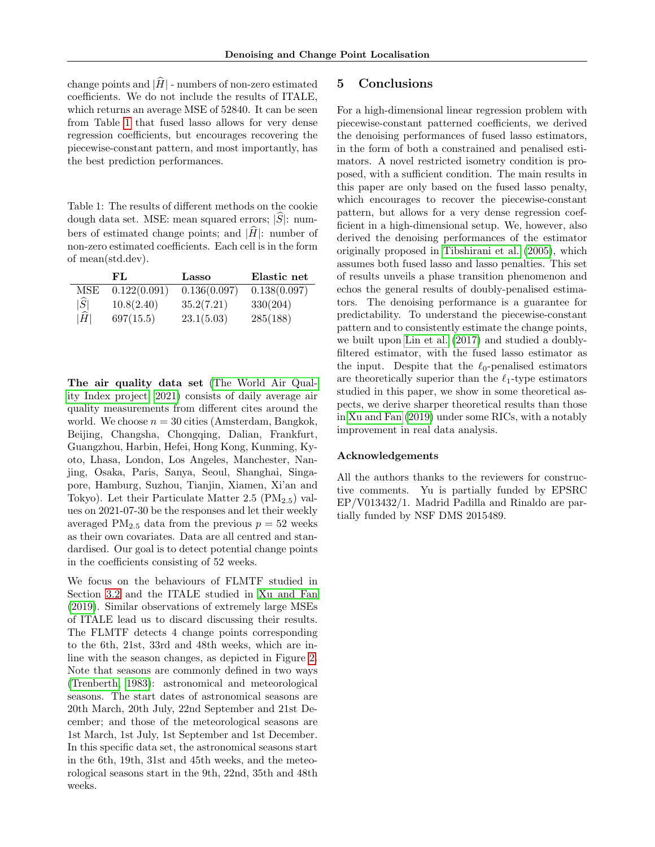change points and  $|\widehat{H}|$  - numbers of non-zero estimated coefficients. We do not include the results of ITALE, which returns an average MSE of 52840. It can be seen from Table [1](#page-7-0) that fused lasso allows for very dense regression coefficients, but encourages recovering the piecewise-constant pattern, and most importantly, has the best prediction performances.

<span id="page-7-0"></span>Table 1: The results of different methods on the cookie dough data set. MSE: mean squared errors;  $|S|$ : numbers of estimated change points; and  $|\hat{H}|$ : number of non-zero estimated coefficients. Each cell is in the form of mean(std.dev).

|                 | FL.          | Lasso        | Elastic net  |
|-----------------|--------------|--------------|--------------|
| MSE             | 0.122(0.091) | 0.136(0.097) | 0.138(0.097) |
| $ \widehat{S} $ | 10.8(2.40)   | 35.2(7.21)   | 330(204)     |
| $ \widehat{H} $ | 697(15.5)    | 23.1(5.03)   | 285(188)     |

The air quality data set [\(The World Air Qual](#page-9-28)[ity Index project, 2021\)](#page-9-28) consists of daily average air quality measurements from different cites around the world. We choose  $n = 30$  cities (Amsterdam, Bangkok, Beijing, Changsha, Chongqing, Dalian, Frankfurt, Guangzhou, Harbin, Hefei, Hong Kong, Kunming, Kyoto, Lhasa, London, Los Angeles, Manchester, Nanjing, Osaka, Paris, Sanya, Seoul, Shanghai, Singapore, Hamburg, Suzhou, Tianjin, Xiamen, Xi'an and Tokyo). Let their Particulate Matter 2.5  $(PM_{2.5})$  values on 2021-07-30 be the responses and let their weekly averaged  $PM_{2.5}$  data from the previous  $p = 52$  weeks as their own covariates. Data are all centred and standardised. Our goal is to detect potential change points in the coefficients consisting of 52 weeks.

We focus on the behaviours of FLMTF studied in Section [3.2](#page-5-5) and the ITALE studied in [Xu and Fan](#page-10-6) [\(2019\)](#page-10-6). Similar observations of extremely large MSEs of ITALE lead us to discard discussing their results. The FLMTF detects 4 change points corresponding to the 6th, 21st, 33rd and 48th weeks, which are inline with the season changes, as depicted in Figure [2.](#page-8-1) Note that seasons are commonly defined in two ways [\(Trenberth, 1983\)](#page-10-13): astronomical and meteorological seasons. The start dates of astronomical seasons are 20th March, 20th July, 22nd September and 21st December; and those of the meteorological seasons are 1st March, 1st July, 1st September and 1st December. In this specific data set, the astronomical seasons start in the 6th, 19th, 31st and 45th weeks, and the meteorological seasons start in the 9th, 22nd, 35th and 48th weeks.

# 5 Conclusions

For a high-dimensional linear regression problem with piecewise-constant patterned coefficients, we derived the denoising performances of fused lasso estimators, in the form of both a constrained and penalised estimators. A novel restricted isometry condition is proposed, with a sufficient condition. The main results in this paper are only based on the fused lasso penalty, which encourages to recover the piecewise-constant pattern, but allows for a very dense regression coefficient in a high-dimensional setup. We, however, also derived the denoising performances of the estimator originally proposed in [Tibshirani et al. \(2005\)](#page-9-0), which assumes both fused lasso and lasso penalties. This set of results unveils a phase transition phenomenon and echos the general results of doubly-penalised estimators. The denoising performance is a guarantee for predictability. To understand the piecewise-constant pattern and to consistently estimate the change points, we built upon [Lin et al. \(2017\)](#page-9-16) and studied a doublyfiltered estimator, with the fused lasso estimator as the input. Despite that the  $\ell_0$ -penalised estimators are theoretically superior than the  $\ell_1$ -type estimators studied in this paper, we show in some theoretical aspects, we derive sharper theoretical results than those in [Xu and Fan \(2019\)](#page-10-6) under some RICs, with a notably improvement in real data analysis.

### Acknowledgements

All the authors thanks to the reviewers for constructive comments. Yu is partially funded by EPSRC EP/V013432/1. Madrid Padilla and Rinaldo are partially funded by NSF DMS 2015489.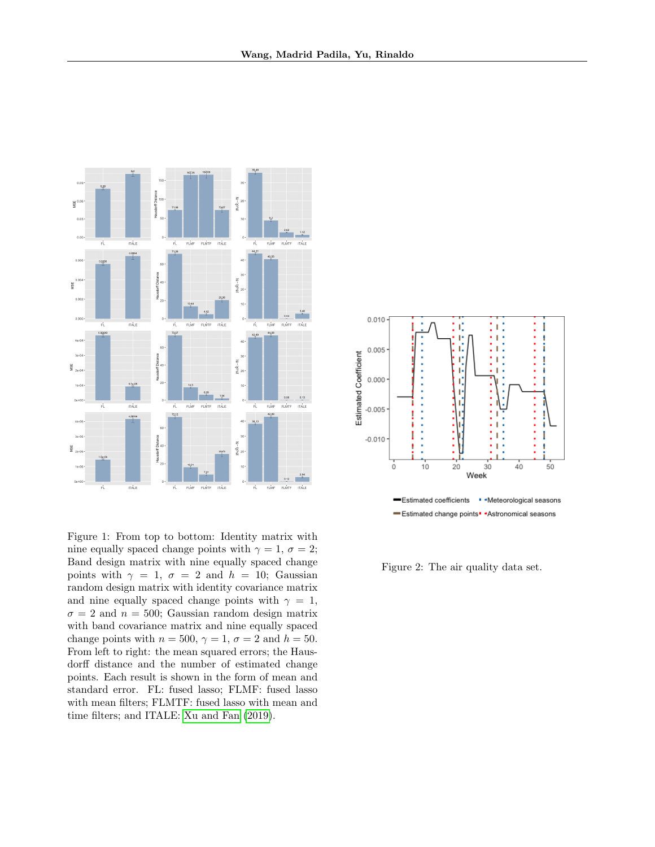

<span id="page-8-0"></span>Figure 1: From top to bottom: Identity matrix with nine equally spaced change points with  $\gamma = 1, \sigma = 2;$ Band design matrix with nine equally spaced change points with  $\gamma = 1$ ,  $\sigma = 2$  and  $h = 10$ ; Gaussian random design matrix with identity covariance matrix and nine equally spaced change points with  $\gamma = 1$ ,  $\sigma = 2$  and  $n = 500$ ; Gaussian random design matrix with band covariance matrix and nine equally spaced change points with  $n = 500$ ,  $\gamma = 1$ ,  $\sigma = 2$  and  $h = 50$ . From left to right: the mean squared errors; the Hausdorff distance and the number of estimated change points. Each result is shown in the form of mean and standard error. FL: fused lasso; FLMF: fused lasso with mean filters; FLMTF: fused lasso with mean and time filters; and ITALE: [Xu and Fan \(2019\)](#page-10-6).



<span id="page-8-1"></span>Figure 2: The air quality data set.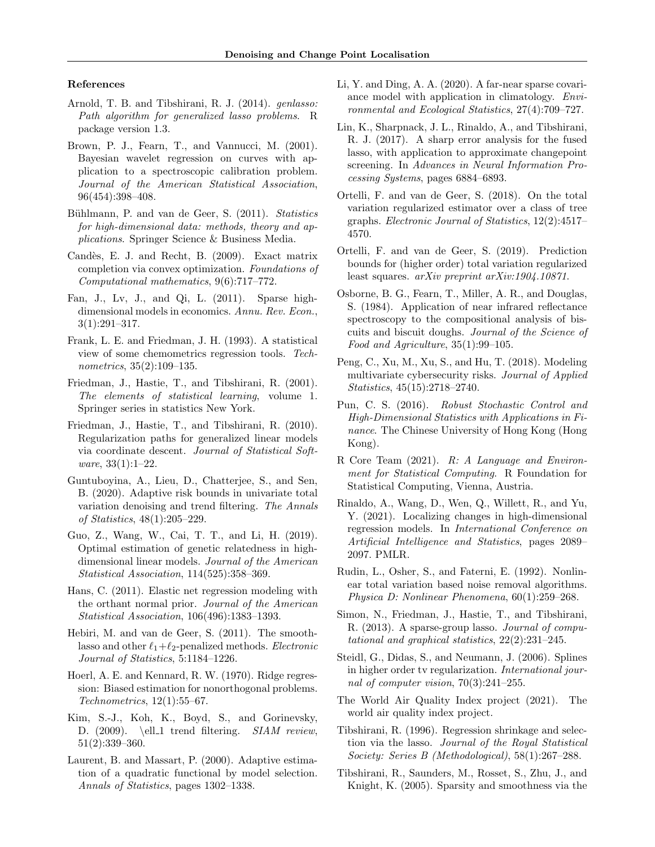#### References

- <span id="page-9-22"></span>Arnold, T. B. and Tibshirani, R. J. (2014). genlasso: Path algorithm for generalized lasso problems. R package version 1.3.
- <span id="page-9-24"></span>Brown, P. J., Fearn, T., and Vannucci, M. (2001). Bayesian wavelet regression on curves with application to a spectroscopic calibration problem. Journal of the American Statistical Association, 96(454):398–408.
- <span id="page-9-9"></span>Bühlmann, P. and van de Geer, S. (2011). Statistics for high-dimensional data: methods, theory and applications. Springer Science & Business Media.
- <span id="page-9-11"></span>Candès, E. J. and Recht, B. (2009). Exact matrix completion via convex optimization. Foundations of Computational mathematics, 9(6):717–772.
- <span id="page-9-3"></span>Fan, J., Lv, J., and Qi, L. (2011). Sparse highdimensional models in economics. Annu. Rev. Econ.,  $3(1):291-317.$
- <span id="page-9-8"></span>Frank, L. E. and Friedman, J. H. (1993). A statistical view of some chemometrics regression tools. Technometrics, 35(2):109–135.
- <span id="page-9-13"></span>Friedman, J., Hastie, T., and Tibshirani, R. (2001). The elements of statistical learning, volume 1. Springer series in statistics New York.
- <span id="page-9-27"></span>Friedman, J., Hastie, T., and Tibshirani, R. (2010). Regularization paths for generalized linear models via coordinate descent. Journal of Statistical Software, 33(1):1–22.
- <span id="page-9-14"></span>Guntuboyina, A., Lieu, D., Chatterjee, S., and Sen, B. (2020). Adaptive risk bounds in univariate total variation denoising and trend filtering. The Annals of Statistics, 48(1):205–229.
- <span id="page-9-1"></span>Guo, Z., Wang, W., Cai, T. T., and Li, H. (2019). Optimal estimation of genetic relatedness in highdimensional linear models. Journal of the American Statistical Association, 114(525):358–369.
- <span id="page-9-25"></span>Hans, C. (2011). Elastic net regression modeling with the orthant normal prior. Journal of the American Statistical Association, 106(496):1383–1393.
- <span id="page-9-21"></span>Hebiri, M. and van de Geer, S. (2011). The smoothlasso and other  $\ell_1+\ell_2$ -penalized methods. Electronic Journal of Statistics, 5:1184–1226.
- <span id="page-9-6"></span>Hoerl, A. E. and Kennard, R. W. (1970). Ridge regression: Biased estimation for nonorthogonal problems. Technometrics, 12(1):55–67.
- <span id="page-9-12"></span>Kim, S.-J., Koh, K., Boyd, S., and Gorinevsky, D.  $(2009)$ . \ell\_1 trend filtering. SIAM review, 51(2):339–360.
- <span id="page-9-29"></span>Laurent, B. and Massart, P. (2000). Adaptive estimation of a quadratic functional by model selection. Annals of Statistics, pages 1302–1338.
- <span id="page-9-5"></span>Li, Y. and Ding, A. A. (2020). A far-near sparse covariance model with application in climatology. Environmental and Ecological Statistics, 27(4):709–727.
- <span id="page-9-16"></span>Lin, K., Sharpnack, J. L., Rinaldo, A., and Tibshirani, R. J. (2017). A sharp error analysis for the fused lasso, with application to approximate changepoint screening. In Advances in Neural Information Processing Systems, pages 6884–6893.
- <span id="page-9-18"></span>Ortelli, F. and van de Geer, S. (2018). On the total variation regularized estimator over a class of tree graphs. Electronic Journal of Statistics, 12(2):4517– 4570.
- <span id="page-9-15"></span>Ortelli, F. and van de Geer, S. (2019). Prediction bounds for (higher order) total variation regularized least squares. arXiv preprint arXiv:1904.10871.
- <span id="page-9-23"></span>Osborne, B. G., Fearn, T., Miller, A. R., and Douglas, S. (1984). Application of near infrared reflectance spectroscopy to the compositional analysis of biscuits and biscuit doughs. Journal of the Science of Food and Agriculture, 35(1):99–105.
- <span id="page-9-4"></span>Peng, C., Xu, M., Xu, S., and Hu, T. (2018). Modeling multivariate cybersecurity risks. Journal of Applied Statistics, 45(15):2718–2740.
- <span id="page-9-2"></span>Pun, C. S. (2016). Robust Stochastic Control and High-Dimensional Statistics with Applications in Finance. The Chinese University of Hong Kong (Hong Kong).
- <span id="page-9-26"></span>R Core Team (2021). R: A Language and Environment for Statistical Computing. R Foundation for Statistical Computing, Vienna, Austria.
- <span id="page-9-17"></span>Rinaldo, A., Wang, D., Wen, Q., Willett, R., and Yu, Y. (2021). Localizing changes in high-dimensional regression models. In International Conference on Artificial Intelligence and Statistics, pages 2089– 2097. PMLR.
- <span id="page-9-19"></span>Rudin, L., Osher, S., and Faterni, E. (1992). Nonlinear total variation based noise removal algorithms. Physica D: Nonlinear Phenomena, 60(1):259–268.
- <span id="page-9-10"></span>Simon, N., Friedman, J., Hastie, T., and Tibshirani, R. (2013). A sparse-group lasso. Journal of computational and graphical statistics, 22(2):231–245.
- <span id="page-9-20"></span>Steidl, G., Didas, S., and Neumann, J. (2006). Splines in higher order tv regularization. International journal of computer vision, 70(3):241–255.
- <span id="page-9-28"></span>The World Air Quality Index project (2021). The world air quality index project.
- <span id="page-9-7"></span>Tibshirani, R. (1996). Regression shrinkage and selection via the lasso. Journal of the Royal Statistical Society: Series B (Methodological), 58(1):267–288.
- <span id="page-9-0"></span>Tibshirani, R., Saunders, M., Rosset, S., Zhu, J., and Knight, K. (2005). Sparsity and smoothness via the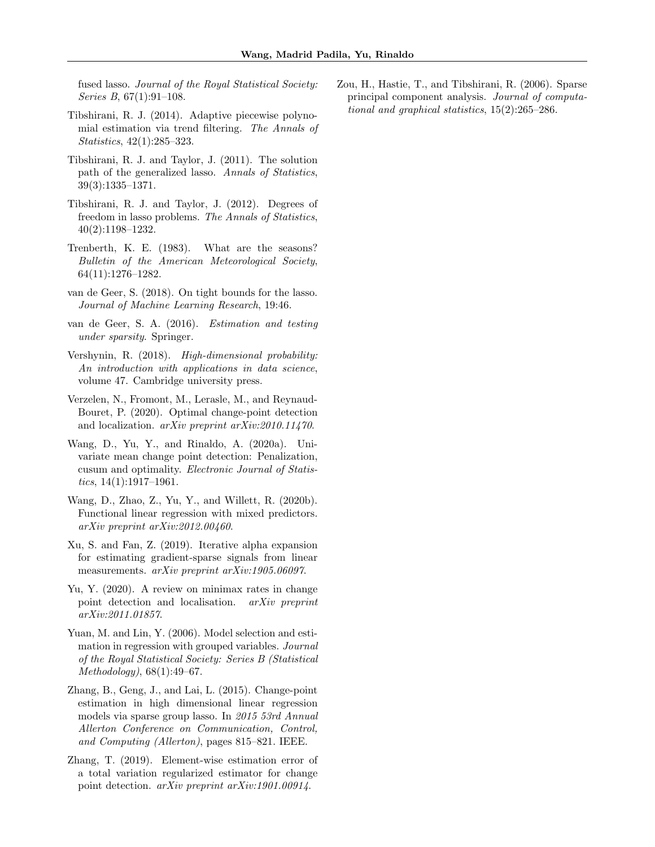fused lasso. Journal of the Royal Statistical Society: Series B, 67(1):91–108.

- <span id="page-10-2"></span>Tibshirani, R. J. (2014). Adaptive piecewise polynomial estimation via trend filtering. The Annals of Statistics, 42(1):285–323.
- <span id="page-10-7"></span>Tibshirani, R. J. and Taylor, J. (2011). The solution path of the generalized lasso. Annals of Statistics, 39(3):1335–1371.
- <span id="page-10-8"></span>Tibshirani, R. J. and Taylor, J. (2012). Degrees of freedom in lasso problems. The Annals of Statistics, 40(2):1198–1232.
- <span id="page-10-13"></span>Trenberth, K. E. (1983). What are the seasons? Bulletin of the American Meteorological Society, 64(11):1276–1282.
- <span id="page-10-9"></span>van de Geer, S. (2018). On tight bounds for the lasso. Journal of Machine Learning Research, 19:46.
- <span id="page-10-14"></span>van de Geer, S. A. (2016). Estimation and testing under sparsity. Springer.
- <span id="page-10-15"></span>Vershynin, R. (2018). High-dimensional probability: An introduction with applications in data science, volume 47. Cambridge university press.
- <span id="page-10-5"></span>Verzelen, N., Fromont, M., Lerasle, M., and Reynaud-Bouret, P. (2020). Optimal change-point detection and localization. arXiv preprint arXiv:2010.11470.
- <span id="page-10-4"></span>Wang, D., Yu, Y., and Rinaldo, A. (2020a). Univariate mean change point detection: Penalization, cusum and optimality. Electronic Journal of Statistics,  $14(1):1917-1961$ .
- <span id="page-10-11"></span>Wang, D., Zhao, Z., Yu, Y., and Willett, R. (2020b). Functional linear regression with mixed predictors. arXiv preprint arXiv:2012.00460.
- <span id="page-10-6"></span>Xu, S. and Fan, Z. (2019). Iterative alpha expansion for estimating gradient-sparse signals from linear measurements. arXiv preprint arXiv:1905.06097.
- <span id="page-10-12"></span>Yu, Y. (2020). A review on minimax rates in change point detection and localisation. arXiv preprint arXiv:2011.01857.
- <span id="page-10-1"></span>Yuan, M. and Lin, Y. (2006). Model selection and estimation in regression with grouped variables. Journal of the Royal Statistical Society: Series B (Statistical Methodology), 68(1):49–67.
- <span id="page-10-10"></span>Zhang, B., Geng, J., and Lai, L. (2015). Change-point estimation in high dimensional linear regression models via sparse group lasso. In 2015 53rd Annual Allerton Conference on Communication, Control, and Computing (Allerton), pages 815–821. IEEE.
- <span id="page-10-3"></span>Zhang, T. (2019). Element-wise estimation error of a total variation regularized estimator for change point detection. arXiv preprint arXiv:1901.00914.

<span id="page-10-0"></span>Zou, H., Hastie, T., and Tibshirani, R. (2006). Sparse principal component analysis. Journal of computational and graphical statistics, 15(2):265–286.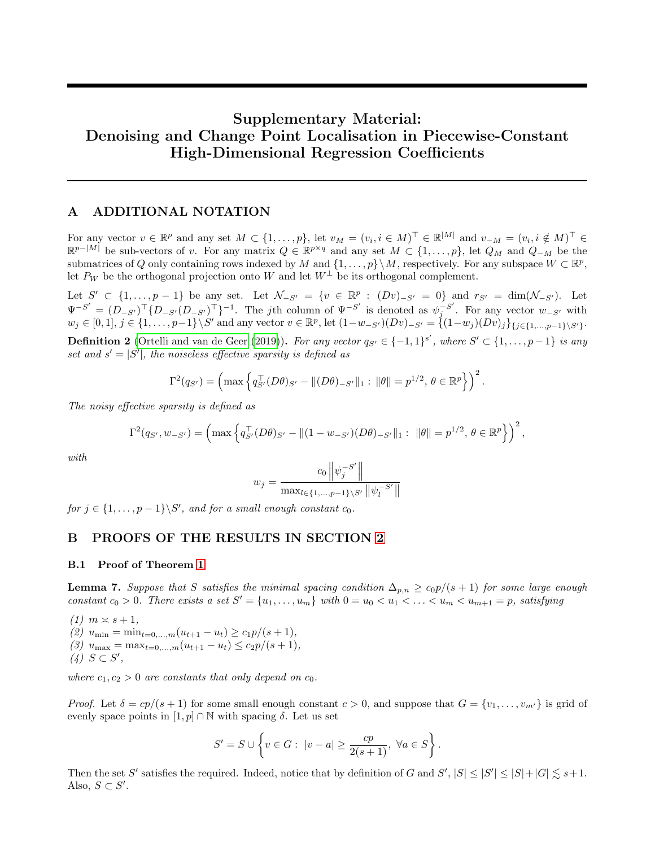# Supplementary Material: Denoising and Change Point Localisation in Piecewise-Constant High-Dimensional Regression Coefficients

# A ADDITIONAL NOTATION

For any vector  $v \in \mathbb{R}^p$  and any set  $M \subset \{1, \ldots, p\}$ , let  $v_M = (v_i, i \in M)^\top \in \mathbb{R}^{|M|}$  and  $v_{-M} = (v_i, i \notin M)^\top \in$  $\mathbb{R}^{p-|M|}$  be sub-vectors of v. For any matrix  $Q \in \mathbb{R}^{p \times q}$  and any set  $M \subset \{1, \ldots, p\}$ , let  $Q_M$  and  $Q_{-M}$  be the submatrices of Q only containing rows indexed by M and  $\{1, \ldots, p\} \setminus M$ , respectively. For any subspace  $W \subset \mathbb{R}^p$ , let  $P_W$  be the orthogonal projection onto W and let  $W^{\perp}$  be its orthogonal complement.

Let  $S' \subset \{1, ..., p-1\}$  be any set. Let  $\mathcal{N}_{-S'} = \{v \in \mathbb{R}^p : (Dv)_{-S'} = 0\}$  and  $r_{S'} = \dim(\mathcal{N}_{-S'})$ . Let  $\Psi^{-S'} = (D_{-S'} )^{\top} \{ D_{-S'} (D_{-S'} )^{\top} \}^{-1}$ . The jth column of  $\Psi^{-S'}$  is denoted as  $\psi_j^{-S'}$  $j^{\text{-s}}$ . For any vector  $w_{-S'}$  with  $w_j \in [0,1], j \in \{1, \ldots, p-1\} \backslash S'$  and any vector  $v \in \mathbb{R}^p$ , let  $(1-w_{-S'})(Dv)_{-S'} = \{(1-w_j)(Dv)_j\}_{\{j \in \{1, \ldots, p-1\} \backslash S'\}}$ .

**Definition 2** [\(Ortelli and van de Geer \(2019\)](#page-9-15)). For any vector  $q_{S'} \in \{-1,1\}^{s'}$ , where  $S' \subset \{1,\ldots,p-1\}$  is any set and  $s' = |S'|$ , the noiseless effective sparsity is defined as

$$
\Gamma^2(q_{S'}) = \left(\max\left\{q_{S'}^{\top}(D\theta)_{S'} - ||(D\theta)_{-S'}||_1 : ||\theta|| = p^{1/2}, \theta \in \mathbb{R}^p\right\}\right)^2.
$$

The noisy effective sparsity is defined as

$$
\Gamma^2(q_{S'}, w_{-S'}) = \left(\max\left\{q_{S'}^\top (D\theta)_{S'} - \|(1 - w_{-S'})(D\theta)_{-S'}\|_1 : \ \|\theta\| = p^{1/2}, \ \theta \in \mathbb{R}^p\right\}\right)^2,
$$

with

$$
w_j = \frac{c_0 \left\| \psi_j^{-S'} \right\|}{\max_{l \in \{1, ..., p-1\} \setminus S'} \left\| \psi_l^{-S'} \right\|}
$$

for  $j \in \{1, \ldots, p-1\} \backslash S'$ , and for a small enough constant  $c_0$ .

# B PROOFS OF THE RESULTS IN SECTION [2](#page-2-8)

## B.1 Proof of Theorem [1](#page-2-0)

<span id="page-11-0"></span>**Lemma 7.** Suppose that S satisfies the minimal spacing condition  $\Delta_{p,n} \ge c_0 p/(s+1)$  for some large enough constant  $c_0 > 0$ . There exists a set  $S' = \{u_1, \ldots, u_m\}$  with  $0 = u_0 < u_1 < \ldots < u_m < u_{m+1} = p$ , satisfying

 $(1)$   $m \asymp s + 1$ , (2)  $u_{\min} = \min_{t=0,\dots,m} (u_{t+1} - u_t) \geq c_1 p/(s+1),$ (3)  $u_{\text{max}} = \max_{t=0,\dots,m} (u_{t+1} - u_t) \leq c_2 p/(s+1),$  $(4)$   $S \subset S'$ ,

where  $c_1, c_2 > 0$  are constants that only depend on  $c_0$ .

*Proof.* Let  $\delta = cp/(s+1)$  for some small enough constant  $c > 0$ , and suppose that  $G = \{v_1, \ldots, v_{m'}\}$  is grid of evenly space points in  $[1, p] \cap \mathbb{N}$  with spacing  $\delta$ . Let us set

$$
S'=S\cup\left\{v\in G:\ |v-a|\geq\frac{cp}{2(s+1)},\ \forall a\in S\right\}.
$$

Then the set S' satisfies the required. Indeed, notice that by definition of G and  $S'$ ,  $|S| \leq |S'| \leq |S| + |G| \leq s+1$ . Also,  $S \subset S'$ .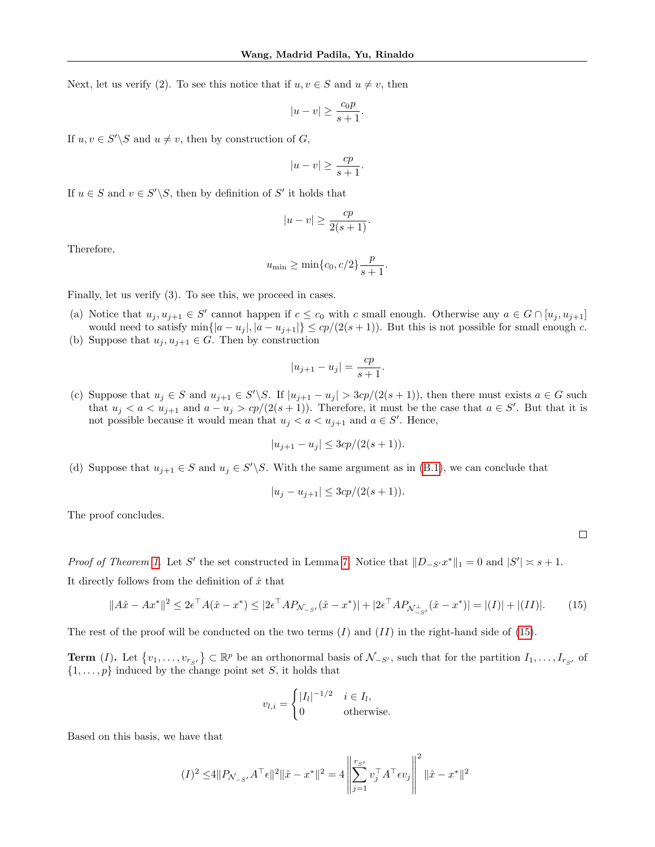Next, let us verify (2). To see this notice that if  $u, v \in S$  and  $u \neq v$ , then

$$
|u - v| \ge \frac{c_0 p}{s + 1}.
$$

If  $u, v \in S' \backslash S$  and  $u \neq v$ , then by construction of G,

$$
|u - v| \ge \frac{cp}{s + 1}.
$$

If  $u \in S$  and  $v \in S' \backslash S$ , then by definition of S' it holds that

$$
|u - v| \ge \frac{cp}{2(s+1)}.
$$

Therefore,

$$
u_{\min} \ge \min\{c_0, c/2\} \frac{p}{s+1}.
$$

Finally, let us verify (3). To see this, we proceed in cases.

- (a) Notice that  $u_j, u_{j+1} \in S'$  cannot happen if  $c \le c_0$  with c small enough. Otherwise any  $a \in G \cap [u_j, u_{j+1}]$ would need to satisfy  $\min\{|a - u_j|, |a - u_{j+1}|\} \leq cp/(2(s+1))$ . But this is not possible for small enough c.
- (b) Suppose that  $u_j, u_{j+1} \in G$ . Then by construction

$$
|u_{j+1} - u_j| = \frac{cp}{s+1}.
$$

(c) Suppose that  $u_j \in S$  and  $u_{j+1} \in S' \backslash S$ . If  $|u_{j+1} - u_j| > 3cp/(2(s+1))$ , then there must exists  $a \in G$  such that  $u_j < a < u_{j+1}$  and  $a - u_j > c p/(2(s+1))$ . Therefore, it must be the case that  $a \in S'$ . But that it is not possible because it would mean that  $u_j < a < u_{j+1}$  and  $a \in S'$ . Hence,

$$
|u_{j+1} - u_j| \le 3cp/(2(s+1)).
$$

(d) Suppose that  $u_{j+1} \in S$  and  $u_j \in S' \backslash S$ . With the same argument as in [\(B.1\)](#page-11-0), we can conclude that

$$
|u_j - u_{j+1}| \le 3cp/(2(s+1)).
$$

The proof concludes.

*Proof of Theorem [1.](#page-2-0)* Let S' the set constructed in Lemma [7.](#page-11-0) Notice that  $||D_{-S'}x^*||_1 = 0$  and  $|S'| \approx s + 1$ . It directly follows from the definition of  $\hat{x}$  that

$$
||A\hat{x} - Ax^*||^2 \le 2\epsilon^\top A(\hat{x} - x^*) \le |2\epsilon^\top A P_{\mathcal{N}_{-S'}}(\hat{x} - x^*)| + |2\epsilon^\top A P_{\mathcal{N}_{-S'}^{\perp}}(\hat{x} - x^*)| = |(I)| + |(II)|. \tag{15}
$$

<span id="page-12-0"></span> $\Box$ 

The rest of the proof will be conducted on the two terms  $(I)$  and  $(II)$  in the right-hand side of [\(15\)](#page-12-0).

**Term** (*I*). Let  $\{v_1, \ldots, v_{r_{S'}}\} \subset \mathbb{R}^p$  be an orthonormal basis of  $\mathcal{N}_{-S'}$ , such that for the partition  $I_1, \ldots, I_{r_{S'}}$  of  $\{1, \ldots, p\}$  induced by the change point set S, it holds that

$$
v_{l,i} = \begin{cases} |I_l|^{-1/2} & i \in I_l, \\ 0 & \text{otherwise.} \end{cases}
$$

Based on this basis, we have that

$$
(I)^2 \le 4||P_{\mathcal{N}_{-S'}}A^{\top} \epsilon||^2||\hat{x} - x^*||^2 = 4\left\|\sum_{j=1}^{r_{S'}} v_j^{\top} A^{\top} \epsilon v_j\right\|^2 ||\hat{x} - x^*||^2
$$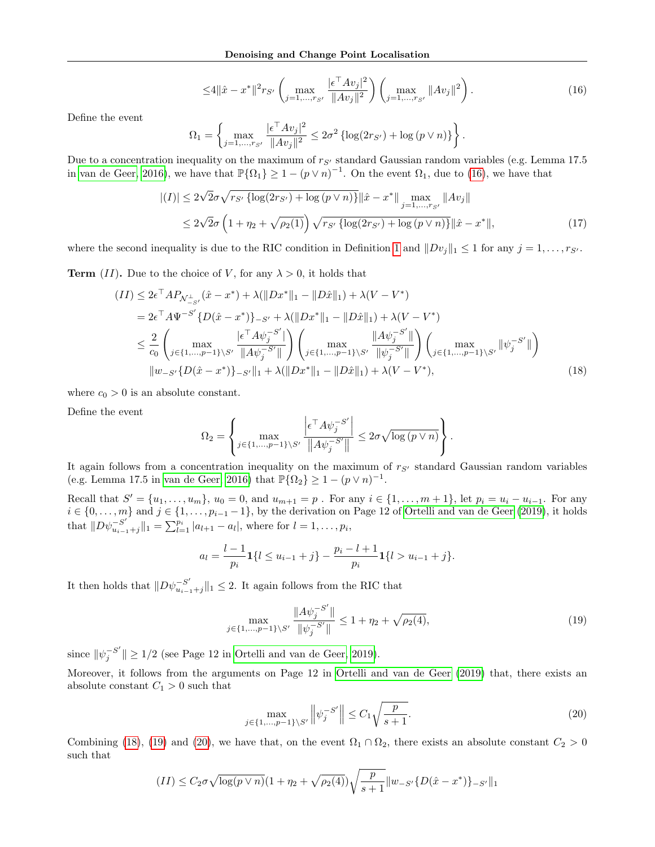<span id="page-13-0"></span>
$$
\leq 4||\hat{x} - x^*||^2 r_{S'} \left( \max_{j=1,\dots,r_{S'}} \frac{|\epsilon^\top A v_j|^2}{\|A v_j\|^2} \right) \left( \max_{j=1,\dots,r_{S'}} \|A v_j\|^2 \right). \tag{16}
$$

Define the event

<span id="page-13-4"></span>
$$
\Omega_1 = \left\{ \max_{j=1,\dots,r_{S'}} \frac{|\epsilon^{\top} A v_j|^2}{\|A v_j\|^2} \le 2\sigma^2 \left\{ \log(2r_{S'}) + \log(p \vee n) \right\} \right\}.
$$

Due to a concentration inequality on the maximum of  $r_{S'}$  standard Gaussian random variables (e.g. Lemma 17.5 in [van de Geer, 2016\)](#page-10-14), we have that  $\mathbb{P}\{\Omega_1\} \geq 1 - (p \vee n)^{-1}$ . On the event  $\Omega_1$ , due to [\(16\)](#page-13-0), we have that

$$
|(I)| \le 2\sqrt{2}\sigma\sqrt{r_{S'}} \left\{ \log(2r_{S'}) + \log(p\vee n) \right\} ||\hat{x} - x^*|| \max_{j=1,\dots,r_{S'}} ||Av_j||
$$
  
 
$$
\le 2\sqrt{2}\sigma \left( 1 + \eta_2 + \sqrt{\rho_2(1)} \right) \sqrt{r_{S'}} \left\{ \log(2r_{S'}) + \log(p\vee n) \right\} ||\hat{x} - x^*||,
$$
 (17)

where the second inequality is due to the RIC condition in Definition [1](#page-2-1) and  $||Dv_j||_1 \leq 1$  for any  $j = 1, \ldots, r_{S'}$ .

**Term** (II). Due to the choice of V, for any  $\lambda > 0$ , it holds that

$$
(II) \leq 2\epsilon^{\top} A P_{\mathcal{N}_{-S'}^{\perp}}(\hat{x} - x^{*}) + \lambda (\|Dx^{*}\|_{1} - \|D\hat{x}\|_{1}) + \lambda (V - V^{*})
$$
  
\n
$$
= 2\epsilon^{\top} A \Psi^{-S'} \{D(\hat{x} - x^{*})\}_{-S'} + \lambda (\|Dx^{*}\|_{1} - \|D\hat{x}\|_{1}) + \lambda (V - V^{*})
$$
  
\n
$$
\leq \frac{2}{c_{0}} \left( \max_{j \in \{1, \ldots, p-1\} \setminus S'} \frac{|\epsilon^{\top} A \psi_{j}^{-S'}|}{\|A \psi_{j}^{-S'}\|} \right) \left( \max_{j \in \{1, \ldots, p-1\} \setminus S'} \frac{\|A \psi_{j}^{-S'}\|}{\|\psi_{j}^{-S'}\|} \right) \left( \max_{j \in \{1, \ldots, p-1\} \setminus S'} \|\psi_{j}^{-S'}\| \right)
$$
  
\n
$$
\|w_{-S'} \{D(\hat{x} - x^{*})\}_{-S'} \|_{1} + \lambda (\|Dx^{*}\|_{1} - \|D\hat{x}\|_{1}) + \lambda (V - V^{*}), \tag{18}
$$

where  $c_0 > 0$  is an absolute constant.

Define the event

<span id="page-13-1"></span>
$$
\Omega_2 = \left\{ \max_{j \in \{1, \dots, p-1\} \setminus S'} \frac{\left| \epsilon^\top A \psi_j^{-S'} \right|}{\left\| A \psi_j^{-S'} \right\|} \leq 2\sigma \sqrt{\log (p \vee n)} \right\}.
$$

It again follows from a concentration inequality on the maximum of  $r_{S'}$  standard Gaussian random variables (e.g. Lemma 17.5 in [van de Geer, 2016\)](#page-10-14) that  $\mathbb{P}\{\Omega_2\} \geq 1 - (p \vee n)^{-1}$ .

Recall that  $S' = \{u_1, \ldots, u_m\}$ ,  $u_0 = 0$ , and  $u_{m+1} = p$ . For any  $i \in \{1, \ldots, m+1\}$ , let  $p_i = u_i - u_{i-1}$ . For any  $i \in \{0, \ldots, m\}$  and  $j \in \{1, \ldots, p_{i-1}-1\}$ , by the derivation on Page 12 of [Ortelli and van de Geer \(2019\)](#page-9-15), it holds that  $||D\psi_{u}^{-S'}||$  $\sum_{u_{i-1}+j}^{S'} ||_1 = \sum_{l=1}^{p_i} |a_{l+1} - a_l|$ , where for  $l = 1, \ldots, p_i$ ,

$$
a_l = \frac{l-1}{p_i} \mathbf{1}\{l \le u_{i-1} + j\} - \frac{p_i - l + 1}{p_i} \mathbf{1}\{l > u_{i-1} + j\}.
$$

It then holds that  $||D\psi_{u}^{-S'}||$  $\|u\|_{u_{i-1}+j}\|_1 \leq 2$ . It again follows from the RIC that

<span id="page-13-2"></span>
$$
\max_{j \in \{1, \dots, p-1\} \setminus S'} \frac{\|A \psi_j^{-S'}\|}{\|\psi_j^{-S'}\|} \le 1 + \eta_2 + \sqrt{\rho_2(4)},\tag{19}
$$

since  $\|\psi_i^{-S'}\|$  $j \n\in \mathbb{Z}^m$  |  $\geq 1/2$  (see Page 12 in [Ortelli and van de Geer, 2019\)](#page-9-15).

Moreover, it follows from the arguments on Page 12 in [Ortelli and van de Geer \(2019\)](#page-9-15) that, there exists an absolute constant  $C_1 > 0$  such that

<span id="page-13-3"></span>
$$
\max_{j \in \{1, \dots, p-1\} \setminus S'} \left\| \psi_j^{-S'} \right\| \le C_1 \sqrt{\frac{p}{s+1}}.\tag{20}
$$

Combining [\(18\)](#page-13-1), [\(19\)](#page-13-2) and [\(20\)](#page-13-3), we have that, on the event  $\Omega_1 \cap \Omega_2$ , there exists an absolute constant  $C_2 > 0$ such that

$$
(II) \leq C_2 \sigma \sqrt{\log(p \vee n)} \left(1 + \eta_2 + \sqrt{\rho_2(4)}\right) \sqrt{\frac{p}{s+1}} \|w_{-S'}\{D(\hat{x} - x^*)\}_{-S'}\|_1
$$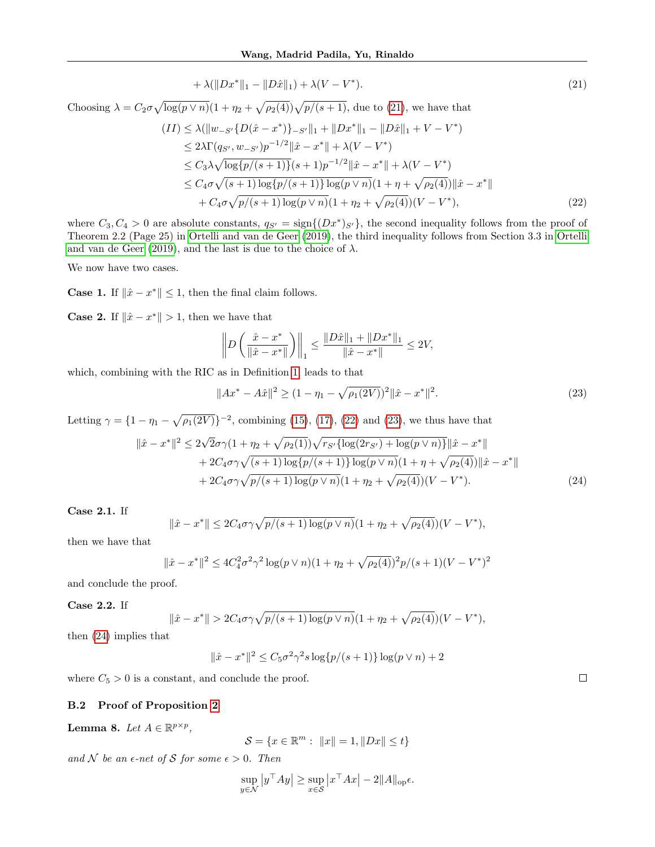<span id="page-14-0"></span>
$$
+\lambda(\|Dx^*\|_1 - \|D\hat{x}\|_1) + \lambda(V - V^*). \tag{21}
$$

Choosing  $\lambda = C_2 \sigma \sqrt{\log(p \vee n)} (1 + \eta_2 + \sqrt{\rho_2(4)}) \sqrt{p/(s+1)}$ , due to [\(21\)](#page-14-0), we have that

$$
(II) \le \lambda (\|w_{-S'}\{D(\hat{x} - x^*)\}_{-S'}\|_1 + \|Dx^*\|_1 - \|D\hat{x}\|_1 + V - V^*)
$$
  
\n
$$
\le 2\lambda \Gamma(q_{S'}, w_{-S'})p^{-1/2} \|\hat{x} - x^*\| + \lambda(V - V^*)
$$
  
\n
$$
\le C_3\lambda \sqrt{\log\{p/(s+1)\}(s+1)p^{-1/2}\|\hat{x} - x^*\| + \lambda(V - V^*)}
$$
  
\n
$$
\le C_4\sigma \sqrt{(s+1)\log\{p/(s+1)\}\log(p\vee n)}(1 + \eta + \sqrt{\rho_2(4)})\|\hat{x} - x^*\|
$$
  
\n
$$
+ C_4\sigma \sqrt{p/(s+1)\log(p\vee n)}(1 + \eta_2 + \sqrt{\rho_2(4)})(V - V^*),
$$
\n(22)

where  $C_3, C_4 > 0$  are absolute constants,  $q_{S'} = \text{sign}\{(Dx^*)_{S'}\}$ , the second inequality follows from the proof of Theorem 2.2 (Page 25) in [Ortelli and van de Geer \(2019\)](#page-9-15), the third inequality follows from Section 3.3 in [Ortelli](#page-9-15) [and van de Geer \(2019\)](#page-9-15), and the last is due to the choice of  $\lambda$ .

We now have two cases.

**Case 1.** If  $\|\hat{x} - x^*\| \leq 1$ , then the final claim follows.

**Case 2.** If  $\|\hat{x} - x^*\| > 1$ , then we have that

<span id="page-14-1"></span>
$$
\left\| D\left(\frac{\hat{x} - x^*}{\|\hat{x} - x^*\|}\right) \right\|_1 \le \frac{\|D\hat{x}\|_1 + \|Dx^*\|_1}{\|\hat{x} - x^*\|} \le 2V,
$$

which, combining with the RIC as in Definition [1,](#page-2-1) leads to that

<span id="page-14-3"></span><span id="page-14-2"></span>
$$
||Ax^* - A\hat{x}||^2 \ge (1 - \eta_1 - \sqrt{\rho_1(2V)})^2 ||\hat{x} - x^*||^2.
$$
 (23)

Letting  $\gamma = \{1 - \eta_1 - \sqrt{\rho_1(2V)}\}^{-2}$ , combining [\(15\)](#page-12-0), [\(17\)](#page-13-4), [\(22\)](#page-14-1) and [\(23\)](#page-14-2), we thus have that

$$
\begin{split} \|\hat{x} - x^*\|^2 &\le 2\sqrt{2}\sigma\gamma(1 + \eta_2 + \sqrt{\rho_2(1)})\sqrt{r_{S'}\{\log(2r_{S'}) + \log(p\vee n)\}}\|\hat{x} - x^*\| \\ &+ 2C_4\sigma\gamma\sqrt{(s+1)\log\{p/(s+1)\}\log(p\vee n)}(1 + \eta + \sqrt{\rho_2(4)})\|\hat{x} - x^*\| \\ &+ 2C_4\sigma\gamma\sqrt{p/(s+1)\log(p\vee n)}(1 + \eta_2 + \sqrt{\rho_2(4)})(V - V^*). \end{split} \tag{24}
$$

Case 2.1. If

$$
\|\hat{x} - x^*\| \le 2C_4\sigma\gamma\sqrt{p/(s+1)\log(p\vee n)}(1+\eta_2+\sqrt{\rho_2(4)})(V-V^*),
$$

then we have that

$$
\|\hat{x} - x^*\|^2 \le 4C_4^2 \sigma^2 \gamma^2 \log(p \vee n)(1 + \eta_2 + \sqrt{\rho_2(4)})^2 p/(s+1)(V - V^*)^2
$$

and conclude the proof.

Case 2.2. If

$$
\|\hat{x} - x^*\| > 2C_4\sigma\gamma\sqrt{p/(s+1)\log(p\vee n)}(1+\eta_2+\sqrt{\rho_2(4)})(V-V^*),
$$

then [\(24\)](#page-14-3) implies that

$$
\|\hat{x} - x^*\|^2 \le C_5 \sigma^2 \gamma^2 s \log\{p/(s+1)\} \log(p \vee n) + 2
$$

where  $C_5 > 0$  is a constant, and conclude the proof.

#### B.2 Proof of Proposition [2](#page-3-0)

<span id="page-14-4"></span>Lemma 8. Let  $A \in \mathbb{R}^{p \times p}$ ,

$$
\mathcal{S} = \{ x \in \mathbb{R}^m : ||x|| = 1, ||Dx|| \le t \}
$$

and N be an  $\epsilon$ -net of S for some  $\epsilon > 0$ . Then

$$
\sup_{y \in \mathcal{N}} |y^{\top}Ay| \ge \sup_{x \in \mathcal{S}} |x^{\top}Ax| - 2||A||_{\text{op}}\epsilon.
$$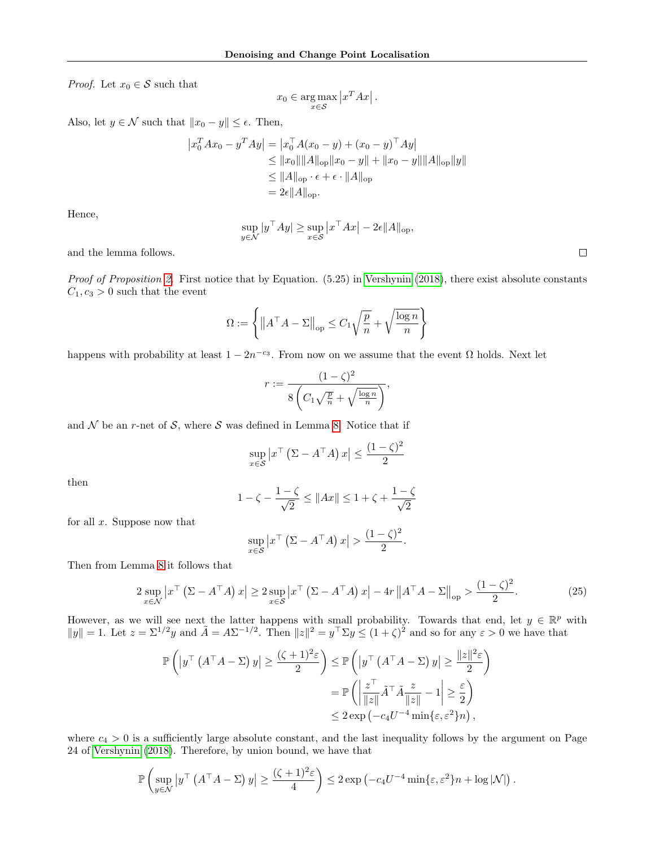*Proof.* Let  $x_0 \in \mathcal{S}$  such that

$$
x_0 \in \underset{x \in \mathcal{S}}{\arg \max} |x^T A x|.
$$

Also, let  $y \in \mathcal{N}$  such that  $||x_0 - y|| \leq \epsilon$ . Then,

$$
\begin{aligned} \left| x_0^T A x_0 - y^T A y \right| &= \left| x_0^T A (x_0 - y) + (x_0 - y)^T A y \right| \\ &\leq \| x_0 \| \| A \|_{\text{op}} \| x_0 - y \| + \| x_0 - y \| \| A \|_{\text{op}} \| y \| \\ &\leq \| A \|_{\text{op}} \cdot \epsilon + \epsilon \cdot \| A \|_{\text{op}} \\ &= 2\epsilon \| A \|_{\text{op}}. \end{aligned}
$$

Hence,

$$
\sup_{y \in \mathcal{N}} |y^\top Ay| \ge \sup_{x \in \mathcal{S}} |x^\top Ax| - 2\epsilon ||A||_{\text{op}},
$$

and the lemma follows.

*Proof of Proposition [2.](#page-3-0)* First notice that by Equation.  $(5.25)$  in [Vershynin \(2018\)](#page-10-15), there exist absolute constants  $C_1, c_3 > 0$  such that the event

$$
\Omega := \left\{ \left\| A^\top A - \Sigma \right\|_{\text{op}} \le C_1 \sqrt{\frac{p}{n}} + \sqrt{\frac{\log n}{n}} \right\}
$$

happens with probability at least  $1 - 2n^{-c_3}$ . From now on we assume that the event  $\Omega$  holds. Next let

$$
r := \frac{(1-\zeta)^2}{8\left(C_1\sqrt{\frac{p}{n}} + \sqrt{\frac{\log n}{n}}\right)},
$$

and  $\mathcal N$  be an r-net of  $\mathcal S$ , where  $\mathcal S$  was defined in Lemma [8.](#page-14-4) Notice that if

$$
\sup_{x \in \mathcal{S}} \left| x^{\top} \left( \Sigma - A^{\top} A \right) x \right| \le \frac{(1 - \zeta)^2}{2}
$$

then

$$
1 - \zeta - \frac{1 - \zeta}{\sqrt{2}} \le ||Ax|| \le 1 + \zeta + \frac{1 - \zeta}{\sqrt{2}}
$$

for all  $x$ . Suppose now that

$$
\sup_{x \in S} \left| x^{\top} \left( \Sigma - A^{\top} A \right) x \right| > \frac{(1 - \zeta)^2}{2}.
$$

Then from Lemma [8](#page-14-4) it follows that

<span id="page-15-0"></span>
$$
2 \sup_{x \in \mathcal{N}} \left| x^{\top} \left( \Sigma - A^{\top} A \right) x \right| \ge 2 \sup_{x \in \mathcal{S}} \left| x^{\top} \left( \Sigma - A^{\top} A \right) x \right| - 4r \left\| A^{\top} A - \Sigma \right\|_{\text{op}} > \frac{(1 - \zeta)^2}{2}.
$$
 (25)

However, as we will see next the latter happens with small probability. Towards that end, let  $y \in \mathbb{R}^p$  with  $||y|| = 1$ . Let  $z = \Sigma^{1/2}y$  and  $\tilde{A} = A\Sigma^{-1/2}$ . Then  $||z||^2 = y^\top \Sigma y \le (1+\zeta)^2$  and so for any  $\varepsilon > 0$  we have that

$$
\mathbb{P}\left(|y^{\top}(A^{\top}A - \Sigma) y| \geq \frac{(\zeta + 1)^{2}\varepsilon}{2}\right) \leq \mathbb{P}\left(|y^{\top}(A^{\top}A - \Sigma) y| \geq \frac{\|z\|^{2}\varepsilon}{2}\right)
$$

$$
= \mathbb{P}\left(\left|\frac{z^{\top}}{\|z\|}\tilde{A}^{\top}\tilde{A}\frac{z}{\|z\|} - 1\right| \geq \frac{\varepsilon}{2}\right)
$$

$$
\leq 2 \exp\left(-c_{4}U^{-4}\min\{\varepsilon, \varepsilon^{2}\}n\right),
$$

where  $c_4 > 0$  is a sufficiently large absolute constant, and the last inequality follows by the argument on Page 24 of [Vershynin \(2018\)](#page-10-15). Therefore, by union bound, we have that

$$
\mathbb{P}\left(\sup_{y\in\mathcal{N}}\left|y^{\top}\left(A^{\top}A-\Sigma\right)y\right|\geq\frac{(\zeta+1)^{2}\varepsilon}{4}\right)\leq 2\exp\left(-c_{4}U^{-4}\min\{\varepsilon,\varepsilon^{2}\}n+\log|\mathcal{N}|\right).
$$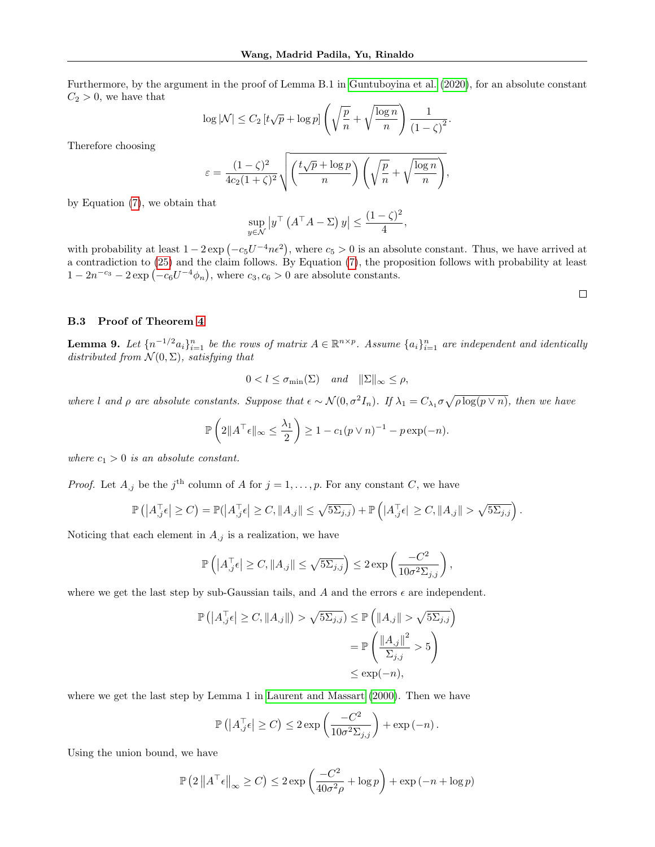Furthermore, by the argument in the proof of Lemma B.1 in [Guntuboyina et al. \(2020\)](#page-9-14), for an absolute constant  $C_2 > 0$ , we have that

$$
\log |\mathcal{N}| \le C_2 \left[ t\sqrt{p} + \log p \right] \left( \sqrt{\frac{p}{n}} + \sqrt{\frac{\log n}{n}} \right) \frac{1}{\left( 1 - \zeta \right)^2}
$$

.

Therefore choosing

$$
\varepsilon = \frac{(1-\zeta)^2}{4c_2(1+\zeta)^2} \sqrt{\left(\frac{t\sqrt{p}+\log p}{n}\right)\left(\sqrt{\frac{p}{n}}+\sqrt{\frac{\log n}{n}}\right)},
$$

by Equation [\(7\)](#page-3-2), we obtain that

$$
\sup_{y \in \mathcal{N}} |y^{\top} (A^{\top} A - \Sigma) y| \le \frac{(1 - \zeta)^2}{4},
$$

with probability at least  $1 - 2 \exp(-c_5 U^{-4} n \epsilon^2)$ , where  $c_5 > 0$  is an absolute constant. Thus, we have arrived at a contradiction to [\(25\)](#page-15-0) and the claim follows. By Equation [\(7\)](#page-3-2), the proposition follows with probability at least  $1 - 2n^{-c_3} - 2 \exp(-c_6 U^{-4} \phi_n)$ , where  $c_3, c_6 > 0$  are absolute constants.

 $\Box$ 

#### B.3 Proof of Theorem [4](#page-4-0)

<span id="page-16-0"></span>**Lemma 9.** Let  $\{n^{-1/2}a_i\}_{i=1}^n$  be the rows of matrix  $A \in \mathbb{R}^{n \times p}$ . Assume  $\{a_i\}_{i=1}^n$  are independent and identically distributed from  $\mathcal{N}(0, \Sigma)$ , satisfying that

$$
0 < l \leq \sigma_{\min}(\Sigma) \quad and \quad ||\Sigma||_{\infty} \leq \rho,
$$

where l and  $\rho$  are absolute constants. Suppose that  $\epsilon \sim \mathcal{N}(0, \sigma^2 I_n)$ . If  $\lambda_1 = C_{\lambda_1} \sigma \sqrt{\rho \log(p \vee n)}$ , then we have

$$
\mathbb{P}\left(2\|A^\top\epsilon\|_{\infty}\leq \frac{\lambda_1}{2}\right)\geq 1-c_1(p\vee n)^{-1}-p\exp(-n).
$$

where  $c_1 > 0$  is an absolute constant.

*Proof.* Let  $A_{,j}$  be the j<sup>th</sup> column of A for  $j = 1, \ldots, p$ . For any constant C, we have

$$
\mathbb{P}\left(\left|A_{,j}^{\top}\epsilon\right| \geq C\right) = \mathbb{P}(\left|A_{,j}^{\top}\epsilon\right| \geq C, \|A_{,j}\| \leq \sqrt{5\Sigma_{j,j}}) + \mathbb{P}\left(\left|A_{,j}^{\top}\epsilon\right| \geq C, \|A_{,j}\| > \sqrt{5\Sigma_{j,j}}\right).
$$

Noticing that each element in  $A_{,j}$  is a realization, we have

$$
\mathbb{P}\left(\left|A_{,j}^{\top}\epsilon\right| \geq C, \|A_{,j}\| \leq \sqrt{5\Sigma_{j,j}}\right) \leq 2\exp\left(\frac{-C^2}{10\sigma^2\Sigma_{j,j}}\right),\,
$$

where we get the last step by sub-Gaussian tails, and A and the errors  $\epsilon$  are independent.

$$
\mathbb{P}\left(\left|A_{,j}^{\top}\epsilon\right| \geq C, \|A_{,j}\|\right) > \sqrt{5\Sigma_{j,j}} \leq \mathbb{P}\left(\left\|A_{,j}\right\| > \sqrt{5\Sigma_{j,j}}\right)
$$

$$
= \mathbb{P}\left(\frac{\left\|A_{,j}\right\|^{2}}{\Sigma_{j,j}} > 5\right)
$$

$$
\leq \exp(-n),
$$

where we get the last step by Lemma 1 in [Laurent and Massart \(2000\)](#page-9-29). Then we have

$$
\mathbb{P}\left(\left|A_{,j}^{\top}\epsilon\right| \geq C\right) \leq 2\exp\left(\frac{-C^2}{10\sigma^2 \Sigma_{j,j}}\right) + \exp\left(-n\right).
$$

Using the union bound, we have

$$
\mathbb{P}\left(2\left\|A^{\top}\epsilon\right\|_{\infty}\geq C\right)\leq 2\exp\left(\frac{-C^2}{40\sigma^2\rho}+\log p\right)+\exp\left(-n+\log p\right)
$$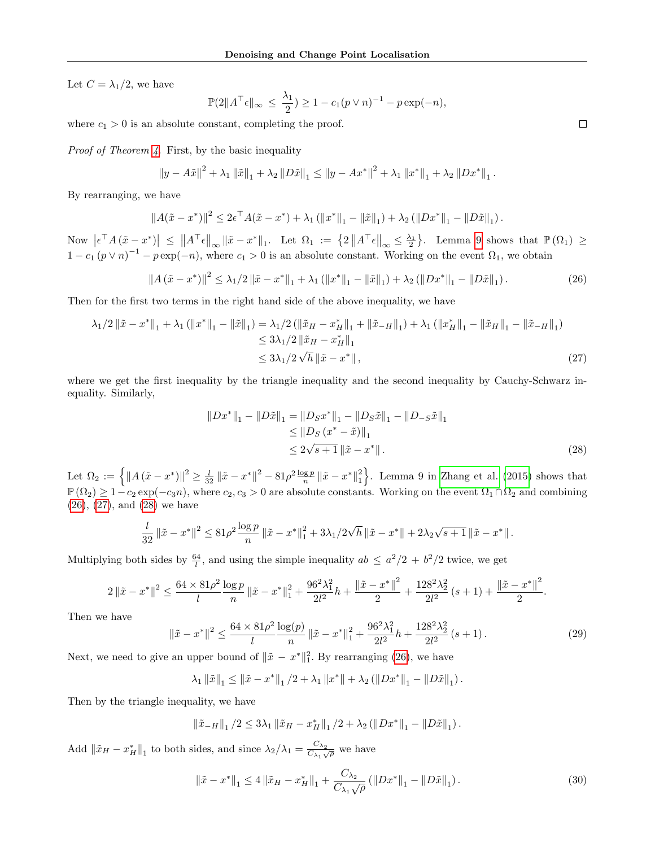Let  $C = \lambda_1/2$ , we have

$$
\mathbb{P}(2||A^\top \epsilon||_{\infty} \leq \frac{\lambda_1}{2}) \geq 1 - c_1(p \vee n)^{-1} - p \exp(-n),
$$

where  $c_1 > 0$  is an absolute constant, completing the proof.

Proof of Theorem [4.](#page-4-0) First, by the basic inequality

$$
\|y - A\tilde{x}\|^2 + \lambda_1 \|\tilde{x}\|_1 + \lambda_2 \|D\tilde{x}\|_1 \le \|y - Ax^*\|^2 + \lambda_1 \|x^*\|_1 + \lambda_2 \|Dx^*\|_1.
$$

By rearranging, we have

$$
||A(\tilde{x} - x^*)||^2 \leq 2\epsilon^\top A(\tilde{x} - x^*) + \lambda_1 (||x^*||_1 - ||\tilde{x}||_1) + \lambda_2 (||Dx^*||_1 - ||D\tilde{x}||_1).
$$

Now  $\left|\epsilon^{\top} A\left(\tilde{x}-x^*\right)\right| \leq \left\|A^{\top} \epsilon\right\|_{\infty} \left\|\tilde{x}-x^*\right\|_1$ . Let  $\Omega_1 := \left\{2 \left\|A^{\top} \epsilon\right\|_{\infty} \leq \frac{\lambda_1}{2}\right\}$ . Lemma [9](#page-16-0) shows that  $\mathbb{P}\left(\Omega_1\right) \geq$  $1 - c_1 (p \vee n)^{-1} - p \exp(-n)$ , where  $c_1 > 0$  is an absolute constant. Working on the event  $\Omega_1$ , we obtain

<span id="page-17-0"></span>
$$
\|A(\tilde{x} - x^*)\|^2 \le \lambda_1/2 \|\tilde{x} - x^*\|_1 + \lambda_1 (\|x^*\|_1 - \|\tilde{x}\|_1) + \lambda_2 (\|Dx^*\|_1 - \|D\tilde{x}\|_1). \tag{26}
$$

Then for the first two terms in the right hand side of the above inequality, we have

$$
\lambda_1/2 \|\tilde{x} - x^*\|_1 + \lambda_1 (\|x^*\|_1 - \|\tilde{x}\|_1) = \lambda_1/2 (\|\tilde{x}_H - x_H^*\|_1 + \|\tilde{x}_{-H}\|_1) + \lambda_1 (\|x_H^*\|_1 - \|\tilde{x}_H\|_1 - \|\tilde{x}_{-H}\|_1)
$$
  
\n
$$
\leq 3\lambda_1/2 \|\tilde{x}_H - x_H^*\|_1
$$
  
\n
$$
\leq 3\lambda_1/2 \sqrt{h} \|\tilde{x} - x^*\|_1,
$$
\n(27)

where we get the first inequality by the triangle inequality and the second inequality by Cauchy-Schwarz inequality. Similarly,

<span id="page-17-2"></span><span id="page-17-1"></span>
$$
||Dx^*||_1 - ||D\tilde{x}||_1 = ||D_Sx^*||_1 - ||D_S\tilde{x}||_1 - ||D_{-S}\tilde{x}||_1
$$
  
\n
$$
\leq ||D_S(x^* - \tilde{x})||_1
$$
  
\n
$$
\leq 2\sqrt{s+1} ||\tilde{x} - x^*||.
$$
\n(28)

Let  $\Omega_2 := \left\{ \|A(\tilde{x} - x^*)\|^2 \ge \frac{l}{32} \|\tilde{x} - x^*\|^2 - 81\rho^2 \frac{\log p}{n} \|\tilde{x} - x^*\|^2 \right\}$ . Lemma 9 in [Zhang et al. \(2015\)](#page-10-10) shows that  $\mathbb{P}(\Omega_2) \geq 1-c_2 \exp(-c_3 n)$ , where  $c_2, c_3 > 0$  are absolute constants. Working on the event  $\Omega_1 \cap \Omega_2$  and combining [\(26\)](#page-17-0), [\(27\)](#page-17-1), and [\(28\)](#page-17-2) we have

$$
\frac{l}{32} \left\|\tilde{x} - x^*\right\|^2 \le 81 \rho^2 \frac{\log p}{n} \left\|\tilde{x} - x^*\right\|_1^2 + 3\lambda_1/2\sqrt{h} \left\|\tilde{x} - x^*\right\| + 2\lambda_2\sqrt{s+1} \left\|\tilde{x} - x^*\right\|.
$$

Multiplying both sides by  $\frac{64}{l}$ , and using the simple inequality  $ab \leq a^2/2 + b^2/2$  twice, we get

$$
2\left\|\tilde{x}-x^{*}\right\|^{2} \leq \frac{64\times 81\rho^{2}}{l}\frac{\log p}{n}\left\|\tilde{x}-x^{*}\right\|_{1}^{2}+\frac{96^{2}\lambda_{1}^{2}}{2l^{2}}h+\frac{\left\|\tilde{x}-x^{*}\right\|^{2}}{2}+\frac{128^{2}\lambda_{2}^{2}}{2l^{2}}\left(s+1\right)+\frac{\left\|\tilde{x}-x^{*}\right\|^{2}}{2}.
$$

Then we have

<span id="page-17-4"></span>
$$
\|\tilde{x} - x^*\|^2 \le \frac{64 \times 81 \rho^2 \log(p)}{l} \|\tilde{x} - x^*\|^2_1 + \frac{96^2 \lambda_1^2}{2l^2} h + \frac{128^2 \lambda_2^2}{2l^2} (s+1). \tag{29}
$$

Next, we need to give an upper bound of  $\|\tilde{x} - x^*\|_1^2$ . By rearranging [\(26\)](#page-17-0), we have

$$
\lambda_1 \|\tilde{x}\|_1 \le \|\tilde{x} - x^*\|_1 / 2 + \lambda_1 \|x^*\| + \lambda_2 (\|Dx^*\|_1 - \|D\tilde{x}\|_1).
$$

Then by the triangle inequality, we have

$$
\|\tilde{x}_{-H}\|_1/2 \leq 3\lambda_1 \|\tilde{x}_H - x_H^*\|_1/2 + \lambda_2 (\|Dx^*\|_1 - \|D\tilde{x}\|_1).
$$

Add  $\|\tilde{x}_H - x_H^*\|_1$  to both sides, and since  $\lambda_2/\lambda_1 = \frac{C_{\lambda_2}}{C_{\lambda_1}}$  $rac{\mathcal{C}_{\lambda_2}}{\mathcal{C}_{\lambda_1}\sqrt{\rho}}$  we have

<span id="page-17-3"></span>
$$
\|\tilde{x} - x^*\|_1 \le 4 \|\tilde{x}_H - x^*_H\|_1 + \frac{C_{\lambda_2}}{C_{\lambda_1}\sqrt{\rho}} \left( \|Dx^*\|_1 - \|D\tilde{x}\|_1 \right). \tag{30}
$$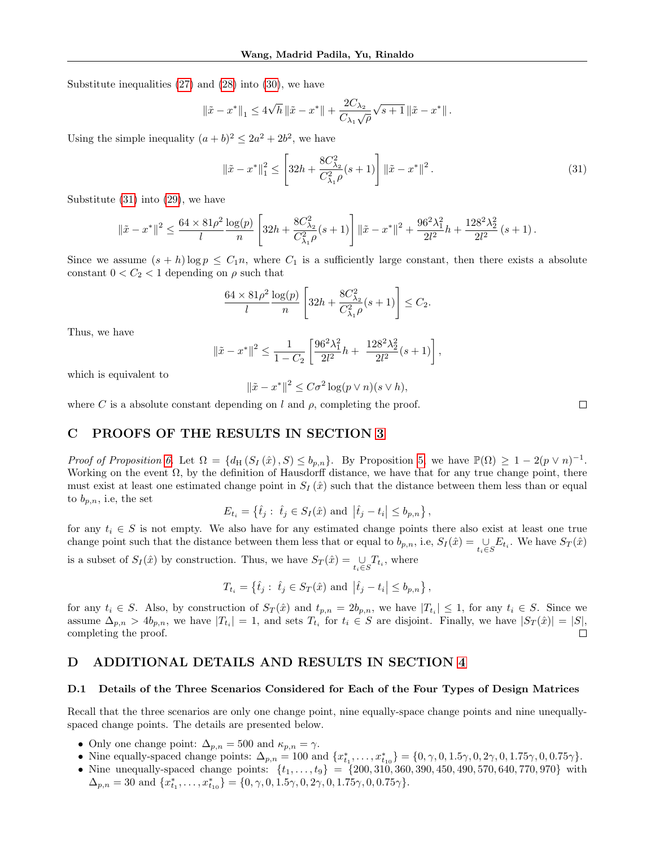Substitute inequalities [\(27\)](#page-17-1) and [\(28\)](#page-17-2) into [\(30\)](#page-17-3), we have

$$
\left\|\tilde{x}-x^*\right\|_1\leq 4\sqrt{h}\left\|\tilde{x}-x^*\right\|+\frac{2C_{\lambda_2}}{C_{\lambda_1}\sqrt{\rho}}\sqrt{s+1}\left\|\tilde{x}-x^*\right\|.
$$

Using the simple inequality  $(a+b)^2 \leq 2a^2 + 2b^2$ , we have

<span id="page-18-0"></span>
$$
\left\|\tilde{x} - x^*\right\|_1^2 \le \left[32h + \frac{8C_{\lambda_2}^2}{C_{\lambda_1}^2 \rho}(s+1)\right] \left\|\tilde{x} - x^*\right\|^2. \tag{31}
$$

Substitute [\(31\)](#page-18-0) into [\(29\)](#page-17-4), we have

$$
\|\tilde{x} - x^*\|^2 \le \frac{64 \times 81 \rho^2 \log(p)}{l} \left[ 32h + \frac{8C_{\lambda_2}^2}{C_{\lambda_1}^2 \rho}(s+1) \right] \|\tilde{x} - x^*\|^2 + \frac{96^2 \lambda_1^2}{2l^2} h + \frac{128^2 \lambda_2^2}{2l^2} (s+1).
$$

Since we assume  $(s + h) \log p \leq C_1 n$ , where  $C_1$  is a sufficiently large constant, then there exists a absolute constant  $0 < C_2 < 1$  depending on  $\rho$  such that

$$
\frac{64 \times 81 \rho^2}{l} \frac{\log(p)}{n} \left[ 32h + \frac{8C_{\lambda_2}^2}{C_{\lambda_1}^2 \rho} (s+1) \right] \le C_2.
$$

Thus, we have

$$
\|\tilde{x} - x^*\|^2 \le \frac{1}{1 - C_2} \left[ \frac{96^2 \lambda_1^2}{2l^2} h + \frac{128^2 \lambda_2^2}{2l^2} (s+1) \right],
$$

which is equivalent to

$$
\|\tilde{x} - x^*\|^2 \le C\sigma^2 \log(p \vee n)(s \vee h),
$$

where C is a absolute constant depending on l and  $\rho$ , completing the proof.

## C PROOFS OF THE RESULTS IN SECTION [3](#page-4-1)

Proof of Proposition [6.](#page-5-6) Let  $\Omega = \{d_H(S_I(\hat{x}), S) \leq b_{p,n}\}.$  By Proposition [5,](#page-5-3) we have  $\mathbb{P}(\Omega) \geq 1 - 2(p \vee n)^{-1}$ . Working on the event  $\Omega$ , by the definition of Hausdorff distance, we have that for any true change point, there must exist at least one estimated change point in  $S_I(\hat{x})$  such that the distance between them less than or equal to  $b_{p,n}$ , i.e, the set

$$
E_{t_i} = \{ \hat{t}_j : \hat{t}_j \in S_I(\hat{x}) \text{ and } |\hat{t}_j - t_i| \le b_{p,n} \},
$$

for any  $t_i \in S$  is not empty. We also have for any estimated change points there also exist at least one true change point such that the distance between them less that or equal to  $b_{p,n}$ , i.e,  $S_I(\hat{x}) = \bigcup_{t_i \in S} E_{t_i}$ . We have  $S_T(\hat{x})$ 

is a subset of  $S_I(\hat{x})$  by construction. Thus, we have  $S_T(\hat{x}) = \bigcup_{t_i \in S} T_{t_i}$ , where

$$
T_{t_i} = \{ \hat{t}_j : \hat{t}_j \in S_T(\hat{x}) \text{ and } |\hat{t}_j - t_i| \le b_{p,n} \},
$$

for any  $t_i \in S$ . Also, by construction of  $S_T(\hat{x})$  and  $t_{p,n} = 2b_{p,n}$ , we have  $|T_{t_i}| \leq 1$ , for any  $t_i \in S$ . Since we assume  $\Delta_{p,n} > 4b_{p,n}$ , we have  $|T_{t_i}| = 1$ , and sets  $T_{t_i}$  for  $t_i \in S$  are disjoint. Finally, we have  $|S_T(\hat{x})| = |S|$ , completing the proof.  $\Box$ 

# D ADDITIONAL DETAILS AND RESULTS IN SECTION [4](#page-6-1)

#### D.1 Details of the Three Scenarios Considered for Each of the Four Types of Design Matrices

Recall that the three scenarios are only one change point, nine equally-space change points and nine unequallyspaced change points. The details are presented below.

- Only one change point:  $\Delta_{p,n} = 500$  and  $\kappa_{p,n} = \gamma$ .
- Nine equally-spaced change points:  $\Delta_{p,n} = 100$  and  $\{x_{t_1}^*, \ldots, x_{t_{10}}^*\} = \{0, \gamma, 0, 1.5\gamma, 0, 2\gamma, 0, 1.75\gamma, 0, 0.75\gamma\}.$
- Nine unequally-spaced change points:  $\{t_1, \ldots, t_9\} = \{200, 310, 360, 390, 450, 490, 570, 640, 770, 970\}$  with  $\Delta_{p,n} = 30$  and  $\{x_{t_1}^*, \ldots, x_{t_{10}}^*\} = \{0, \gamma, 0, 1.5\gamma, 0, 2\gamma, 0, 1.75\gamma, 0, 0.75\gamma\}.$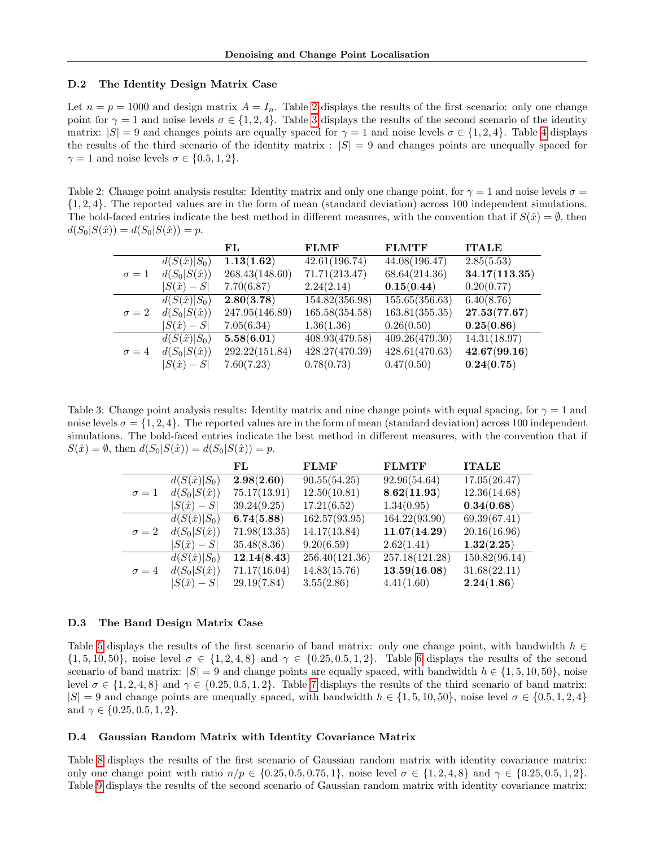#### D.2 The Identity Design Matrix Case

Let  $n = p = 1000$  and design matrix  $A = I_n$ . Table [2](#page-19-0) displays the results of the first scenario: only one change point for  $\gamma = 1$  and noise levels  $\sigma \in \{1, 2, 4\}$ . Table [3](#page-19-1) displays the results of the second scenario of the identity matrix:  $|S| = 9$  and changes points are equally spaced for  $\gamma = 1$  and noise levels  $\sigma \in \{1, 2, 4\}$  $\sigma \in \{1, 2, 4\}$  $\sigma \in \{1, 2, 4\}$ . Table 4 displays the results of the third scenario of the identity matrix :  $|S| = 9$  and changes points are unequally spaced for  $\gamma = 1$  and noise levels  $\sigma \in \{0.5, 1, 2\}.$ 

<span id="page-19-0"></span>Table 2: Change point analysis results: Identity matrix and only one change point, for  $\gamma = 1$  and noise levels  $\sigma =$ {1, 2, 4}. The reported values are in the form of mean (standard deviation) across 100 independent simulations. The bold-faced entries indicate the best method in different measures, with the convention that if  $S(\hat{x}) = \emptyset$ , then  $d(S_0|S(\hat{x})) = d(S_0|S(\hat{x})) = p.$ 

|              |                     | FL             | <b>FLMF</b>    | <b>FLMTF</b>   | <b>ITALE</b>  |
|--------------|---------------------|----------------|----------------|----------------|---------------|
|              | $d(S(\hat{x}) S_0)$ | 1.13(1.62)     | 42.61(196.74)  | 44.08(196.47)  | 2.85(5.53)    |
| $\sigma=1$   | $d(S_0 S(\hat{x}))$ | 268.43(148.60) | 71.71(213.47)  | 68.64(214.36)  | 34.17(113.35) |
|              | $ S(\hat{x})-S $    | 7.70(6.87)     | 2.24(2.14)     | 0.15(0.44)     | 0.20(0.77)    |
|              | $d(S(\hat{x}) S_0)$ | 2.80(3.78)     | 154.82(356.98) | 155.65(356.63) | 6.40(8.76)    |
| $\sigma = 2$ | $d(S_0 S(\hat{x}))$ | 247.95(146.89) | 165.58(354.58) | 163.81(355.35) | 27.53(77.67)  |
|              | $ S(\hat{x})-S $    | 7.05(6.34)     | 1.36(1.36)     | 0.26(0.50)     | 0.25(0.86)    |
|              | $d(S(\hat{x}) S_0)$ | 5.58(6.01)     | 408.93(479.58) | 409.26(479.30) | 14.31(18.97)  |
| $\sigma = 4$ | $d(S_0 S(\hat{x}))$ | 292.22(151.84) | 428.27(470.39) | 428.61(470.63) | 42.67(99.16)  |
|              | $ S(\hat{x})-S $    | 7.60(7.23)     | 0.78(0.73)     | 0.47(0.50)     | 0.24(0.75)    |

<span id="page-19-1"></span>Table 3: Change point analysis results: Identity matrix and nine change points with equal spacing, for  $\gamma = 1$  and noise levels  $\sigma = \{1, 2, 4\}$ . The reported values are in the form of mean (standard deviation) across 100 independent simulations. The bold-faced entries indicate the best method in different measures, with the convention that if  $S(\hat{x}) = \emptyset$ , then  $d(S_0|S(\hat{x})) = d(S_0|S(\hat{x})) = p$ .

|              |                     | FL           | <b>FLMF</b>    | <b>FLMTF</b>   | <b>ITALE</b>  |
|--------------|---------------------|--------------|----------------|----------------|---------------|
|              | $d(S(\hat{x}) S_0)$ | 2.98(2.60)   | 90.55(54.25)   | 92.96(54.64)   | 17.05(26.47)  |
| $\sigma=1$   | $d(S_0 S(\hat{x}))$ | 75.17(13.91) | 12.50(10.81)   | 8.62(11.93)    | 12.36(14.68)  |
|              | $ S(\hat{x})-S $    | 39.24(9.25)  | 17.21(6.52)    | 1.34(0.95)     | 0.34(0.68)    |
|              | $d(S(\hat{x}) S_0)$ | 6.74(5.88)   | 162.57(93.95)  | 164.22(93.90)  | 69.39(67.41)  |
| $\sigma = 2$ | $d(S_0 S(\hat{x}))$ | 71.98(13.35) | 14.17(13.84)   | 11.07(14.29)   | 20.16(16.96)  |
|              | $ S(\hat{x})-S $    | 35.48(8.36)  | 9.20(6.59)     | 2.62(1.41)     | 1.32(2.25)    |
|              | $d(S(\hat{x}) S_0)$ | 12.14(8.43)  | 256.40(121.36) | 257.18(121.28) | 150.82(96.14) |
| $\sigma = 4$ | $d(S_0 S(\hat{x}))$ | 71.17(16.04) | 14.83(15.76)   | 13.59(16.08)   | 31.68(22.11)  |
|              | $ S(\hat{x})-S $    | 29.19(7.84)  | 3.55(2.86)     | 4.41(1.60)     | 2.24(1.86)    |

#### D.3 The Band Design Matrix Case

Table [5](#page-21-0) displays the results of the first scenario of band matrix: only one change point, with bandwidth  $h \in$  $\{1, 5, 10, 50\}$ , noise level  $\sigma \in \{1, 2, 4, 8\}$  and  $\gamma \in \{0.25, 0.5, 1, 2\}$ . Table [6](#page-22-0) displays the results of the second scenario of band matrix:  $|S| = 9$  and change points are equally spaced, with bandwidth  $h \in \{1, 5, 10, 50\}$ , noise level  $\sigma \in \{1, 2, 4, 8\}$  and  $\gamma \in \{0.25, 0.5, 1, 2\}$ . Table [7](#page-23-0) displays the results of the third scenario of band matrix:  $|S| = 9$  and change points are unequally spaced, with bandwidth  $h \in \{1, 5, 10, 50\}$ , noise level  $\sigma \in \{0.5, 1, 2, 4\}$ and  $\gamma \in \{0.25, 0.5, 1, 2\}.$ 

## D.4 Gaussian Random Matrix with Identity Covariance Matrix

Table [8](#page-24-0) displays the results of the first scenario of Gaussian random matrix with identity covariance matrix: only one change point with ratio  $n/p \in \{0.25, 0.5, 0.75, 1\}$ , noise level  $\sigma \in \{1, 2, 4, 8\}$  and  $\gamma \in \{0.25, 0.5, 1, 2\}$ . Table [9](#page-25-0) displays the results of the second scenario of Gaussian random matrix with identity covariance matrix: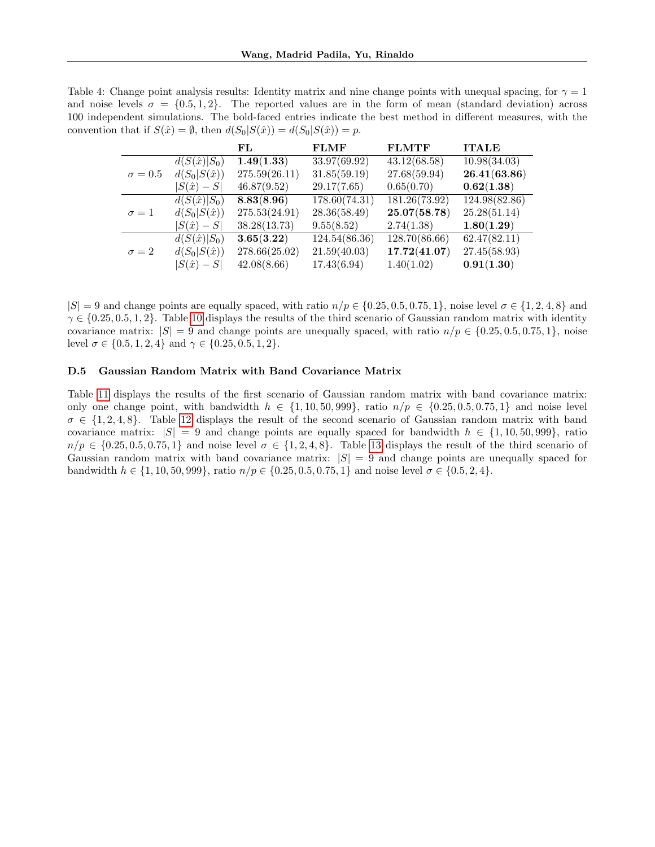<span id="page-20-0"></span>Table 4: Change point analysis results: Identity matrix and nine change points with unequal spacing, for  $\gamma = 1$ and noise levels  $\sigma = \{0.5, 1, 2\}$ . The reported values are in the form of mean (standard deviation) across 100 independent simulations. The bold-faced entries indicate the best method in different measures, with the convention that if  $S(\hat{x}) = \emptyset$ , then  $d(S_0|S(\hat{x})) = d(S_0|S(\hat{x})) = p$ .

|                |                     | FL.           | <b>FLMF</b>   | <b>FLMTF</b>               | <b>ITALE</b>  |
|----------------|---------------------|---------------|---------------|----------------------------|---------------|
|                | $d(S(\hat{x}) S_0)$ | 1.49(1.33)    | 33.97(69.92)  | 43.12(68.58)               | 10.98(34.03)  |
| $\sigma = 0.5$ | $d(S_0 S(\hat{x}))$ | 275.59(26.11) | 31.85(59.19)  | 27.68(59.94)               | 26.41(63.86)  |
|                | $ S(\hat{x})-S $    | 46.87(9.52)   | 29.17(7.65)   | 0.65(0.70)                 | 0.62(1.38)    |
|                | $d(S(\hat{x}) S_0)$ | 8.83(8.96)    | 178.60(74.31) | $\overline{181.26}(73.92)$ | 124.98(82.86) |
| $\sigma = 1$   | $d(S_0 S(\hat{x}))$ | 275.53(24.91) | 28.36(58.49)  | 25.07(58.78)               | 25.28(51.14)  |
|                | $ S(\hat{x})-S $    | 38.28(13.73)  | 9.55(8.52)    | 2.74(1.38)                 | 1.80(1.29)    |
|                | $d(S(\hat{x}) S_0)$ | 3.65(3.22)    | 124.54(86.36) | 128.70(86.66)              | 62.47(82.11)  |
| $\sigma = 2$   | $d(S_0 S(\hat{x}))$ | 278.66(25.02) | 21.59(40.03)  | 17.72(41.07)               | 27.45(58.93)  |
|                | $ S(\hat{x})-S $    | 42.08(8.66)   | 17.43(6.94)   | 1.40(1.02)                 | 0.91(1.30)    |

 $|S| = 9$  and change points are equally spaced, with ratio  $n/p \in \{0.25, 0.5, 0.75, 1\}$ , noise level  $\sigma \in \{1, 2, 4, 8\}$  and  $\gamma \in \{0.25, 0.5, 1, 2\}$ . Table [10](#page-26-0) displays the results of the third scenario of Gaussian random matrix with identity covariance matrix:  $|S| = 9$  and change points are unequally spaced, with ratio  $n/p \in \{0.25, 0.5, 0.75, 1\}$ , noise level  $\sigma \in \{0.5, 1, 2, 4\}$  and  $\gamma \in \{0.25, 0.5, 1, 2\}$ .

## D.5 Gaussian Random Matrix with Band Covariance Matrix

Table [11](#page-27-0) displays the results of the first scenario of Gaussian random matrix with band covariance matrix: only one change point, with bandwidth  $h \in \{1, 10, 50, 999\}$ , ratio  $n/p \in \{0.25, 0.5, 0.75, 1\}$  and noise level  $\sigma \in \{1, 2, 4, 8\}$ . Table [12](#page-28-0) displays the result of the second scenario of Gaussian random matrix with band covariance matrix:  $|S| = 9$  and change points are equally spaced for bandwidth  $h \in \{1, 10, 50, 999\}$ , ratio  $n/p \in \{0.25, 0.5, 0.75, 1\}$  and noise level  $\sigma \in \{1, 2, 4, 8\}$ . Table [13](#page-29-0) displays the result of the third scenario of Gaussian random matrix with band covariance matrix:  $|S| = 9$  and change points are unequally spaced for bandwidth  $h \in \{1, 10, 50, 999\}$ , ratio  $n/p \in \{0.25, 0.5, 0.75, 1\}$  and noise level  $\sigma \in \{0.5, 2, 4\}$ .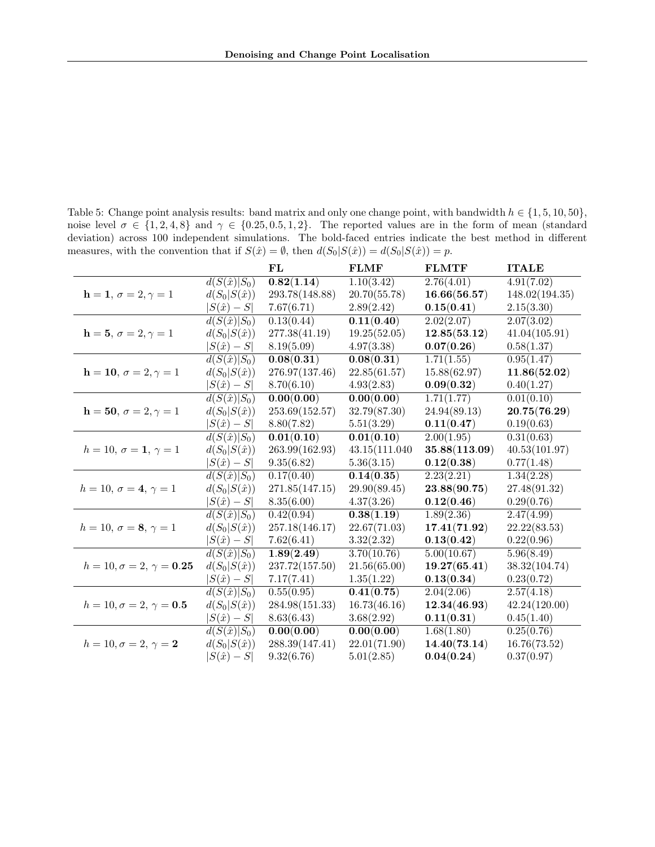<span id="page-21-0"></span>Table 5: Change point analysis results: band matrix and only one change point, with bandwidth  $h \in \{1, 5, 10, 50\}$ , noise level  $\sigma \in \{1, 2, 4, 8\}$  and  $\gamma \in \{0.25, 0.5, 1, 2\}$ . The reported values are in the form of mean (standard deviation) across 100 independent simulations. The bold-faced entries indicate the best method in different measures, with the convention that if  $S(\hat{x}) = \emptyset$ , then  $d(S_0|S(\hat{x})) = d(S_0|S(\hat{x})) = p$ .

|                                     |                                 | FL             | <b>FLMF</b>             | <b>FLMTF</b>  | <b>ITALE</b>   |
|-------------------------------------|---------------------------------|----------------|-------------------------|---------------|----------------|
|                                     | $d(S(\hat{x}) S_0)$             | 0.82(1.14)     | 1.10(3.42)              | 2.76(4.01)    | 4.91(7.02)     |
| $h = 1, \sigma = 2, \gamma = 1$     | $d(S_0 S(\hat{x}))$             | 293.78(148.88) | 20.70(55.78)            | 16.66(56.57)  | 148.02(194.35) |
|                                     | $ S(\hat{x})-S $                | 7.67(6.71)     | 2.89(2.42)              | 0.15(0.41)    | 2.15(3.30)     |
|                                     | $d(S(\hat{x}) \overline{S_0})$  | 0.13(0.44)     | 0.11(0.40)              | 2.02(2.07)    | 2.07(3.02)     |
| $h = 5, \sigma = 2, \gamma = 1$     | $d(S_0 S(\hat{x}))$             | 277.38(41.19)  | 19.25(52.05)            | 12.85(53.12)  | 41.04(105.91)  |
|                                     | $ S(\hat{x})-S $                | 8.19(5.09)     | 4.97(3.38)              | 0.07(0.26)    | 0.58(1.37)     |
|                                     | $d(S(\hat{x}) S_0)$             | 0.08(0.31)     | 0.08(0.31)              | 1.71(1.55)    | 0.95(1.47)     |
| $h = 10, \sigma = 2, \gamma = 1$    | $d(S_0 S(\hat{x}))$             | 276.97(137.46) | 22.85(61.57)            | 15.88(62.97)  | 11.86(52.02)   |
|                                     | $ S(\hat{x})-S $                | 8.70(6.10)     | 4.93(2.83)              | 0.09(0.32)    | 0.40(1.27)     |
|                                     | $d(S(\hat{x}) S_0)$             | 0.00(0.00)     | 0.00(0.00)              | 1.71(1.77)    | 0.01(0.10)     |
| $h = 50, \sigma = 2, \gamma = 1$    | $d(S_0 S(\hat{x}))$             | 253.69(152.57) | 32.79(87.30)            | 24.94(89.13)  | 20.75(76.29)   |
|                                     | $ S(\hat{x})-S $                | 8.80(7.82)     | 5.51(3.29)              | 0.11(0.47)    | 0.19(0.63)     |
|                                     | $d(S(\hat{x})\overline{ S_0 })$ | 0.01(0.10)     | 0.01(0.10)              | 2.00(1.95)    | 0.31(0.63)     |
| $h = 10, \sigma = 1, \gamma = 1$    | $d(S_0 S(\hat{x}))$             | 263.99(162.93) | 43.15(111.040)          | 35.88(113.09) | 40.53(101.97)  |
|                                     | $ S(\hat{x})-S $                | 9.35(6.82)     | 5.36(3.15)              | 0.12(0.38)    | 0.77(1.48)     |
|                                     | $d(S(\hat{x}) S_0)$             | 0.17(0.40)     | $\overline{0.14(0.35)}$ | 2.23(2.21)    | 1.34(2.28)     |
| $h = 10, \sigma = 4, \gamma = 1$    | $d(S_0 S(\hat{x}))$             | 271.85(147.15) | 29.90(89.45)            | 23.88(90.75)  | 27.48(91.32)   |
|                                     | $ S(\hat{x})-S $                | 8.35(6.00)     | 4.37(3.26)              | 0.12(0.46)    | 0.29(0.76)     |
|                                     | $d(S(\hat{x}) S_0)$             | 0.42(0.94)     | 0.38(1.19)              | 1.89(2.36)    | 2.47(4.99)     |
| $h = 10, \sigma = 8, \gamma = 1$    | $d(S_0 S(\hat{x}))$             | 257.18(146.17) | 22.67(71.03)            | 17.41(71.92)  | 22.22(83.53)   |
|                                     | $ S(\hat{x})-S $                | 7.62(6.41)     | 3.32(2.32)              | 0.13(0.42)    | 0.22(0.96)     |
|                                     | $d(S(\hat{x}) S_0)$             | 1.89(2.49)     | 3.70(10.76)             | 5.00(10.67)   | 5.96(8.49)     |
| $h = 10, \sigma = 2, \gamma = 0.25$ | $d(S_0 S(\hat{x}))$             | 237.72(157.50) | 21.56(65.00)            | 19.27(65.41)  | 38.32(104.74)  |
|                                     | $ S(\hat{x})-S $                | 7.17(7.41)     | 1.35(1.22)              | 0.13(0.34)    | 0.23(0.72)     |
|                                     | $d(S(\hat{x}) S_0)$             | 0.55(0.95)     | 0.41(0.75)              | 2.04(2.06)    | 2.57(4.18)     |
| $h = 10, \sigma = 2, \gamma = 0.5$  | $d(S_0 S(\hat{x}))$             | 284.98(151.33) | 16.73(46.16)            | 12.34(46.93)  | 42.24(120.00)  |
|                                     | $ S(\hat{x})-S $                | 8.63(6.43)     | 3.68(2.92)              | 0.11(0.31)    | 0.45(1.40)     |
|                                     | $d(S(\hat{x}) S_0)$             | 0.00(0.00)     | 0.00(0.00)              | 1.68(1.80)    | 0.25(0.76)     |
| $h = 10, \sigma = 2, \gamma = 2$    | $d(S_0 S(\hat{x}))$             | 288.39(147.41) | 22.01(71.90)            | 14.40(73.14)  | 16.76(73.52)   |
|                                     | $ S(\hat{x})-S $                | 9.32(6.76)     | 5.01(2.85)              | 0.04(0.24)    | 0.37(0.97)     |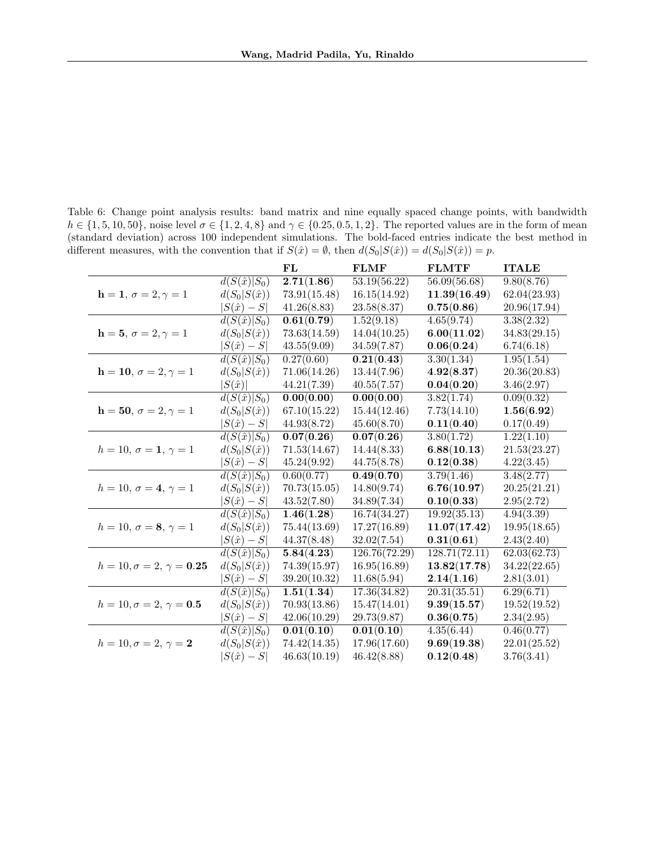<span id="page-22-0"></span>Table 6: Change point analysis results: band matrix and nine equally spaced change points, with bandwidth  $h \in \{1, 5, 10, 50\}$ , noise level  $\sigma \in \{1, 2, 4, 8\}$  and  $\gamma \in \{0.25, 0.5, 1, 2\}$ . The reported values are in the form of mean (standard deviation) across 100 independent simulations. The bold-faced entries indicate the best method in different measures, with the convention that if  $S(\hat{x}) = \emptyset$ , then  $d(S_0|S(\hat{x})) = d(S_0|S(\hat{x})) = p$ .

|                                     |                     | $\bf FL$                 | <b>FLMF</b>   | <b>FLMTF</b>            | <b>ITALE</b>            |
|-------------------------------------|---------------------|--------------------------|---------------|-------------------------|-------------------------|
|                                     | $d(S(\hat{x}) S_0)$ | 2.71(1.86)               | 53.19(56.22)  | 56.09(56.68)            | 9.80(8.76)              |
| $h = 1, \sigma = 2, \gamma = 1$     | $d(S_0 S(\hat{x}))$ | 73.91(15.48)             | 16.15(14.92)  | 11.39(16.49)            | 62.04(23.93)            |
|                                     | $ S(\hat{x})-S $    | 41.26(8.83)              | 23.58(8.37)   | 0.75(0.86)              | 20.96(17.94)            |
|                                     | $d(S(\hat{x}) S_0)$ | 0.61(0.79)               | 1.52(9.18)    | $\overline{4.65(9.74)}$ | 3.38(2.32)              |
| $h = 5, \sigma = 2, \gamma = 1$     | $d(S_0 S(\hat{x}))$ | 73.63(14.59)             | 14.04(10.25)  | 6.00(11.02)             | 34.83(29.15)            |
|                                     | $ S(\hat{x})-S $    | 43.55(9.09)              | 34.59(7.87)   | 0.06(0.24)              | 6.74(6.18)              |
|                                     | $d(S(\hat{x}) S_0)$ | 0.27(0.60)               | 0.21(0.43)    | 3.30(1.34)              | 1.95(1.54)              |
| $h = 10, \sigma = 2, \gamma = 1$    | $d(S_0 S(\hat{x}))$ | 71.06(14.26)             | 13.44(7.96)   | 4.92(8.37)              | 20.36(20.83)            |
|                                     | $ S(\hat{x}) $      | 44.21(7.39)              | 40.55(7.57)   | 0.04(0.20)              | 3.46(2.97)              |
|                                     | $d(S(\hat{x}) S_0)$ | 0.00(0.00)               | 0.00(0.00)    | 3.82(1.74)              | 0.09(0.32)              |
| $h = 50, \sigma = 2, \gamma = 1$    | $d(S_0 S(\hat{x}))$ | 67.10(15.22)             | 15.44(12.46)  | 7.73(14.10)             | 1.56(6.92)              |
|                                     | $S(\hat{x})-S$      | 44.93(8.72)              | 45.60(8.70)   | 0.11(0.40)              | 0.17(0.49)              |
|                                     | $d(S(\hat{x}) S_0)$ | $\overline{0.07} (0.26)$ | 0.07(0.26)    | 3.80(1.72)              | $1.22(\overline{1.10})$ |
| $h = 10, \sigma = 1, \gamma = 1$    | $d(S_0 S(\hat{x}))$ | 71.53(14.67)             | 14.44(8.33)   | 6.88(10.13)             | 21.53(23.27)            |
|                                     | $ S(\hat{x})-S $    | 45.24(9.92)              | 44.75(8.78)   | 0.12(0.38)              | 4.22(3.45)              |
|                                     | $d(S(\hat{x}) S_0)$ | 0.60(0.77)               | 0.49(0.70)    | 3.79(1.46)              | 3.48(2.77)              |
| $h = 10, \sigma = 4, \gamma = 1$    | $d(S_0 S(\hat{x}))$ | 70.73(15.05)             | 14.80(9.74)   | 6.76(10.97)             | 20.25(21.21)            |
|                                     | $ S(\hat{x})-S $    | 43.52(7.80)              | 34.89(7.34)   | 0.10(0.33)              | 2.95(2.72)              |
|                                     | $d(S(\hat{x}) S_0)$ | 1.46(1.28)               | 16.74(34.27)  | 19.92(35.13)            | 4.94(3.39)              |
| $h = 10, \sigma = 8, \gamma = 1$    | $d(S_0 S(\hat{x}))$ | 75.44(13.69)             | 17.27(16.89)  | 11.07(17.42)            | 19.95(18.65)            |
|                                     | $ S(\hat{x})-S $    | 44.37(8.48)              | 32.02(7.54)   | 0.31(0.61)              | 2.43(2.40)              |
|                                     | $d(S(\hat{x}) S_0)$ | 5.84(4.23)               | 126.76(72.29) | 128.71(72.11)           | 62.03(62.73)            |
| $h = 10, \sigma = 2, \gamma = 0.25$ | $d(S_0 S(\hat{x}))$ | 74.39(15.97)             | 16.95(16.89)  | 13.82(17.78)            | 34.22(22.65)            |
|                                     | $ S(\hat{x})-S $    | 39.20(10.32)             | 11.68(5.94)   | 2.14(1.16)              | 2.81(3.01)              |
|                                     | $d(S(\hat{x}) S_0)$ | 1.51(1.34)               | 17.36(34.82)  | 20.31(35.51)            | 6.29(6.71)              |
| $h = 10, \sigma = 2, \gamma = 0.5$  | $d(S_0 S(\hat{x}))$ | 70.93(13.86)             | 15.47(14.01)  | 9.39(15.57)             | 19.52(19.52)            |
|                                     | $ S(\hat{x})-S $    | 42.06(10.29)             | 29.73(9.87)   | 0.36(0.75)              | 2.34(2.95)              |
|                                     | $d(S(\hat{x}) S_0)$ | 0.01(0.10)               | 0.01(0.10)    | 4.35(6.44)              | 0.46(0.77)              |
| $h = 10, \sigma = 2, \gamma = 2$    | $d(S_0 S(\hat{x}))$ | 74.42(14.35)             | 17.96(17.60)  | 9.69(19.38)             | 22.01(25.52)            |
|                                     | $S(\hat{x})-S$      | 46.63(10.19)             | 46.42(8.88)   | 0.12(0.48)              | 3.76(3.41)              |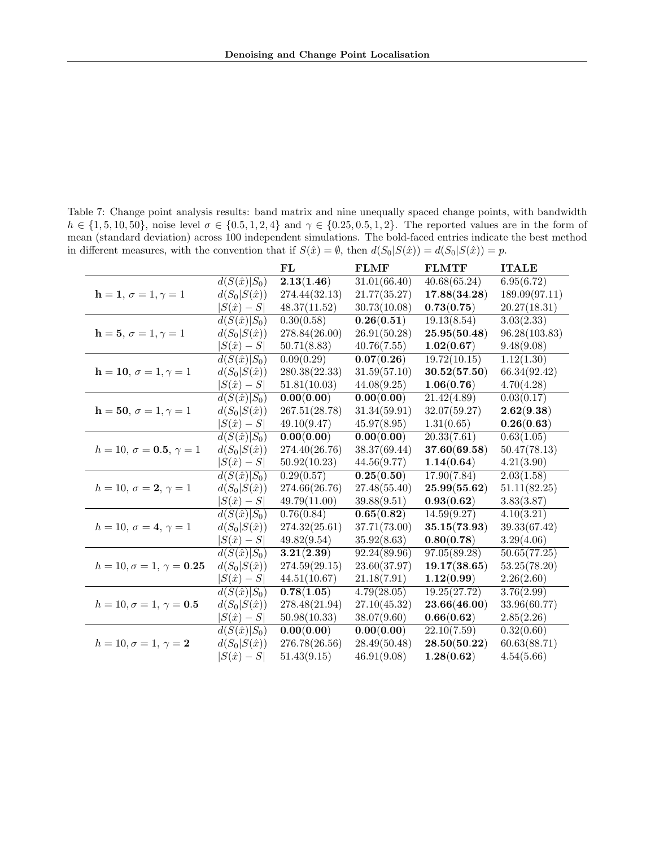<span id="page-23-0"></span>Table 7: Change point analysis results: band matrix and nine unequally spaced change points, with bandwidth  $h \in \{1, 5, 10, 50\}$ , noise level  $\sigma \in \{0.5, 1, 2, 4\}$  and  $\gamma \in \{0.25, 0.5, 1, 2\}$ . The reported values are in the form of mean (standard deviation) across 100 independent simulations. The bold-faced entries indicate the best method in different measures, with the convention that if  $S(\hat{x}) = \emptyset$ , then  $d(S_0|S(\hat{x})) = d(S_0|S(\hat{x})) = p$ .

|                                     |                                | FL            | <b>FLMF</b>  | <b>FLMTF</b> | <b>ITALE</b>            |
|-------------------------------------|--------------------------------|---------------|--------------|--------------|-------------------------|
|                                     | $d(S(\hat{x}) S_0)$            | 2.13(1.46)    | 31.01(66.40) | 40.68(65.24) | 6.95(6.72)              |
| $h = 1, \sigma = 1, \gamma = 1$     | $d(S_0 S(\hat{x}))$            | 274.44(32.13) | 21.77(35.27) | 17.88(34.28) | 189.09(97.11)           |
|                                     | $ S(\hat{x})-S $               | 48.37(11.52)  | 30.73(10.08) | 0.73(0.75)   | 20.27(18.31)            |
|                                     | $d(S(\hat{x}) S_0)$            | 0.30(0.58)    | 0.26(0.51)   | 19.13(8.54)  | 3.03(2.33)              |
| $h = 5, \sigma = 1, \gamma = 1$     | $d(S_0 S(\hat{x}))$            | 278.84(26.00) | 26.91(50.28) | 25.95(50.48) | 96.28(103.83)           |
|                                     | $ S(\hat{x})-S $               | 50.71(8.83)   | 40.76(7.55)  | 1.02(0.67)   | 9.48(9.08)              |
|                                     | $d(S(\hat{x}) S_0)$            | 0.09(0.29)    | 0.07(0.26)   | 19.72(10.15) | 1.12(1.30)              |
| $h = 10, \sigma = 1, \gamma = 1$    | $d(S_0 S(\hat{x}))$            | 280.38(22.33) | 31.59(57.10) | 30.52(57.50) | 66.34(92.42)            |
|                                     | $ S(\hat{x})-S $               | 51.81(10.03)  | 44.08(9.25)  | 1.06(0.76)   | 4.70(4.28)              |
|                                     | $d(S(\hat{x}) S_0)$            | 0.00(0.00)    | 0.00(0.00)   | 21.42(4.89)  | 0.03(0.17)              |
| $h = 50, \sigma = 1, \gamma = 1$    | $d(S_0 S(\hat{x}))$            | 267.51(28.78) | 31.34(59.91) | 32.07(59.27) | 2.62(9.38)              |
|                                     | $ S(\hat{x})-S $               | 49.10(9.47)   | 45.97(8.95)  | 1.31(0.65)   | 0.26(0.63)              |
|                                     | $\overline{d(S(\hat{x}) S_0)}$ | 0.00(0.00)    | 0.00(0.00)   | 20.33(7.61)  | 0.63(1.05)              |
| $h = 10, \sigma = 0.5, \gamma = 1$  | $d(S_0 S(\hat{x}))$            | 274.40(26.76) | 38.37(69.44) | 37.60(69.58) | 50.47(78.13)            |
|                                     | $ S(\hat{x})-S $               | 50.92(10.23)  | 44.56(9.77)  | 1.14(0.64)   | 4.21(3.90)              |
|                                     | $d(S(\hat{x}) S_0)$            | 0.29(0.57)    | 0.25(0.50)   | 17.90(7.84)  | 2.03(1.58)              |
| $h = 10, \sigma = 2, \gamma = 1$    | $d(S_0 S(\hat{x}))$            | 274.66(26.76) | 27.48(55.40) | 25.99(55.62) | 51.11(82.25)            |
|                                     | $ S(\hat{x})-S $               | 49.79(11.00)  | 39.88(9.51)  | 0.93(0.62)   | 3.83(3.87)              |
|                                     | $d(S(\hat{x}) S_0)$            | 0.76(0.84)    | 0.65(0.82)   | 14.59(9.27)  | 4.10(3.21)              |
| $h = 10, \sigma = 4, \gamma = 1$    | $d(S_0 S(\hat{x}))$            | 274.32(25.61) | 37.71(73.00) | 35.15(73.93) | 39.33(67.42)            |
|                                     | $ S(\hat{x})-S $               | 49.82(9.54)   | 35.92(8.63)  | 0.80(0.78)   | 3.29(4.06)              |
|                                     | $d(S(\hat{x}) \overline{S_0})$ | 3.21(2.39)    | 92.24(89.96) | 97.05(89.28) | 50.65(77.25)            |
| $h = 10, \sigma = 1, \gamma = 0.25$ | $d(S_0 S(\hat{x}))$            | 274.59(29.15) | 23.60(37.97) | 19.17(38.65) | 53.25(78.20)            |
|                                     | $ S(\hat{x})-S $               | 44.51(10.67)  | 21.18(7.91)  | 1.12(0.99)   | 2.26(2.60)              |
|                                     | $d(S(\hat{x}) S_0)$            | 0.78(1.05)    | 4.79(28.05)  | 19.25(27.72) | 3.76(2.99)              |
| $h = 10, \sigma = 1, \gamma = 0.5$  | $d(S_0 S(\hat{x}))$            | 278.48(21.94) | 27.10(45.32) | 23.66(46.00) | 33.96(60.77)            |
|                                     | $ S(\hat{x})-S $               | 50.98(10.33)  | 38.07(9.60)  | 0.66(0.62)   | 2.85(2.26)              |
|                                     | $d(S(\hat{x}) S_0)$            | 0.00(0.00)    | 0.00(0.00)   | 22.10(7.59)  | $\overline{0.32(0.60)}$ |
| $h = 10, \sigma = 1, \gamma = 2$    | $d(S_0 S(\hat{x}))$            | 276.78(26.56) | 28.49(50.48) | 28.50(50.22) | 60.63(88.71)            |
|                                     | $ S(\hat{x})-S $               | 51.43(9.15)   | 46.91(9.08)  | 1.28(0.62)   | 4.54(5.66)              |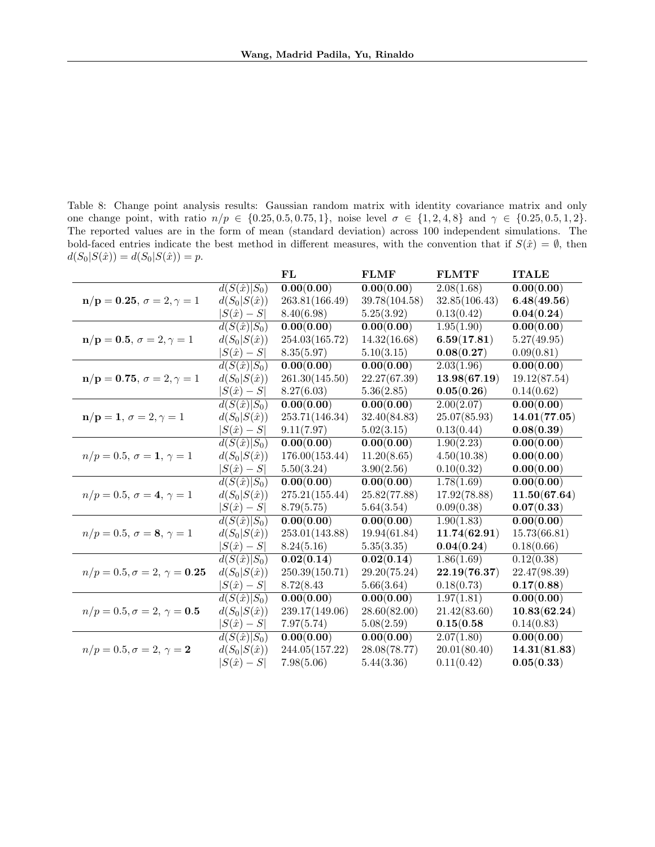<span id="page-24-0"></span>Table 8: Change point analysis results: Gaussian random matrix with identity covariance matrix and only one change point, with ratio  $n/p \in \{0.25, 0.5, 0.75, 1\}$ , noise level  $\sigma \in \{1, 2, 4, 8\}$  and  $\gamma \in \{0.25, 0.5, 1, 2\}$ . The reported values are in the form of mean (standard deviation) across 100 independent simulations. The bold-faced entries indicate the best method in different measures, with the convention that if  $S(\hat{x}) = \emptyset$ , then  $d(S_0|S(\hat{x})) = d(S_0|S(\hat{x})) = p.$ 

|                                                              |                     | FL             | <b>FLMF</b>   | <b>FLMTF</b>  | <b>ITALE</b> |
|--------------------------------------------------------------|---------------------|----------------|---------------|---------------|--------------|
|                                                              | $d(S(\hat{x}) S_0)$ | 0.00(0.00)     | 0.00(0.00)    | 2.08(1.68)    | 0.00(0.00)   |
| $n/p = 0.25, \sigma = 2, \gamma = 1$                         | $d(S_0 S(\hat{x}))$ | 263.81(166.49) | 39.78(104.58) | 32.85(106.43) | 6.48(49.56)  |
|                                                              | $ S(\hat{x}) - S $  | 8.40(6.98)     | 5.25(3.92)    | 0.13(0.42)    | 0.04(0.24)   |
|                                                              | $d(S(\hat{x}) S_0)$ | 0.00(0.00)     | 0.00(0.00)    | 1.95(1.90)    | 0.00(0.00)   |
| $n/p = 0.5, \sigma = 2, \gamma = 1$                          | $d(S_0 S(\hat{x}))$ | 254.03(165.72) | 14.32(16.68)  | 6.59(17.81)   | 5.27(49.95)  |
|                                                              | $ S(\hat{x})-S $    | 8.35(5.97)     | 5.10(3.15)    | 0.08(0.27)    | 0.09(0.81)   |
|                                                              | $d(S(\hat{x}) S_0)$ | 0.00(0.00)     | 0.00(0.00)    | 2.03(1.96)    | 0.00(0.00)   |
| $n/p = 0.75, \sigma = 2, \gamma = 1$                         | $d(S_0 S(\hat{x}))$ | 261.30(145.50) | 22.27(67.39)  | 13.98(67.19)  | 19.12(87.54) |
|                                                              | $ S(\hat{x})-S $    | 8.27(6.03)     | 5.36(2.85)    | 0.05(0.26)    | 0.14(0.62)   |
|                                                              | $d(S(\hat{x}) S_0)$ | 0.00(0.00)     | 0.00(0.00)    | 2.00(2.07)    | 0.00(0.00)   |
| $\mathbf{n}/\mathbf{p} = \mathbf{1}, \sigma = 2, \gamma = 1$ | $d(S_0 S(\hat{x}))$ | 253.71(146.34) | 32.40(84.83)  | 25.07(85.93)  | 14.01(77.05) |
|                                                              | $ S(\hat{x})-S $    | 9.11(7.97)     | 5.02(3.15)    | 0.13(0.44)    | 0.08(0.39)   |
|                                                              | $d(S(\hat{x}) S_0)$ | 0.00(0.00)     | 0.00(0.00)    | 1.90(2.23)    | 0.00(0.00)   |
| $n/p = 0.5, \sigma = 1, \gamma = 1$                          | $d(S_0 S(\hat{x}))$ | 176.00(153.44) | 11.20(8.65)   | 4.50(10.38)   | 0.00(0.00)   |
|                                                              | $ S(\hat{x}) - S $  | 5.50(3.24)     | 3.90(2.56)    | 0.10(0.32)    | 0.00(0.00)   |
|                                                              | $d(S(\hat{x}) S_0)$ | 0.00(0.00)     | 0.00(0.00)    | 1.78(1.69)    | 0.00(0.00)   |
| $n/p = 0.5, \sigma = 4, \gamma = 1$                          | $d(S_0 S(\hat{x}))$ | 275.21(155.44) | 25.82(77.88)  | 17.92(78.88)  | 11.50(67.64) |
|                                                              | $ S(\hat{x}) - S $  | 8.79(5.75)     | 5.64(3.54)    | 0.09(0.38)    | 0.07(0.33)   |
|                                                              | $d(S(\hat{x}) S_0)$ | 0.00(0.00)     | 0.00(0.00)    | 1.90(1.83)    | 0.00(0.00)   |
| $n/p = 0.5, \sigma = 8, \gamma = 1$                          | $d(S_0 S(\hat{x}))$ | 253.01(143.88) | 19.94(61.84)  | 11.74(62.91)  | 15.73(66.81) |
|                                                              | $ S(\hat{x}) - S $  | 8.24(5.16)     | 5.35(3.35)    | 0.04(0.24)    | 0.18(0.66)   |
|                                                              | $d(S(\hat{x}) S_0)$ | 0.02(0.14)     | 0.02(0.14)    | 1.86(1.69)    | 0.12(0.38)   |
| $n/p = 0.5, \sigma = 2, \gamma = 0.25$                       | $d(S_0 S(\hat{x}))$ | 250.39(150.71) | 29.20(75.24)  | 22.19(76.37)  | 22.47(98.39) |
|                                                              | $ S(\hat{x}) - S $  | 8.72(8.43)     | 5.66(3.64)    | 0.18(0.73)    | 0.17(0.88)   |
|                                                              | $d(S(\hat{x}) S_0)$ | 0.00(0.00)     | 0.00(0.00)    | 1.97(1.81)    | 0.00(0.00)   |
| $n/p = 0.5, \sigma = 2, \gamma = 0.5$                        | $d(S_0 S(\hat{x}))$ | 239.17(149.06) | 28.60(82.00)  | 21.42(83.60)  | 10.83(62.24) |
|                                                              | $ S(\hat{x})-S $    | 7.97(5.74)     | 5.08(2.59)    | 0.15(0.58)    | 0.14(0.83)   |
|                                                              | $d(S(\hat{x}) S_0)$ | 0.00(0.00)     | 0.00(0.00)    | 2.07(1.80)    | 0.00(0.00)   |
| $n/p = 0.5, \sigma = 2, \gamma = 2$                          | $d(S_0 S(\hat{x}))$ | 244.05(157.22) | 28.08(78.77)  | 20.01(80.40)  | 14.31(81.83) |
|                                                              | $ S(\hat{x})-S $    | 7.98(5.06)     | 5.44(3.36)    | 0.11(0.42)    | 0.05(0.33)   |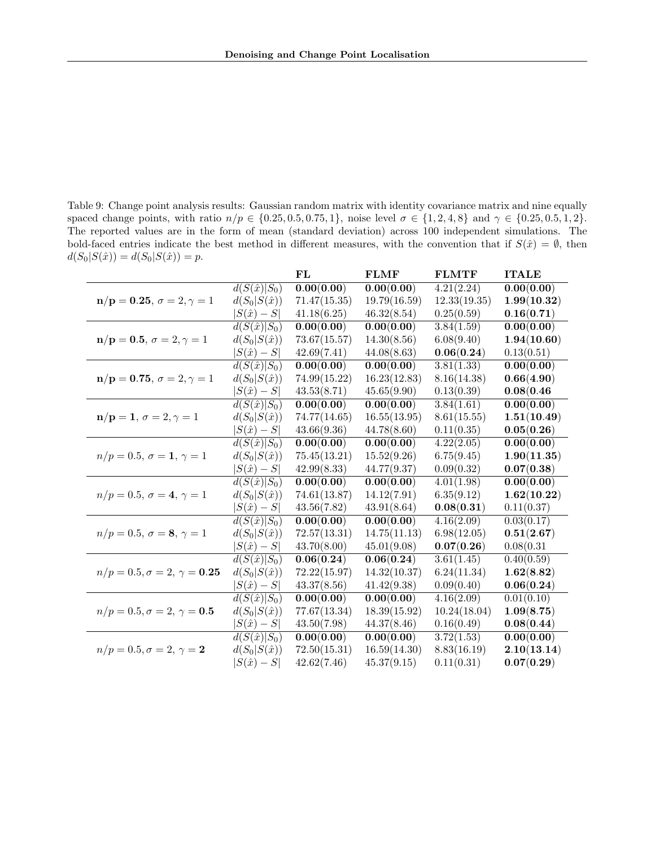<span id="page-25-0"></span>Table 9: Change point analysis results: Gaussian random matrix with identity covariance matrix and nine equally spaced change points, with ratio  $n/p \in \{0.25, 0.5, 0.75, 1\}$ , noise level  $\sigma \in \{1, 2, 4, 8\}$  and  $\gamma \in \{0.25, 0.5, 1, 2\}$ . The reported values are in the form of mean (standard deviation) across 100 independent simulations. The bold-faced entries indicate the best method in different measures, with the convention that if  $S(\hat{x}) = \emptyset$ , then  $d(S_0|S(\hat{x})) = d(S_0|S(\hat{x})) = p.$ 

|                                                              |                                | FL                      | <b>FLMF</b>             | <b>FLMTF</b> | <b>ITALE</b> |
|--------------------------------------------------------------|--------------------------------|-------------------------|-------------------------|--------------|--------------|
|                                                              | $d(S(\hat{x}) S_0)$            | 0.00(0.00)              | 0.00(0.00)              | 4.21(2.24)   | 0.00(0.00)   |
| $n/p = 0.25, \sigma = 2, \gamma = 1$                         | $d(S_0 S(\hat{x}))$            | 71.47(15.35)            | 19.79(16.59)            | 12.33(19.35) | 1.99(10.32)  |
|                                                              | $ S(\hat{x})-S $               | 41.18(6.25)             | 46.32(8.54)             | 0.25(0.59)   | 0.16(0.71)   |
|                                                              | $\overline{d(S(\hat{x}) S_0)}$ | $\overline{0.00(0.00)}$ | $\overline{0.00(0.00)}$ | 3.84(1.59)   | 0.00(0.00)   |
| $n/p = 0.5, \sigma = 2, \gamma = 1$                          | $d(S_0 S(\hat{x}))$            | 73.67(15.57)            | 14.30(8.56)             | 6.08(9.40)   | 1.94(10.60)  |
|                                                              | $ S(\hat{x})-S $               | 42.69(7.41)             | 44.08(8.63)             | 0.06(0.24)   | 0.13(0.51)   |
|                                                              | $d(S(\hat{x}) S_0)$            | 0.00(0.00)              | 0.00(0.00)              | 3.81(1.33)   | 0.00(0.00)   |
| $n/p = 0.75, \sigma = 2, \gamma = 1$                         | $d(S_0 S(\hat{x}))$            | 74.99(15.22)            | 16.23(12.83)            | 8.16(14.38)  | 0.66(4.90)   |
|                                                              | $ S(\hat{x})-S $               | 43.53(8.71)             | 45.65(9.90)             | 0.13(0.39)   | 0.08(0.46)   |
|                                                              | $d(S(\hat{x}) S_0)$            | 0.00(0.00)              | 0.00(0.00)              | 3.84(1.61)   | 0.00(0.00)   |
| $\mathbf{n}/\mathbf{p} = \mathbf{1}, \sigma = 2, \gamma = 1$ | $d(S_0 S(\hat{x}))$            | 74.77(14.65)            | 16.55(13.95)            | 8.61(15.55)  | 1.51(10.49)  |
|                                                              | $ S(\hat{x})-S $               | 43.66(9.36)             | 44.78(8.60)             | 0.11(0.35)   | 0.05(0.26)   |
|                                                              | $d(S(\hat{x}) S_0)$            | 0.00(0.00)              | 0.00(0.00)              | 4.22(2.05)   | 0.00(0.00)   |
| $n/p = 0.5, \sigma = 1, \gamma = 1$                          | $d(S_0 S(\hat{x}))$            | 75.45(13.21)            | 15.52(9.26)             | 6.75(9.45)   | 1.90(11.35)  |
|                                                              | $ S(\hat{x})-S $               | 42.99(8.33)             | 44.77(9.37)             | 0.09(0.32)   | 0.07(0.38)   |
|                                                              | $d(S(\hat{x}) S_0)$            | 0.00(0.00)              | 0.00(0.00)              | 4.01(1.98)   | 0.00(0.00)   |
| $n/p = 0.5, \sigma = 4, \gamma = 1$                          | $d(S_0 S(\hat{x}))$            | 74.61(13.87)            | 14.12(7.91)             | 6.35(9.12)   | 1.62(10.22)  |
|                                                              | $ S(\hat{x})-S $               | 43.56(7.82)             | 43.91(8.64)             | 0.08(0.31)   | 0.11(0.37)   |
|                                                              | $d(S(\hat{x}) S_0)$            | 0.00(0.00)              | 0.00(0.00)              | 4.16(2.09)   | 0.03(0.17)   |
| $n/p = 0.5, \sigma = 8, \gamma = 1$                          | $d(S_0 S(\hat{x}))$            | 72.57(13.31)            | 14.75(11.13)            | 6.98(12.05)  | 0.51(2.67)   |
|                                                              | $ S(\hat{x})-S $               | 43.70(8.00)             | 45.01(9.08)             | 0.07(0.26)   | 0.08(0.31)   |
|                                                              | $d(S(\hat{x}) S_0)$            | 0.06(0.24)              | 0.06(0.24)              | 3.61(1.45)   | 0.40(0.59)   |
| $n/p = 0.5, \sigma = 2, \gamma = 0.25$                       | $d(S_0 S(\hat{x}))$            | 72.22(15.97)            | 14.32(10.37)            | 6.24(11.34)  | 1.62(8.82)   |
|                                                              | $ S(\hat{x}) - S $             | 43.37(8.56)             | 41.42(9.38)             | 0.09(0.40)   | 0.06(0.24)   |
|                                                              | $d(S(\hat{x}) S_0)$            | 0.00(0.00)              | 0.00(0.00)              | 4.16(2.09)   | 0.01(0.10)   |
| $n/p = 0.5, \sigma = 2, \gamma = 0.5$                        | $d(S_0 S(\hat{x}))$            | 77.67(13.34)            | 18.39(15.92)            | 10.24(18.04) | 1.09(8.75)   |
|                                                              | $ S(\hat{x})-S $               | 43.50(7.98)             | 44.37(8.46)             | 0.16(0.49)   | 0.08(0.44)   |
|                                                              | $d(S(\hat{x}) S_0)$            | 0.00(0.00)              | 0.00(0.00)              | 3.72(1.53)   | 0.00(0.00)   |
| $n/p = 0.5, \sigma = 2, \gamma = 2$                          | $d(S_0 S(\hat{x}))$            | 72.50(15.31)            | 16.59(14.30)            | 8.83(16.19)  | 2.10(13.14)  |
|                                                              | $ S(\hat{x})-S $               | 42.62(7.46)             | 45.37(9.15)             | 0.11(0.31)   | 0.07(0.29)   |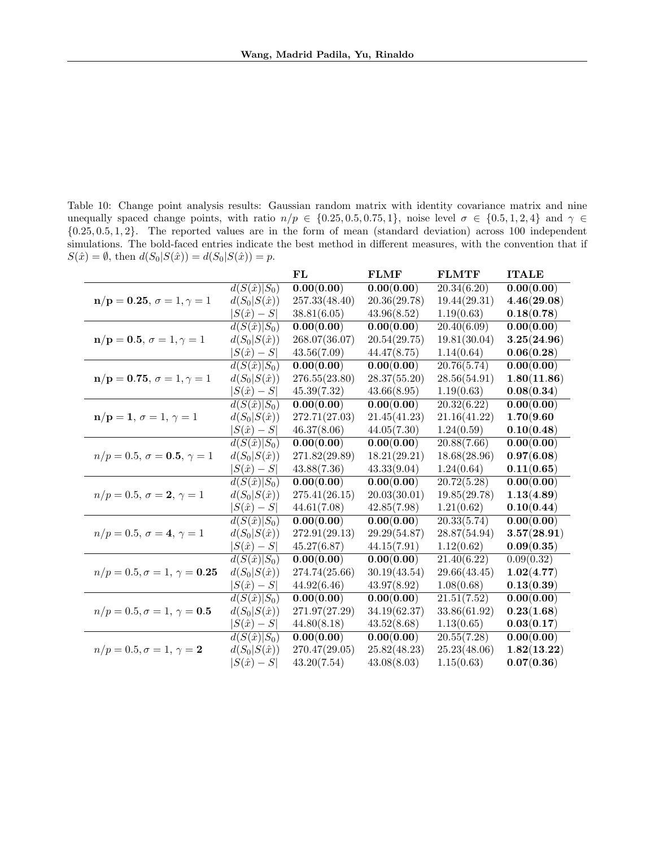<span id="page-26-0"></span>Table 10: Change point analysis results: Gaussian random matrix with identity covariance matrix and nine unequally spaced change points, with ratio  $n/p \in \{0.25, 0.5, 0.75, 1\}$ , noise level  $\sigma \in \{0.5, 1, 2, 4\}$  and  $\gamma \in$ {0.25, 0.5, 1, 2}. The reported values are in the form of mean (standard deviation) across 100 independent simulations. The bold-faced entries indicate the best method in different measures, with the convention that if  $S(\hat{x}) = \emptyset$ , then  $d(S_0|S(\hat{x})) = d(S_0|S(\hat{x})) = p$ .

|                                        |                                | FL            | <b>FLMF</b>             | <b>FLMTF</b>             | <b>ITALE</b> |
|----------------------------------------|--------------------------------|---------------|-------------------------|--------------------------|--------------|
|                                        | $d(S(\hat{x}) S_0)$            | 0.00(0.00)    | 0.00(0.00)              | 20.34(6.20)              | 0.00(0.00)   |
| $n/p = 0.25, \sigma = 1, \gamma = 1$   | $d(S_0 S(\hat{x}))$            | 257.33(48.40) | 20.36(29.78)            | 19.44(29.31)             | 4.46(29.08)  |
|                                        | $ S(\hat{x})-S $               | 38.81(6.05)   | 43.96(8.52)             | 1.19(0.63)               | 0.18(0.78)   |
|                                        | $d(S(\hat{x}) S_0)$            | 0.00(0.00)    | $\overline{0.00(0.00)}$ | $\overline{20.40(6.09)}$ | 0.00(0.00)   |
| $n/p = 0.5, \sigma = 1, \gamma = 1$    | $d(S_0 S(\hat{x}))$            | 268.07(36.07) | 20.54(29.75)            | 19.81(30.04)             | 3.25(24.96)  |
|                                        | $ S(\hat{x})-S $               | 43.56(7.09)   | 44.47(8.75)             | 1.14(0.64)               | 0.06(0.28)   |
|                                        | $d(S(\hat{x}) S_0)$            | 0.00(0.00)    | 0.00(0.00)              | 20.76(5.74)              | 0.00(0.00)   |
| $n/p = 0.75, \sigma = 1, \gamma = 1$   | $d(S_0 S(\hat{x}))$            | 276.55(23.80) | 28.37(55.20)            | 28.56(54.91)             | 1.80(11.86)  |
|                                        | $ S(\hat{x}) - S $             | 45.39(7.32)   | 43.66(8.95)             | 1.19(0.63)               | 0.08(0.34)   |
|                                        | $d(S(\hat{x}) S_0)$            | 0.00(0.00)    | 0.00(0.00)              | 20.32(6.22)              | 0.00(0.00)   |
| $n/p = 1, \sigma = 1, \gamma = 1$      | $d(S_0 S(\hat{x}))$            | 272.71(27.03) | 21.45(41.23)            | 21.16(41.22)             | 1.70(9.60)   |
|                                        | $ S(\hat{x})-S $               | 46.37(8.06)   | 44.05(7.30)             | 1.24(0.59)               | 0.10(0.48)   |
|                                        | $d(S(\hat{x}) S_0)$            | 0.00(0.00)    | 0.00(0.00)              | 20.88(7.66)              | 0.00(0.00)   |
| $n/p = 0.5, \sigma = 0.5, \gamma = 1$  | $d(S_0 S(\hat{x}))$            | 271.82(29.89) | 18.21(29.21)            | 18.68(28.96)             | 0.97(6.08)   |
|                                        | $ S(\hat{x})-S $               | 43.88(7.36)   | 43.33(9.04)             | 1.24(0.64)               | 0.11(0.65)   |
|                                        | $d(S(\hat{x}) S_0)$            | 0.00(0.00)    | 0.00(0.00)              | 20.72(5.28)              | 0.00(0.00)   |
| $n/p = 0.5, \sigma = 2, \gamma = 1$    | $d(S_0 S(\hat{x}))$            | 275.41(26.15) | 20.03(30.01)            | 19.85(29.78)             | 1.13(4.89)   |
|                                        | $ S(\hat{x})-S $               | 44.61(7.08)   | 42.85(7.98)             | 1.21(0.62)               | 0.10(0.44)   |
|                                        | $d(S(\hat{x}) S_0)$            | 0.00(0.00)    | 0.00(0.00)              | 20.33(5.74)              | 0.00(0.00)   |
| $n/p = 0.5, \sigma = 4, \gamma = 1$    | $d(S_0 S(\hat{x}))$            | 272.91(29.13) | 29.29(54.87)            | 28.87(54.94)             | 3.57(28.91)  |
|                                        | $ S(\hat{x})-S $               | 45.27(6.87)   | 44.15(7.91)             | 1.12(0.62)               | 0.09(0.35)   |
|                                        | $d(S(\hat{x}) S_0)$            | 0.00(0.00)    | 0.00(0.00)              | 21.40(6.22)              | 0.09(0.32)   |
| $n/p = 0.5, \sigma = 1, \gamma = 0.25$ | $d(S_0 S(\hat{x}))$            | 274.74(25.66) | 30.19(43.54)            | 29.66(43.45)             | 1.02(4.77)   |
|                                        | $ S(\hat{x})-S $               | 44.92(6.46)   | 43.97(8.92)             | 1.08(0.68)               | 0.13(0.39)   |
|                                        | $d(S(\hat{x}) S_0)$            | 0.00(0.00)    | 0.00(0.00)              | 21.51(7.52)              | 0.00(0.00)   |
| $n/p = 0.5, \sigma = 1, \gamma = 0.5$  | $d(S_0 S(\hat{x}))$            | 271.97(27.29) | 34.19(62.37)            | 33.86(61.92)             | 0.23(1.68)   |
|                                        | $ S(\hat{x})-S $               | 44.80(8.18)   | 43.52(8.68)             | 1.13(0.65)               | 0.03(0.17)   |
|                                        | $d(S(\hat{x}) \overline{S_0})$ | 0.00(0.00)    | 0.00(0.00)              | 20.55(7.28)              | 0.00(0.00)   |
| $n/p = 0.5, \sigma = 1, \gamma = 2$    | $d(S_0 S(\hat{x}))$            | 270.47(29.05) | 25.82(48.23)            | 25.23(48.06)             | 1.82(13.22)  |
|                                        | $ S(\hat{x})-S $               | 43.20(7.54)   | 43.08(8.03)             | 1.15(0.63)               | 0.07(0.36)   |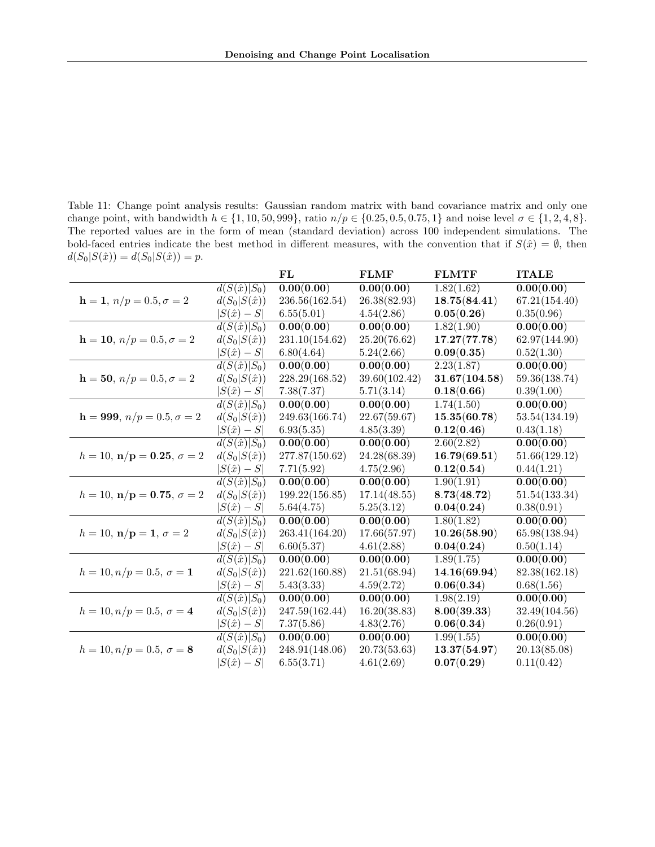<span id="page-27-0"></span>Table 11: Change point analysis results: Gaussian random matrix with band covariance matrix and only one change point, with bandwidth  $h \in \{1, 10, 50, 999\}$ , ratio  $n/p \in \{0.25, 0.5, 0.75, 1\}$  and noise level  $\sigma \in \{1, 2, 4, 8\}$ . The reported values are in the form of mean (standard deviation) across 100 independent simulations. The bold-faced entries indicate the best method in different measures, with the convention that if  $S(\hat{x}) = \emptyset$ , then  $d(S_0|S(\hat{x})) = d(S_0|S(\hat{x})) = p.$ 

|                                                    |                                | FL                      | <b>FLMF</b>             | <b>FLMTF</b>  | <b>ITALE</b>            |
|----------------------------------------------------|--------------------------------|-------------------------|-------------------------|---------------|-------------------------|
|                                                    | $d(S(\hat{x}) S_0)$            | 0.00(0.00)              | 0.00(0.00)              | 1.82(1.62)    | 0.00(0.00)              |
| $h = 1, n/p = 0.5, \sigma = 2$                     | $d(S_0 S(\hat{x}))$            | 236.56(162.54)          | 26.38(82.93)            | 18.75(84.41)  | 67.21(154.40)           |
|                                                    | $S(\hat{x})-S$                 | 6.55(5.01)              | 4.54(2.86)              | 0.05(0.26)    | 0.35(0.96)              |
|                                                    | $\overline{d(S(\hat{x}) S_0)}$ | $\overline{0.00(0.00)}$ | $\overline{0.00(0.00)}$ | 1.82(1.90)    | $\overline{0.00(0.00)}$ |
| $h = 10, n/p = 0.5, \sigma = 2$                    | $d(S_0 S(\hat{x}))$            | 231.10(154.62)          | 25.20(76.62)            | 17.27(77.78)  | 62.97(144.90)           |
|                                                    | $ S(\hat{x}) - S $             | 6.80(4.64)              | 5.24(2.66)              | 0.09(0.35)    | 0.52(1.30)              |
|                                                    | $d(S(\hat{x}) S_0)$            | 0.00(0.00)              | 0.00(0.00)              | 2.23(1.87)    | 0.00(0.00)              |
| $h = 50, n/p = 0.5, \sigma = 2$                    | $d(S_0 S(\hat{x}))$            | 228.29(168.52)          | 39.60(102.42)           | 31.67(104.58) | 59.36(138.74)           |
|                                                    | $ S(\hat{x})-S $               | 7.38(7.37)              | 5.71(3.14)              | 0.18(0.66)    | 0.39(1.00)              |
|                                                    | $d(S(\hat{x}) S_0)$            | 0.00(0.00)              | 0.00(0.00)              | 1.74(1.50)    | 0.00(0.00)              |
| $h = 999, n/p = 0.5, \sigma = 2$                   | $d(S_0 S(\hat{x}))$            | 249.63(166.74)          | 22.67(59.67)            | 15.35(60.78)  | 53.54(134.19)           |
|                                                    | $ S(\hat{x})-S $               | 6.93(5.35)              | 4.85(3.39)              | 0.12(0.46)    | 0.43(1.18)              |
|                                                    | $d(S(\hat{x}) \overline{S_0})$ | 0.00(0.00)              | 0.00(0.00)              | 2.60(2.82)    | 0.00(0.00)              |
| $h = 10, \mathbf{n}/\mathbf{p} = 0.25, \sigma = 2$ | $d(S_0 S(\hat{x}))$            | 277.87(150.62)          | 24.28(68.39)            | 16.79(69.51)  | 51.66(129.12)           |
|                                                    | $ S(\hat{x})-S $               | 7.71(5.92)              | 4.75(2.96)              | 0.12(0.54)    | 0.44(1.21)              |
|                                                    | $d(S(\hat{x}) S_0)$            | 0.00(0.00)              | $\overline{0.00(0.00)}$ | 1.90(1.91)    | 0.00(0.00)              |
| $h = 10, \mathbf{n}/\mathbf{p} = 0.75, \sigma = 2$ | $d(S_0 S(\hat{x}))$            | 199.22(156.85)          | 17.14(48.55)            | 8.73(48.72)   | 51.54(133.34)           |
|                                                    | $ S(\hat{x})-S $               | 5.64(4.75)              | 5.25(3.12)              | 0.04(0.24)    | 0.38(0.91)              |
|                                                    | $d(S(\hat{x}) S_0)$            | 0.00(0.00)              | 0.00(0.00)              | 1.80(1.82)    | 0.00(0.00)              |
| $h = 10, \mathbf{n}/\mathbf{p} = 1, \sigma = 2$    | $d(S_0 S(\hat{x}))$            | 263.41(164.20)          | 17.66(57.97)            | 10.26(58.90)  | 65.98(138.94)           |
|                                                    | $ S(\hat{x})-S $               | 6.60(5.37)              | 4.61(2.88)              | 0.04(0.24)    | 0.50(1.14)              |
|                                                    | $d(S(\hat{x}) S_0)$            | 0.00(0.00)              | 0.00(0.00)              | 1.89(1.75)    | 0.00(0.00)              |
| $h = 10, n/p = 0.5, \sigma = 1$                    | $d(S_0 S(\hat{x}))$            | 221.62(160.88)          | 21.51(68.94)            | 14.16(69.94)  | 82.38(162.18)           |
|                                                    | $ S(\hat{x})-S $               | 5.43(3.33)              | 4.59(2.72)              | 0.06(0.34)    | 0.68(1.56)              |
|                                                    | $d(S(\hat{x}) S_0)$            | 0.00(0.00)              | 0.00(0.00)              | 1.98(2.19)    | 0.00(0.00)              |
| $h = 10, n/p = 0.5, \sigma = 4$                    | $d(S_0 S(\hat{x}))$            | 247.59(162.44)          | 16.20(38.83)            | 8.00(39.33)   | 32.49(104.56)           |
|                                                    | $ S(\hat{x})-S $               | 7.37(5.86)              | 4.83(2.76)              | 0.06(0.34)    | 0.26(0.91)              |
|                                                    | $d(S(\hat{x}) S_0)$            | $\overline{0.00(0.00)}$ | 0.00(0.00)              | 1.99(1.55)    | $\overline{0.00(0.00)}$ |
| $h = 10, n/p = 0.5, \sigma = 8$                    | $d(S_0 S(\hat{x}))$            | 248.91(148.06)          | 20.73(53.63)            | 13.37(54.97)  | 20.13(85.08)            |
|                                                    | $ S(\hat{x})-S $               | 6.55(3.71)              | 4.61(2.69)              | 0.07(0.29)    | 0.11(0.42)              |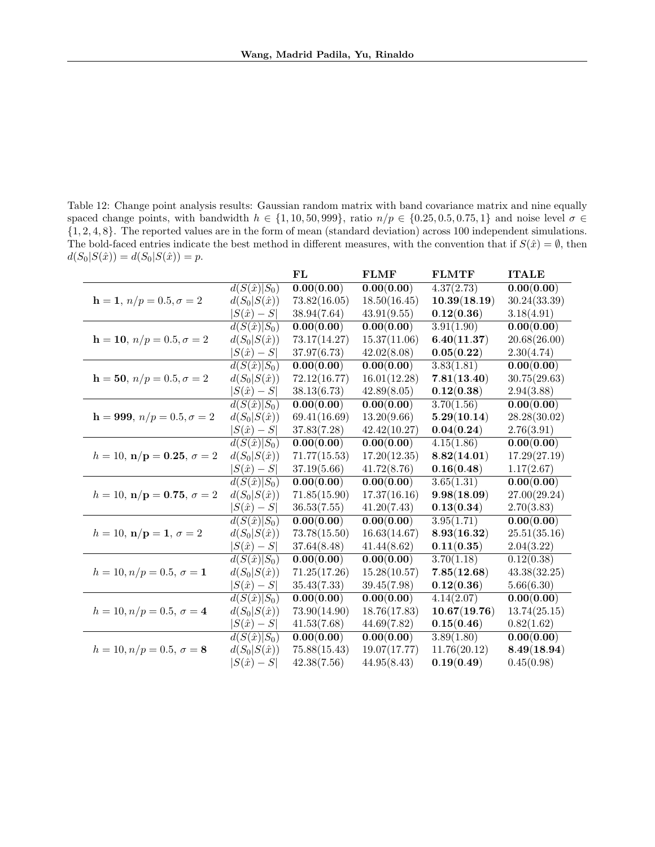<span id="page-28-0"></span>Table 12: Change point analysis results: Gaussian random matrix with band covariance matrix and nine equally spaced change points, with bandwidth  $h \in \{1, 10, 50, 999\}$ , ratio  $n/p \in \{0.25, 0.5, 0.75, 1\}$  and noise level  $\sigma \in$ {1, 2, 4, 8}. The reported values are in the form of mean (standard deviation) across 100 independent simulations. The bold-faced entries indicate the best method in different measures, with the convention that if  $S(\hat{x}) = \emptyset$ , then  $d(S_0|S(\hat{x})) = d(S_0|S(\hat{x})) = p.$ 

|                                                 |                                | $\bf FL$                | <b>FLMF</b>  | <b>FLMTF</b> | <b>ITALE</b>            |
|-------------------------------------------------|--------------------------------|-------------------------|--------------|--------------|-------------------------|
|                                                 | $d(S(\hat{x}) S_0)$            | 0.00(0.00)              | 0.00(0.00)   | 4.37(2.73)   | 0.00(0.00)              |
| $h = 1, n/p = 0.5, \sigma = 2$                  | $d(S_0 S(\hat{x}))$            | 73.82(16.05)            | 18.50(16.45) | 10.39(18.19) | 30.24(33.39)            |
|                                                 | $ S(\hat{x})-S $               | 38.94(7.64)             | 43.91(9.55)  | 0.12(0.36)   | 3.18(4.91)              |
|                                                 | $\overline{d(S(\hat{x}) S_0)}$ | $\overline{0.00(0.00)}$ | 0.00(0.00)   | 3.91(1.90)   | $\overline{0.00(0.00)}$ |
| $h = 10, n/p = 0.5, \sigma = 2$                 | $d(S_0 S(\hat{x}))$            | 73.17(14.27)            | 15.37(11.06) | 6.40(11.37)  | 20.68(26.00)            |
|                                                 | $ S(\hat{x})-S $               | 37.97(6.73)             | 42.02(8.08)  | 0.05(0.22)   | 2.30(4.74)              |
|                                                 | $d(S(\hat{x}) S_0)$            | 0.00(0.00)              | 0.00(0.00)   | 3.83(1.81)   | 0.00(0.00)              |
| $h = 50, n/p = 0.5, \sigma = 2$                 | $d(S_0 S(\hat{x}))$            | 72.12(16.77)            | 16.01(12.28) | 7.81(13.40)  | 30.75(29.63)            |
|                                                 | $ S(\hat{x})-S $               | 38.13(6.73)             | 42.89(8.05)  | 0.12(0.38)   | 2.94(3.88)              |
|                                                 | $d(S(\hat{x}) S_0)$            | 0.00(0.00)              | 0.00(0.00)   | 3.70(1.56)   | 0.00(0.00)              |
| $h = 999, n/p = 0.5, \sigma = 2$                | $d(S_0 S(\hat{x}))$            | 69.41(16.69)            | 13.20(9.66)  | 5.29(10.14)  | 28.28(30.02)            |
|                                                 | $ S(\hat{x})-S $               | 37.83(7.28)             | 42.42(10.27) | 0.04(0.24)   | 2.76(3.91)              |
|                                                 | $d(S(\hat{x}) S_0)$            | 0.00(0.00)              | 0.00(0.00)   | 4.15(1.86)   | 0.00(0.00)              |
| $h = 10, \mathbf{n/p} = 0.25, \sigma = 2$       | $d(S_0 S(\hat{x}))$            | 71.77(15.53)            | 17.20(12.35) | 8.82(14.01)  | 17.29(27.19)            |
|                                                 | $ S(\hat{x})-S $               | 37.19(5.66)             | 41.72(8.76)  | 0.16(0.48)   | 1.17(2.67)              |
|                                                 | $d(S(\hat{x}) S_0)$            | 0.00(0.00)              | 0.00(0.00)   | 3.65(1.31)   | $\overline{0.00(0.00)}$ |
| $h = 10, \mathbf{n/p} = 0.75, \sigma = 2$       | $d(S_0 S(\hat{x}))$            | 71.85(15.90)            | 17.37(16.16) | 9.98(18.09)  | 27.00(29.24)            |
|                                                 | $ S(\hat{x})-S $               | 36.53(7.55)             | 41.20(7.43)  | 0.13(0.34)   | 2.70(3.83)              |
|                                                 | $d(S(\hat{x}) S_0)$            | 0.00(0.00)              | 0.00(0.00)   | 3.95(1.71)   | 0.00(0.00)              |
| $h = 10, \mathbf{n}/\mathbf{p} = 1, \sigma = 2$ | $d(S_0 S(\hat{x}))$            | 73.78(15.50)            | 16.63(14.67) | 8.93(16.32)  | 25.51(35.16)            |
|                                                 | $ S(\hat{x})-S $               | 37.64(8.48)             | 41.44(8.62)  | 0.11(0.35)   | 2.04(3.22)              |
|                                                 | $d(S(\hat{x}) S_0)$            | 0.00(0.00)              | 0.00(0.00)   | 3.70(1.18)   | 0.12(0.38)              |
| $h = 10, n/p = 0.5, \sigma = 1$                 | $d(S_0 S(\hat{x}))$            | 71.25(17.26)            | 15.28(10.57) | 7.85(12.68)  | 43.38(32.25)            |
|                                                 | $ S(\hat{x})-S $               | 35.43(7.33)             | 39.45(7.98)  | 0.12(0.36)   | 5.66(6.30)              |
|                                                 | $d(S(\hat{x}) S_0)$            | 0.00(0.00)              | 0.00(0.00)   | 4.14(2.07)   | 0.00(0.00)              |
| $h = 10, n/p = 0.5, \sigma = 4$                 | $d(S_0 S(\hat{x}))$            | 73.90(14.90)            | 18.76(17.83) | 10.67(19.76) | 13.74(25.15)            |
|                                                 | $ S(\hat{x})-S $               | 41.53(7.68)             | 44.69(7.82)  | 0.15(0.46)   | 0.82(1.62)              |
|                                                 | $d(S(\hat{x}) S_0)$            | 0.00(0.00)              | 0.00(0.00)   | 3.89(1.80)   | 0.00(0.00)              |
| $h = 10, n/p = 0.5, \sigma = 8$                 | $d(S_0 S(\hat{x}))$            | 75.88(15.43)            | 19.07(17.77) | 11.76(20.12) | 8.49(18.94)             |
|                                                 | $ S(\hat{x})-S $               | 42.38(7.56)             | 44.95(8.43)  | 0.19(0.49)   | 0.45(0.98)              |